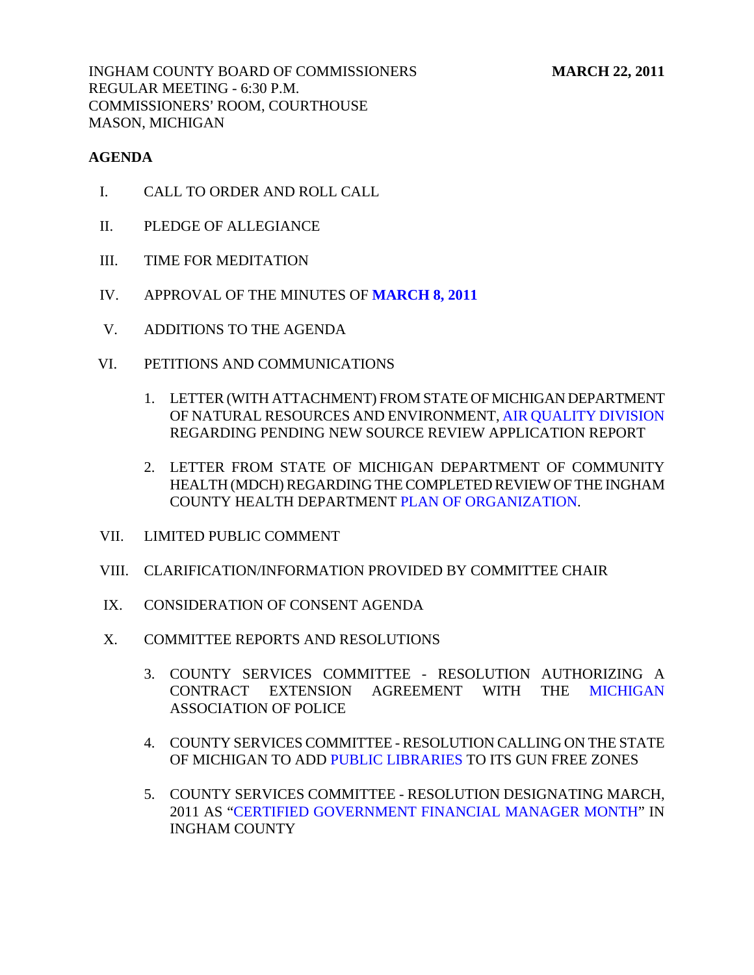INGHAM COUNTY BOARD OF COMMISSIONERS MARCH 22, 2011 REGULAR MEETING - 6:30 P.M. COMMISSIONERS' ROOM, COURTHOUSE MASON, MICHIGAN

## **AGENDA**

- I. CALL TO ORDER AND ROLL CALL
- II. PLEDGE OF ALLEGIANCE
- III. TIME FOR MEDITATION
- IV. APPROVAL OF THE MINUTES OF **[MARCH 8, 2011](#page-4-0)**
- V. ADDITIONS TO THE AGENDA
- VI. PETITIONS AND COMMUNICATIONS
	- 1. LETTER (WITH ATTACHMENT) FROM STATE OF MICHIGAN DEPARTMENT OF NATURAL RESOURCES AND ENVIRONMEN[T, AIR QUALITY DIVISION](#page-39-0) REGARDING PENDING NEW SOURCE REVIEW APPLICATION REPORT
	- 2. LETTER FROM STATE OF MICHIGAN DEPARTMENT OF COMMUNITY HEALTH (MDCH) REGARDING THE COMPLETED REVIEW OF THE INGHAM COUNTY HEALTH DEPARTME[NT PLAN OF ORGANIZATION.](#page-41-0)
- VII. LIMITED PUBLIC COMMENT
- VIII. CLARIFICATION/INFORMATION PROVIDED BY COMMITTEE CHAIR
- IX. CONSIDERATION OF CONSENT AGENDA
- X. COMMITTEE REPORTS AND RESOLUTIONS
	- 3. COUNTY SERVICES COMMITTEE RESOLUTION AUTHORIZING A CONTRACT EXTENSION AGREEMENT WITH THE [MICHIGAN](#page-42-0) ASSOCIATION OF POLICE
	- 4. COUNTY SERVICES COMMITTEE RESOLUTION CALLING ON THE STATE OF MICHIGAN TO ADD [PUBLIC LIBRARIES TO](#page-43-0) ITS GUN FREE ZONES
	- 5. COUNTY SERVICES COMMITTEE RESOLUTION DESIGNATING MARCH, 2011 [AS "CERTIFIED GOVERNMENT FINANCIAL MANAGER MONTH" IN](#page-44-0)  INGHAM COUNTY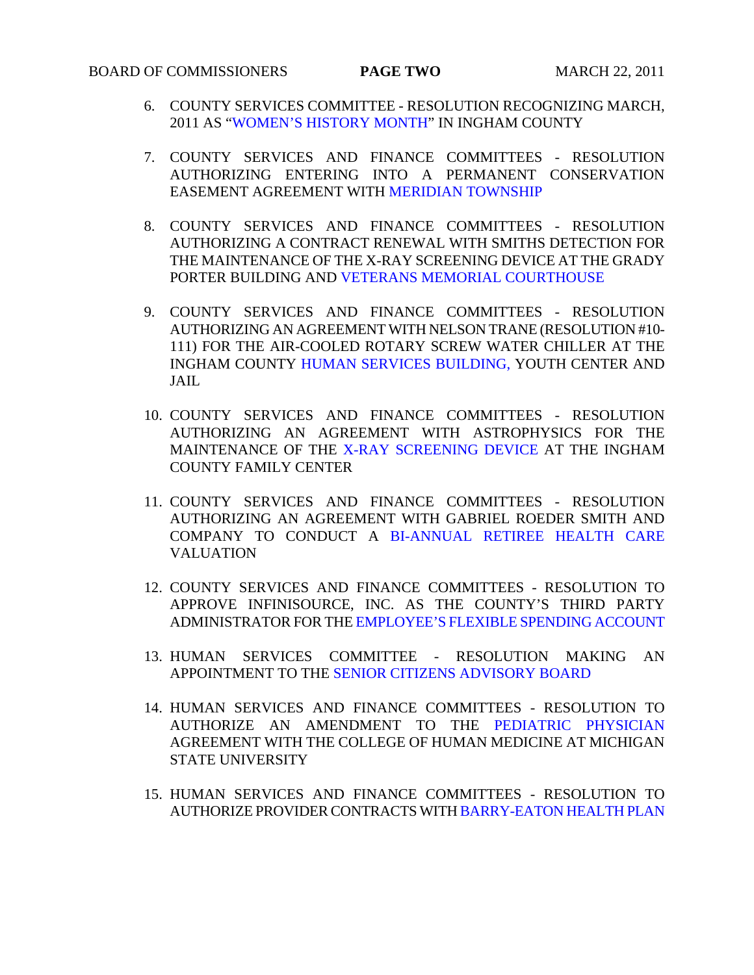# BOARD OF COMMISSIONERS **PAGE TWO** MARCH 22, 2011

- 6. COUNTY SERVICES COMMITTEE RESOLUTION RECOGNIZING MARCH, 2011 A[S "WOMEN'S HISTORY MONTH" IN I](#page-45-0)NGHAM COUNTY
- 7. COUNTY SERVICES AND FINANCE COMMITTEES RESOLUTION AUTHORIZING ENTERING INTO A PERMANENT CONSERVATION EASEMENT AGREEMENT WI[TH MERIDIAN TOWNSHIP](#page-46-0)
- 8. COUNTY SERVICES AND FINANCE COMMITTEES RESOLUTION AUTHORIZING A CONTRACT RENEWAL WITH SMITHS DETECTION FOR THE MAINTENANCE OF [THE X-RAY SCREENING DEVICE AT THE GR](#page-47-0)ADY PORTER BUILDING AND VETERANS MEMORIAL COURTHOUSE
- 9. COUNTY SERVICES AND FINANCE COMMITTEES RESOLUTION AUTHORIZING AN AGREEMENT WITH NELSON TRANE (RESOLUTION #10- 111) FOR THE AIR-COOLED ROTARY SCREW WATER CHILLER AT THE INGHAM COUN[TY HUMAN SERVICES BUILDING, YOUTH C](#page-48-0)ENTER AND JAIL
- 10. COUNTY SERVICES AND FINANCE COMMITTEES RESOLUTION AUTHORIZING AN AGREEMENT WITH ASTROPHYSICS FOR THE MAINTENANCE OF T[HE X-RAY SCREENING DEVICE AT](#page-49-0) THE INGHAM COUNTY FAMILY CENTER
- 11. COUNTY SERVICES AND FINANCE COMMITTEES RESOLUTION AUTHORIZING AN AGREEMENT WITH GABRIEL ROEDER SMITH AND COMPANY TO CONDUCT A [BI-ANNUAL RETIREE HEALTH CARE](#page-50-0) VALUATION
- 12. COUNTY SERVICES AND FINANCE COMMITTEES RESOLUTION TO APPROVE INFINISOURCE, INC. AS THE COUNTY'S THIRD PARTY ADMINISTRATOR FOR T[HE EMPLOYEE'S FLEXIBLE SPENDING ACCOUNT](#page-51-0)
- 13. HUMAN SERVICES COMMITTEE RESOLUTION MAKING AN APPOINTMENT TO TH[E SENIOR CITIZENS ADVISORY BOARD](#page-52-0)
- 14. HUMAN SERVICES AND FINANCE COMMITTEES RESOLUTION TO AUTHORIZE AN AMENDMENT TO THE [PEDIATRIC PHYSICIAN](#page-53-0) AGREEMENT WITH THE COLLEGE OF HUMAN MEDICINE AT MICHIGAN STATE UNIVERSITY
- 15. HUMAN SERVICES AND FINANCE COMMITTEES RESOLUTION TO AUTHORIZE PROVIDER CONTRACTS W[ITH BARRY-EATON HEALTH PLAN](#page-55-0)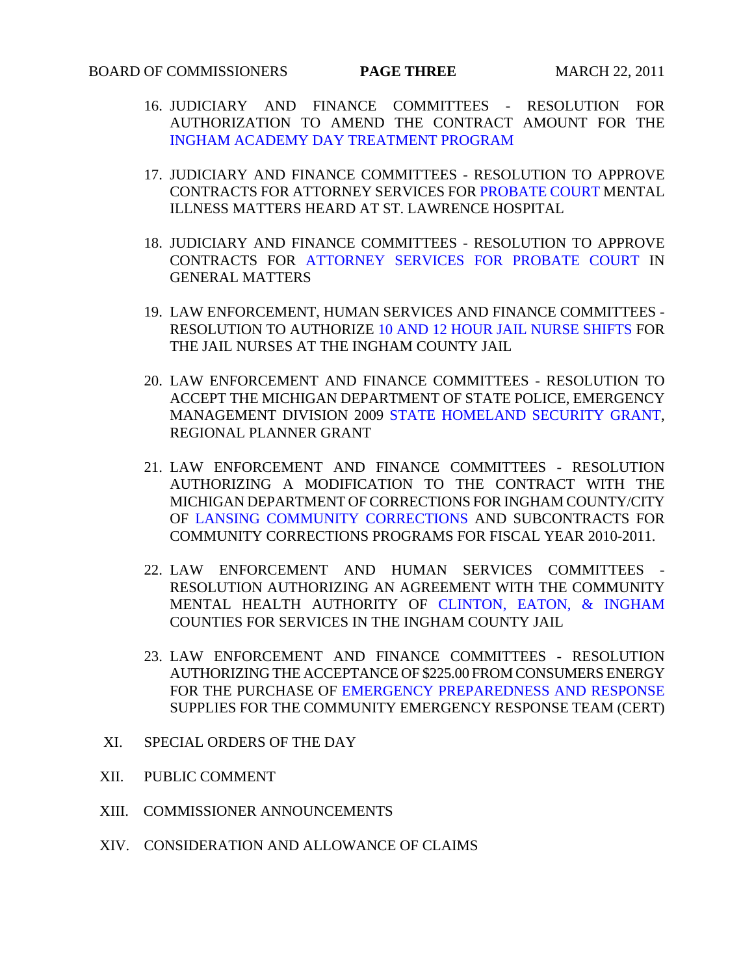- 16. JUDICIARY AND FINANCE COMMITTEES RESOLUTION FOR AUTHORIZATION TO AMEND THE CONTRACT AMOUNT FOR THE [INGHAM ACADEMY DAY TREATMENT PROGRAM](#page-56-0)
- 17. JUDICIARY AND FINANCE COMMITTEES RESOLUTION TO APPROVE CONTRACTS FOR ATTORNEY SERVICES FO[R PROBATE COURT ME](#page-57-0)NTAL ILLNESS MATTERS HEARD AT ST. LAWRENCE HOSPITAL
- 18. JUDICIARY AND FINANCE COMMITTEES RESOLUTION TO APPROVE CONTRACTS F[OR ATTORNEY SERVICES FOR PROBATE COURT IN](#page-58-0) GENERAL MATTERS
- 19. LAW ENFORCEMENT, HUMAN SERVICES AND FINANCE COMMITTEES RESOLUTION TO AUTHORI[ZE 10 AND 12 HOUR JAIL NURSE SHIFTS FOR](#page-59-0)  THE JAIL NURSES AT THE INGHAM COUNTY JAIL
- 20. LAW ENFORCEMENT AND FINANCE COMMITTEES RESOLUTION TO ACCEPT THE MICHIGAN DEPARTMENT OF STATE POLICE, EMERGENCY MANAGEMENT DIVISION 200[9 STATE HOMELAND SECURITY GRANT,](#page-61-0)  REGIONAL PLANNER GRANT
- 21. LAW ENFORCEMENT AND FINANCE COMMITTEES RESOLUTION AUTHORIZING A MODIFICATION TO THE CONTRACT WITH THE MICHIGAN DEPARTMENT OF CORRECTIONS FOR INGHAM COUNTY/CITY O[F LANSING COMMUNITY CORRECTIONS AND](#page-62-0) SUBCONTRACTS FOR COMMUNITY CORRECTIONS PROGRAMS FOR FISCAL YEAR 2010-2011.
- 22. LAW ENFORCEMENT AND HUMAN SERVICES COMMITTEES RESOLUTION AUTHORIZING AN AGREEMENT WITH THE COMMUNITY MENTAL HEALTH AUTHORITY O[F CLINTON, EATON, & INGHAM](#page-64-0) COUNTIES FOR SERVICES IN THE INGHAM COUNTY JAIL
- 23. LAW ENFORCEMENT AND FINANCE COMMITTEES RESOLUTION AUTHORIZING THE ACCEPTANCE OF \$225.00 FROM CONSUMERS ENERGY FOR THE PURCHASE O[F EMERGENCY PREPAREDNESS AND RESPONSE](#page-65-0) SUPPLIES FOR THE COMMUNITY EMERGENCY RESPONSE TEAM (CERT)
- XI. SPECIAL ORDERS OF THE DAY
- XII. PUBLIC COMMENT
- XIII. COMMISSIONER ANNOUNCEMENTS
- XIV. CONSIDERATION AND ALLOWANCE OF CLAIMS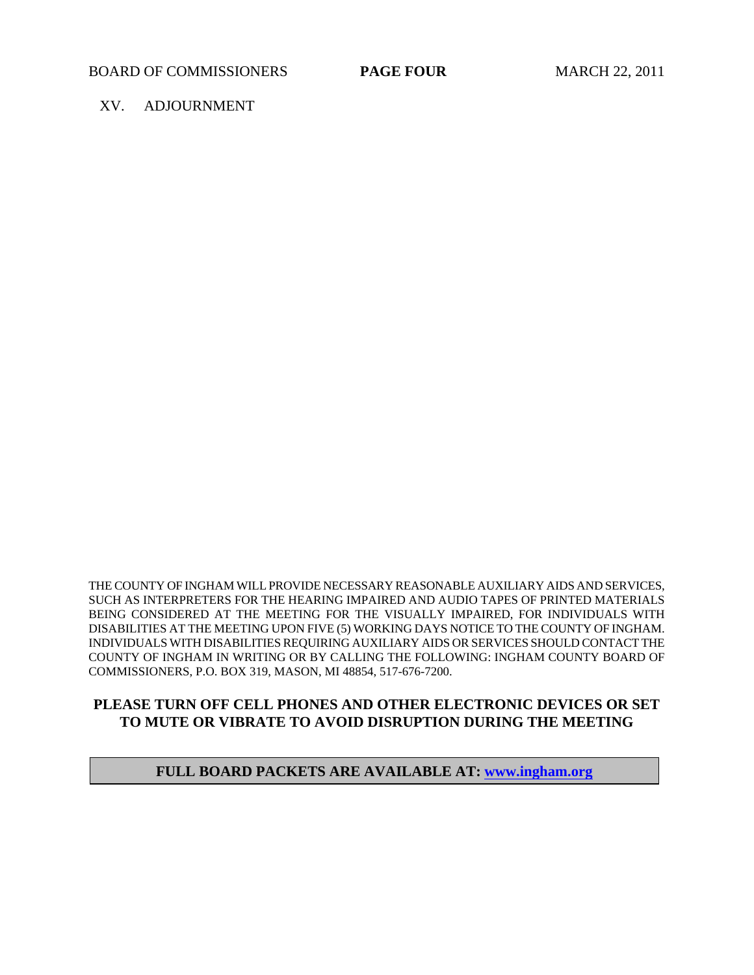#### XV. ADJOURNMENT

THE COUNTY OF INGHAM WILL PROVIDE NECESSARY REASONABLE AUXILIARY AIDS AND SERVICES, SUCH AS INTERPRETERS FOR THE HEARING IMPAIRED AND AUDIO TAPES OF PRINTED MATERIALS BEING CONSIDERED AT THE MEETING FOR THE VISUALLY IMPAIRED, FOR INDIVIDUALS WITH DISABILITIES AT THE MEETING UPON FIVE (5) WORKING DAYS NOTICE TO THE COUNTY OF INGHAM. INDIVIDUALS WITH DISABILITIES REQUIRING AUXILIARY AIDS OR SERVICES SHOULD CONTACT THE COUNTY OF INGHAM IN WRITING OR BY CALLING THE FOLLOWING: INGHAM COUNTY BOARD OF COMMISSIONERS, P.O. BOX 319, MASON, MI 48854, 517-676-7200.

## **PLEASE TURN OFF CELL PHONES AND OTHER ELECTRONIC DEVICES OR SET TO MUTE OR VIBRATE TO AVOID DISRUPTION DURING THE MEETING**

## **FULL BOARD PACKETS ARE AVAILABLE AT: www.ingham.org**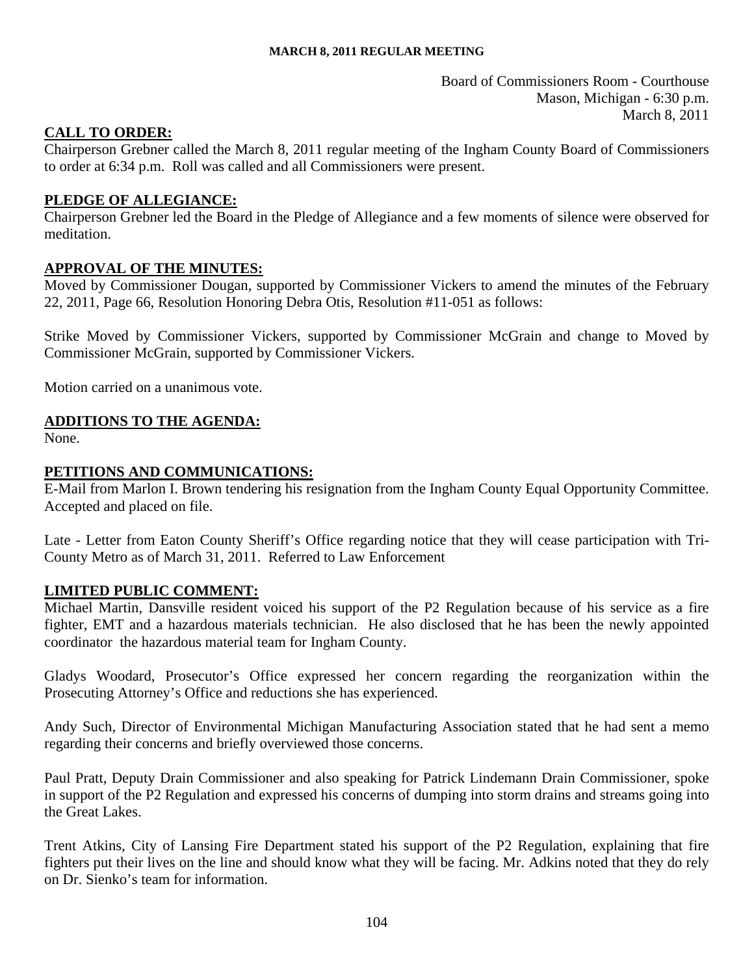Board of Commissioners Room - Courthouse Mason, Michigan - 6:30 p.m. March 8, 2011

## <span id="page-4-0"></span>**CALL TO ORDER:**

Chairperson Grebner called the March 8, 2011 regular meeting of the Ingham County Board of Commissioners to order at 6:34 p.m. Roll was called and all Commissioners were present.

## **PLEDGE OF ALLEGIANCE:**

Chairperson Grebner led the Board in the Pledge of Allegiance and a few moments of silence were observed for meditation.

#### **APPROVAL OF THE MINUTES:**

Moved by Commissioner Dougan, supported by Commissioner Vickers to amend the minutes of the February 22, 2011, Page 66, Resolution Honoring Debra Otis, Resolution #11-051 as follows:

Strike Moved by Commissioner Vickers, supported by Commissioner McGrain and change to Moved by Commissioner McGrain, supported by Commissioner Vickers.

Motion carried on a unanimous vote.

## **ADDITIONS TO THE AGENDA:**

None.

#### **PETITIONS AND COMMUNICATIONS:**

E-Mail from Marlon I. Brown tendering his resignation from the Ingham County Equal Opportunity Committee. Accepted and placed on file.

Late - Letter from Eaton County Sheriff's Office regarding notice that they will cease participation with Tri-County Metro as of March 31, 2011. Referred to Law Enforcement

#### **LIMITED PUBLIC COMMENT:**

Michael Martin, Dansville resident voiced his support of the P2 Regulation because of his service as a fire fighter, EMT and a hazardous materials technician. He also disclosed that he has been the newly appointed coordinator the hazardous material team for Ingham County.

Gladys Woodard, Prosecutor's Office expressed her concern regarding the reorganization within the Prosecuting Attorney's Office and reductions she has experienced.

Andy Such, Director of Environmental Michigan Manufacturing Association stated that he had sent a memo regarding their concerns and briefly overviewed those concerns.

Paul Pratt, Deputy Drain Commissioner and also speaking for Patrick Lindemann Drain Commissioner, spoke in support of the P2 Regulation and expressed his concerns of dumping into storm drains and streams going into the Great Lakes.

Trent Atkins, City of Lansing Fire Department stated his support of the P2 Regulation, explaining that fire fighters put their lives on the line and should know what they will be facing. Mr. Adkins noted that they do rely on Dr. Sienko's team for information.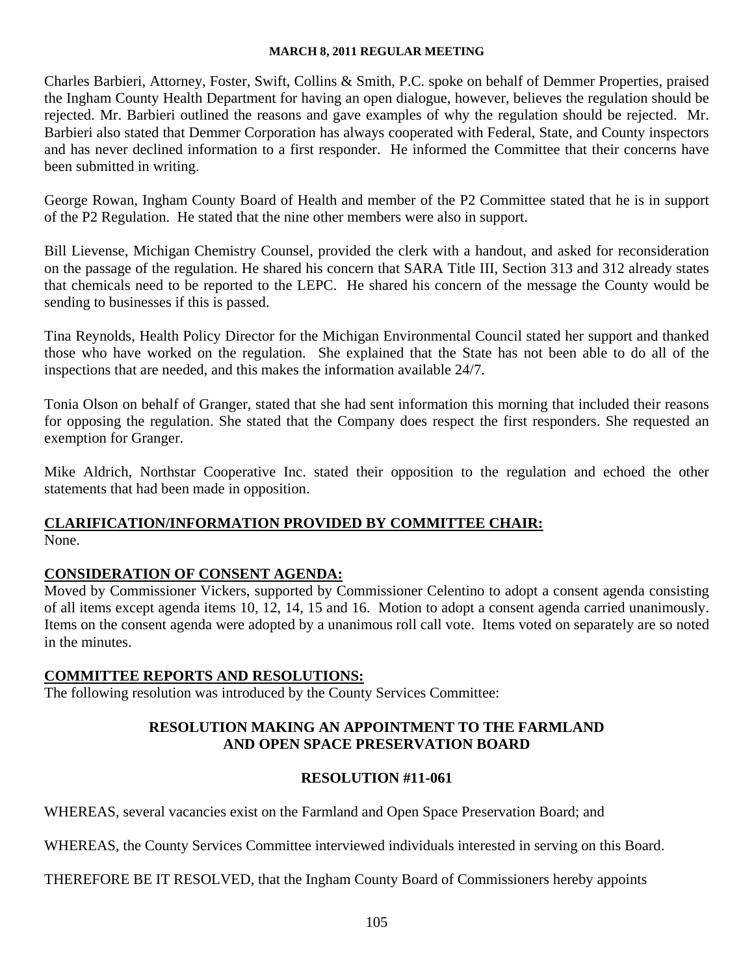Charles Barbieri, Attorney, Foster, Swift, Collins & Smith, P.C. spoke on behalf of Demmer Properties, praised the Ingham County Health Department for having an open dialogue, however, believes the regulation should be rejected. Mr. Barbieri outlined the reasons and gave examples of why the regulation should be rejected. Mr. Barbieri also stated that Demmer Corporation has always cooperated with Federal, State, and County inspectors and has never declined information to a first responder. He informed the Committee that their concerns have been submitted in writing.

George Rowan, Ingham County Board of Health and member of the P2 Committee stated that he is in support of the P2 Regulation. He stated that the nine other members were also in support.

Bill Lievense, Michigan Chemistry Counsel, provided the clerk with a handout, and asked for reconsideration on the passage of the regulation. He shared his concern that SARA Title III, Section 313 and 312 already states that chemicals need to be reported to the LEPC. He shared his concern of the message the County would be sending to businesses if this is passed.

Tina Reynolds, Health Policy Director for the Michigan Environmental Council stated her support and thanked those who have worked on the regulation. She explained that the State has not been able to do all of the inspections that are needed, and this makes the information available 24/7.

Tonia Olson on behalf of Granger, stated that she had sent information this morning that included their reasons for opposing the regulation. She stated that the Company does respect the first responders. She requested an exemption for Granger.

Mike Aldrich, Northstar Cooperative Inc. stated their opposition to the regulation and echoed the other statements that had been made in opposition.

## **CLARIFICATION/INFORMATION PROVIDED BY COMMITTEE CHAIR:** None.

## **CONSIDERATION OF CONSENT AGENDA:**

Moved by Commissioner Vickers, supported by Commissioner Celentino to adopt a consent agenda consisting of all items except agenda items 10, 12, 14, 15 and 16. Motion to adopt a consent agenda carried unanimously. Items on the consent agenda were adopted by a unanimous roll call vote. Items voted on separately are so noted in the minutes.

## **COMMITTEE REPORTS AND RESOLUTIONS:**

The following resolution was introduced by the County Services Committee:

## **RESOLUTION MAKING AN APPOINTMENT TO THE FARMLAND AND OPEN SPACE PRESERVATION BOARD**

## **RESOLUTION #11-061**

WHEREAS, several vacancies exist on the Farmland and Open Space Preservation Board; and

WHEREAS, the County Services Committee interviewed individuals interested in serving on this Board.

THEREFORE BE IT RESOLVED, that the Ingham County Board of Commissioners hereby appoints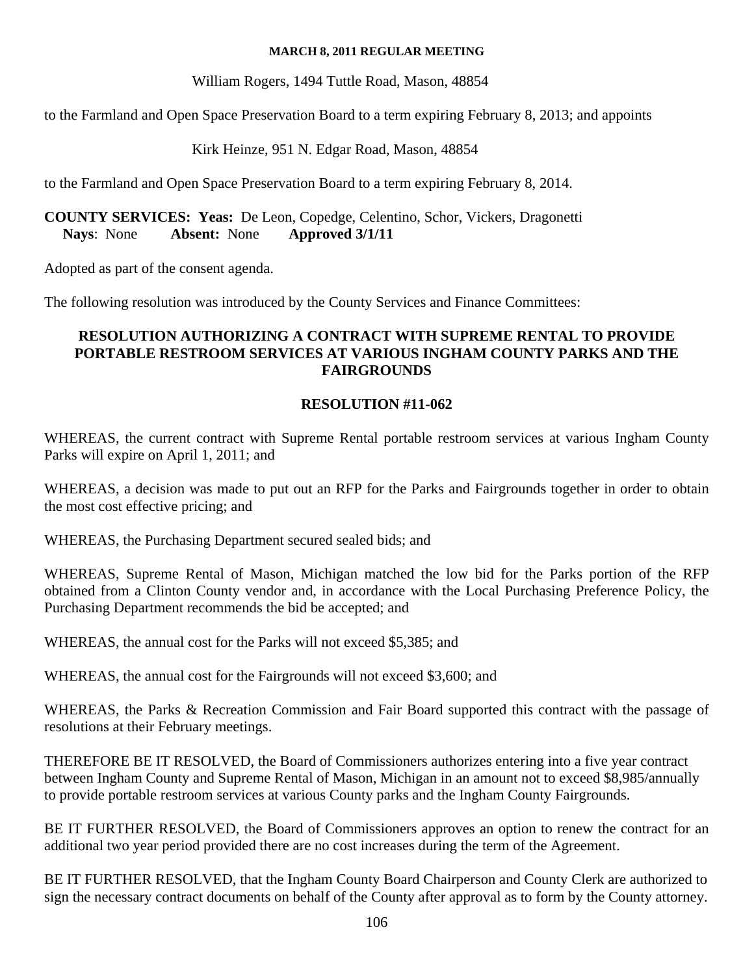William Rogers, 1494 Tuttle Road, Mason, 48854

to the Farmland and Open Space Preservation Board to a term expiring February 8, 2013; and appoints

Kirk Heinze, 951 N. Edgar Road, Mason, 48854

to the Farmland and Open Space Preservation Board to a term expiring February 8, 2014.

**COUNTY SERVICES: Yeas:** De Leon, Copedge, Celentino, Schor, Vickers, Dragonetti **Nays**: None **Absent:** None **Approved 3/1/11** 

Adopted as part of the consent agenda.

The following resolution was introduced by the County Services and Finance Committees:

## **RESOLUTION AUTHORIZING A CONTRACT WITH SUPREME RENTAL TO PROVIDE PORTABLE RESTROOM SERVICES AT VARIOUS INGHAM COUNTY PARKS AND THE FAIRGROUNDS**

## **RESOLUTION #11-062**

WHEREAS, the current contract with Supreme Rental portable restroom services at various Ingham County Parks will expire on April 1, 2011; and

WHEREAS, a decision was made to put out an RFP for the Parks and Fairgrounds together in order to obtain the most cost effective pricing; and

WHEREAS, the Purchasing Department secured sealed bids; and

WHEREAS, Supreme Rental of Mason, Michigan matched the low bid for the Parks portion of the RFP obtained from a Clinton County vendor and, in accordance with the Local Purchasing Preference Policy, the Purchasing Department recommends the bid be accepted; and

WHEREAS, the annual cost for the Parks will not exceed \$5,385; and

WHEREAS, the annual cost for the Fairgrounds will not exceed \$3,600; and

WHEREAS, the Parks & Recreation Commission and Fair Board supported this contract with the passage of resolutions at their February meetings.

THEREFORE BE IT RESOLVED, the Board of Commissioners authorizes entering into a five year contract between Ingham County and Supreme Rental of Mason, Michigan in an amount not to exceed \$8,985/annually to provide portable restroom services at various County parks and the Ingham County Fairgrounds.

BE IT FURTHER RESOLVED, the Board of Commissioners approves an option to renew the contract for an additional two year period provided there are no cost increases during the term of the Agreement.

BE IT FURTHER RESOLVED, that the Ingham County Board Chairperson and County Clerk are authorized to sign the necessary contract documents on behalf of the County after approval as to form by the County attorney.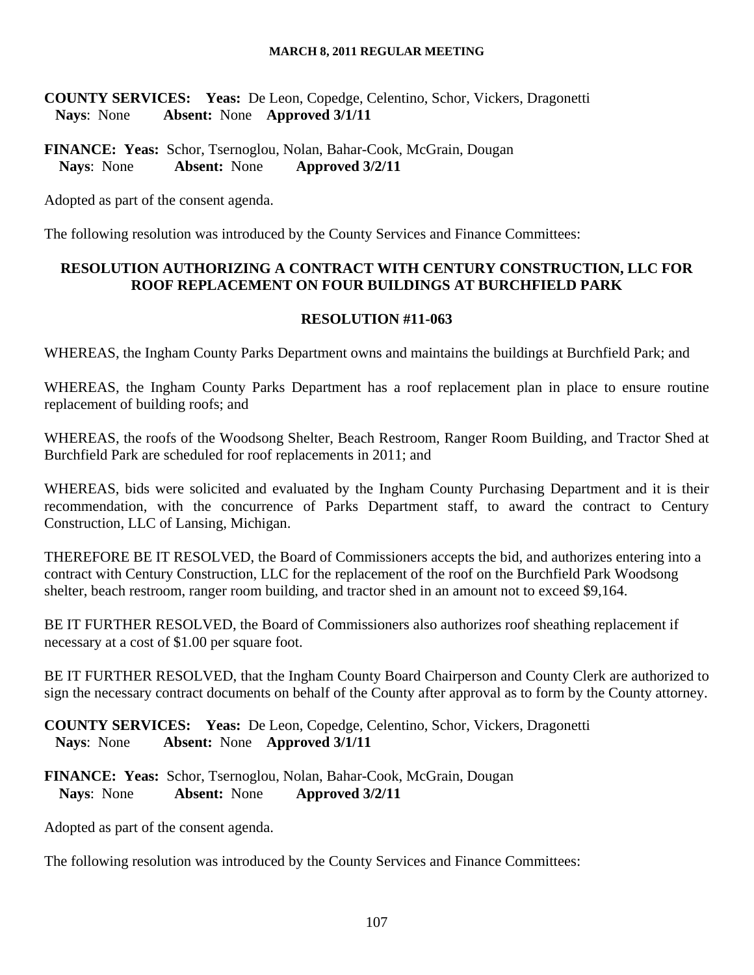**COUNTY SERVICES: Yeas:** De Leon, Copedge, Celentino, Schor, Vickers, Dragonetti **Nays**: None **Absent:** None **Approved 3/1/11** 

**FINANCE: Yeas:** Schor, Tsernoglou, Nolan, Bahar-Cook, McGrain, Dougan Navs: None Absent: None Approved 3/2/11 **Nays**: None **Absent:** None **Approved 3/2/11** 

Adopted as part of the consent agenda.

The following resolution was introduced by the County Services and Finance Committees:

## **RESOLUTION AUTHORIZING A CONTRACT WITH CENTURY CONSTRUCTION, LLC FOR ROOF REPLACEMENT ON FOUR BUILDINGS AT BURCHFIELD PARK**

## **RESOLUTION #11-063**

WHEREAS, the Ingham County Parks Department owns and maintains the buildings at Burchfield Park; and

WHEREAS, the Ingham County Parks Department has a roof replacement plan in place to ensure routine replacement of building roofs; and

WHEREAS, the roofs of the Woodsong Shelter, Beach Restroom, Ranger Room Building, and Tractor Shed at Burchfield Park are scheduled for roof replacements in 2011; and

WHEREAS, bids were solicited and evaluated by the Ingham County Purchasing Department and it is their recommendation, with the concurrence of Parks Department staff, to award the contract to Century Construction, LLC of Lansing, Michigan.

THEREFORE BE IT RESOLVED, the Board of Commissioners accepts the bid, and authorizes entering into a contract with Century Construction, LLC for the replacement of the roof on the Burchfield Park Woodsong shelter, beach restroom, ranger room building, and tractor shed in an amount not to exceed \$9,164.

BE IT FURTHER RESOLVED, the Board of Commissioners also authorizes roof sheathing replacement if necessary at a cost of \$1.00 per square foot.

BE IT FURTHER RESOLVED, that the Ingham County Board Chairperson and County Clerk are authorized to sign the necessary contract documents on behalf of the County after approval as to form by the County attorney.

**COUNTY SERVICES: Yeas:** De Leon, Copedge, Celentino, Schor, Vickers, Dragonetti **Nays**: None **Absent:** None **Approved 3/1/11** 

**FINANCE: Yeas:** Schor, Tsernoglou, Nolan, Bahar-Cook, McGrain, Dougan **Nays**: None **Absent:** None **Approved 3/2/11** 

Adopted as part of the consent agenda.

The following resolution was introduced by the County Services and Finance Committees: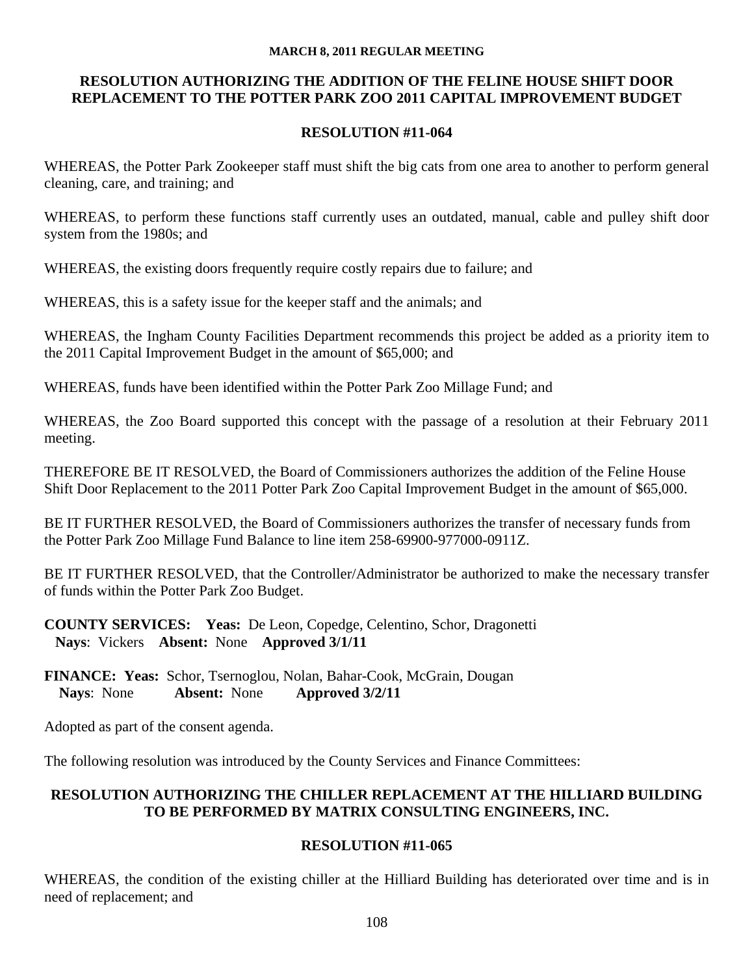#### **RESOLUTION AUTHORIZING THE ADDITION OF THE FELINE HOUSE SHIFT DOOR REPLACEMENT TO THE POTTER PARK ZOO 2011 CAPITAL IMPROVEMENT BUDGET**

#### **RESOLUTION #11-064**

WHEREAS, the Potter Park Zookeeper staff must shift the big cats from one area to another to perform general cleaning, care, and training; and

WHEREAS, to perform these functions staff currently uses an outdated, manual, cable and pulley shift door system from the 1980s; and

WHEREAS, the existing doors frequently require costly repairs due to failure; and

WHEREAS, this is a safety issue for the keeper staff and the animals; and

WHEREAS, the Ingham County Facilities Department recommends this project be added as a priority item to the 2011 Capital Improvement Budget in the amount of \$65,000; and

WHEREAS, funds have been identified within the Potter Park Zoo Millage Fund; and

WHEREAS, the Zoo Board supported this concept with the passage of a resolution at their February 2011 meeting.

THEREFORE BE IT RESOLVED, the Board of Commissioners authorizes the addition of the Feline House Shift Door Replacement to the 2011 Potter Park Zoo Capital Improvement Budget in the amount of \$65,000.

BE IT FURTHER RESOLVED, the Board of Commissioners authorizes the transfer of necessary funds from the Potter Park Zoo Millage Fund Balance to line item 258-69900-977000-0911Z.

BE IT FURTHER RESOLVED, that the Controller/Administrator be authorized to make the necessary transfer of funds within the Potter Park Zoo Budget.

**COUNTY SERVICES: Yeas:** De Leon, Copedge, Celentino, Schor, Dragonetti **Nays**: Vickers **Absent:** None **Approved 3/1/11** 

**FINANCE: Yeas:** Schor, Tsernoglou, Nolan, Bahar-Cook, McGrain, Dougan **Nays**: None **Absent:** None **Approved 3/2/11** 

Adopted as part of the consent agenda.

The following resolution was introduced by the County Services and Finance Committees:

## **RESOLUTION AUTHORIZING THE CHILLER REPLACEMENT AT THE HILLIARD BUILDING TO BE PERFORMED BY MATRIX CONSULTING ENGINEERS, INC.**

#### **RESOLUTION #11-065**

WHEREAS, the condition of the existing chiller at the Hilliard Building has deteriorated over time and is in need of replacement; and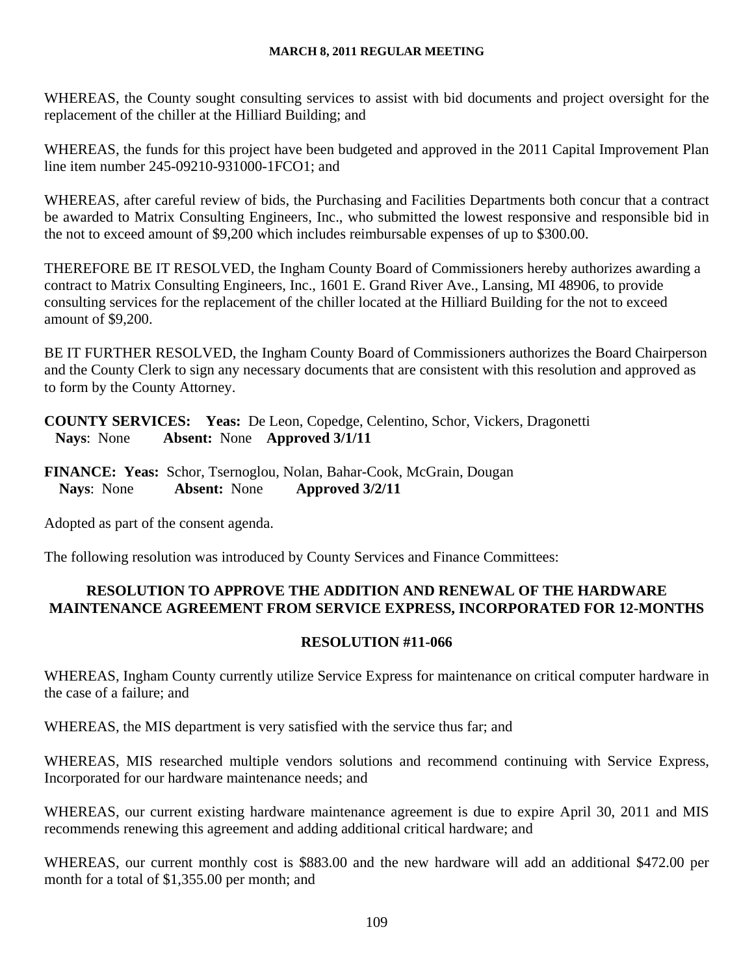WHEREAS, the County sought consulting services to assist with bid documents and project oversight for the replacement of the chiller at the Hilliard Building; and

WHEREAS, the funds for this project have been budgeted and approved in the 2011 Capital Improvement Plan line item number 245-09210-931000-1FCO1; and

WHEREAS, after careful review of bids, the Purchasing and Facilities Departments both concur that a contract be awarded to Matrix Consulting Engineers, Inc., who submitted the lowest responsive and responsible bid in the not to exceed amount of \$9,200 which includes reimbursable expenses of up to \$300.00.

THEREFORE BE IT RESOLVED, the Ingham County Board of Commissioners hereby authorizes awarding a contract to Matrix Consulting Engineers, Inc., 1601 E. Grand River Ave., Lansing, MI 48906, to provide consulting services for the replacement of the chiller located at the Hilliard Building for the not to exceed amount of \$9,200.

BE IT FURTHER RESOLVED, the Ingham County Board of Commissioners authorizes the Board Chairperson and the County Clerk to sign any necessary documents that are consistent with this resolution and approved as to form by the County Attorney.

**COUNTY SERVICES: Yeas:** De Leon, Copedge, Celentino, Schor, Vickers, Dragonetti **Nays**: None **Absent:** None **Approved 3/1/11** 

**FINANCE: Yeas:** Schor, Tsernoglou, Nolan, Bahar-Cook, McGrain, Dougan **Nays**: None **Absent:** None **Approved 3/2/11** 

Adopted as part of the consent agenda.

The following resolution was introduced by County Services and Finance Committees:

## **RESOLUTION TO APPROVE THE ADDITION AND RENEWAL OF THE HARDWARE MAINTENANCE AGREEMENT FROM SERVICE EXPRESS, INCORPORATED FOR 12-MONTHS**

#### **RESOLUTION #11-066**

WHEREAS, Ingham County currently utilize Service Express for maintenance on critical computer hardware in the case of a failure; and

WHEREAS, the MIS department is very satisfied with the service thus far; and

WHEREAS, MIS researched multiple vendors solutions and recommend continuing with Service Express, Incorporated for our hardware maintenance needs; and

WHEREAS, our current existing hardware maintenance agreement is due to expire April 30, 2011 and MIS recommends renewing this agreement and adding additional critical hardware; and

WHEREAS, our current monthly cost is \$883.00 and the new hardware will add an additional \$472.00 per month for a total of \$1,355.00 per month; and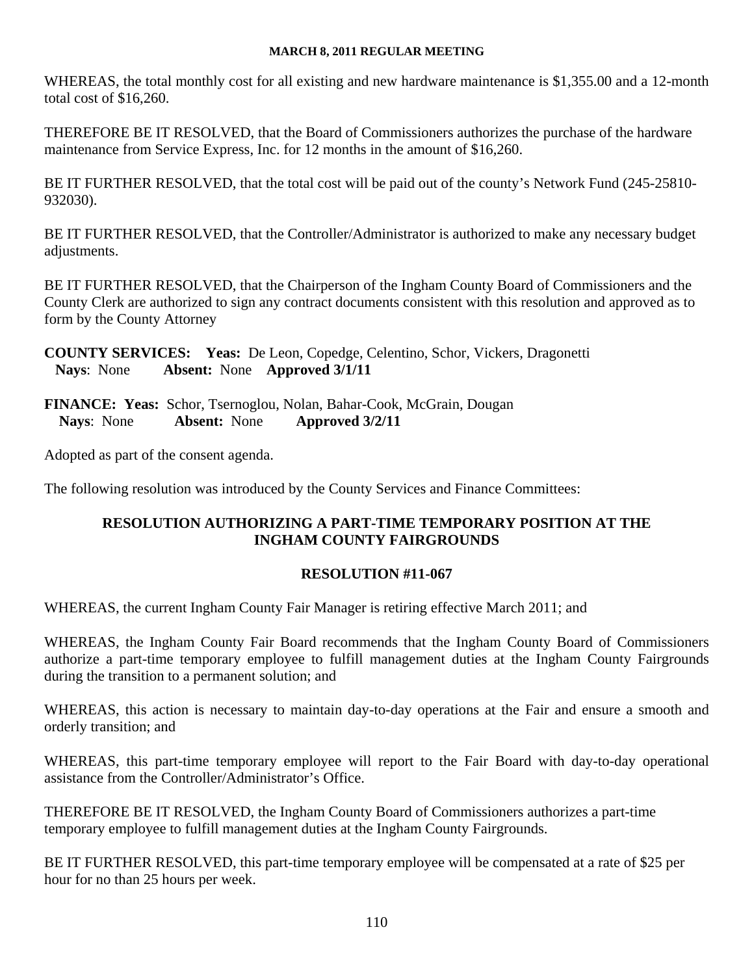WHEREAS, the total monthly cost for all existing and new hardware maintenance is \$1,355.00 and a 12-month total cost of \$16,260.

THEREFORE BE IT RESOLVED, that the Board of Commissioners authorizes the purchase of the hardware maintenance from Service Express, Inc. for 12 months in the amount of \$16,260.

BE IT FURTHER RESOLVED, that the total cost will be paid out of the county's Network Fund (245-25810- 932030).

BE IT FURTHER RESOLVED, that the Controller/Administrator is authorized to make any necessary budget adjustments.

BE IT FURTHER RESOLVED, that the Chairperson of the Ingham County Board of Commissioners and the County Clerk are authorized to sign any contract documents consistent with this resolution and approved as to form by the County Attorney

**COUNTY SERVICES: Yeas:** De Leon, Copedge, Celentino, Schor, Vickers, Dragonetti **Nays**: None **Absent:** None **Approved 3/1/11** 

**FINANCE: Yeas:** Schor, Tsernoglou, Nolan, Bahar-Cook, McGrain, Dougan Nays: None Absent: None Approved  $3/2/11$ **Nays**: None **Absent:** None **Approved 3/2/11** 

Adopted as part of the consent agenda.

The following resolution was introduced by the County Services and Finance Committees:

## **RESOLUTION AUTHORIZING A PART-TIME TEMPORARY POSITION AT THE INGHAM COUNTY FAIRGROUNDS**

## **RESOLUTION #11-067**

WHEREAS, the current Ingham County Fair Manager is retiring effective March 2011; and

WHEREAS, the Ingham County Fair Board recommends that the Ingham County Board of Commissioners authorize a part-time temporary employee to fulfill management duties at the Ingham County Fairgrounds during the transition to a permanent solution; and

WHEREAS, this action is necessary to maintain day-to-day operations at the Fair and ensure a smooth and orderly transition; and

WHEREAS, this part-time temporary employee will report to the Fair Board with day-to-day operational assistance from the Controller/Administrator's Office.

THEREFORE BE IT RESOLVED, the Ingham County Board of Commissioners authorizes a part-time temporary employee to fulfill management duties at the Ingham County Fairgrounds.

BE IT FURTHER RESOLVED, this part-time temporary employee will be compensated at a rate of \$25 per hour for no than 25 hours per week.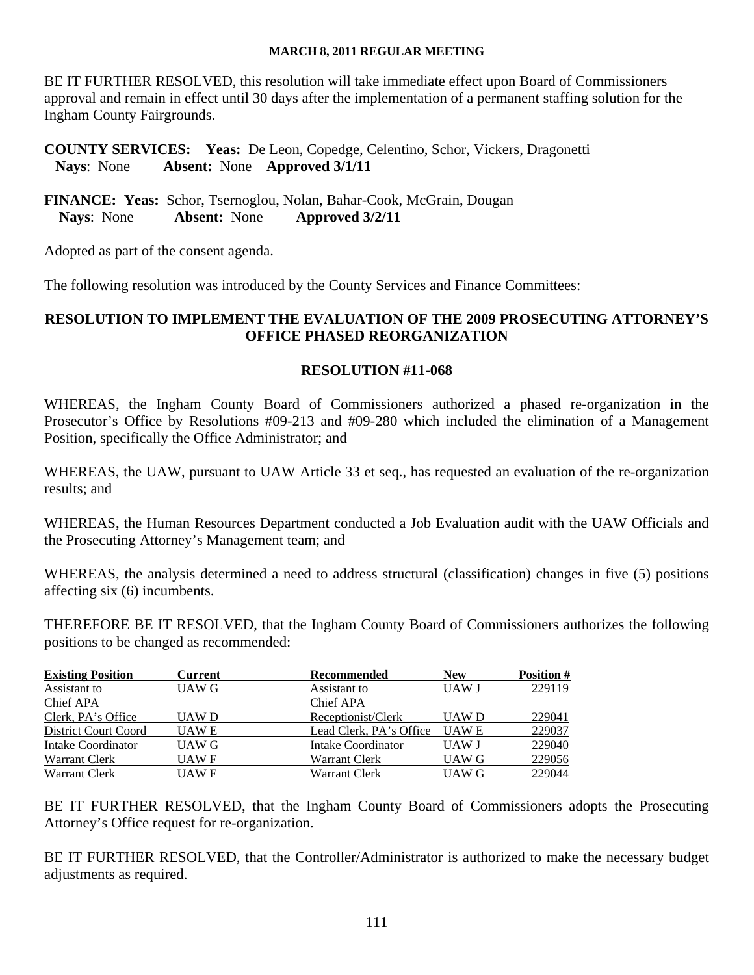BE IT FURTHER RESOLVED, this resolution will take immediate effect upon Board of Commissioners approval and remain in effect until 30 days after the implementation of a permanent staffing solution for the Ingham County Fairgrounds.

**COUNTY SERVICES: Yeas:** De Leon, Copedge, Celentino, Schor, Vickers, Dragonetti **Nays**: None **Absent:** None **Approved 3/1/11** 

**FINANCE: Yeas:** Schor, Tsernoglou, Nolan, Bahar-Cook, McGrain, Dougan **Nays**: None **Absent:** None **Approved 3/2/11** 

Adopted as part of the consent agenda.

The following resolution was introduced by the County Services and Finance Committees:

## **RESOLUTION TO IMPLEMENT THE EVALUATION OF THE 2009 PROSECUTING ATTORNEY'S OFFICE PHASED REORGANIZATION**

#### **RESOLUTION #11-068**

WHEREAS, the Ingham County Board of Commissioners authorized a phased re-organization in the Prosecutor's Office by Resolutions #09-213 and #09-280 which included the elimination of a Management Position, specifically the Office Administrator; and

WHEREAS, the UAW, pursuant to UAW Article 33 et seq., has requested an evaluation of the re-organization results; and

WHEREAS, the Human Resources Department conducted a Job Evaluation audit with the UAW Officials and the Prosecuting Attorney's Management team; and

WHEREAS, the analysis determined a need to address structural (classification) changes in five (5) positions affecting six (6) incumbents.

THEREFORE BE IT RESOLVED, that the Ingham County Board of Commissioners authorizes the following positions to be changed as recommended:

| <b>Existing Position</b>    | <b>Current</b> | Recommended             | <b>New</b>   | <b>Position #</b> |
|-----------------------------|----------------|-------------------------|--------------|-------------------|
| Assistant to                | UAW G          | Assistant to            | <b>UAW J</b> | 229119            |
| Chief APA                   |                | Chief APA               |              |                   |
| Clerk, PA's Office          | UAW D          | Receptionist/Clerk      | UAW D        | 229041            |
| <b>District Court Coord</b> | UAW E          | Lead Clerk, PA's Office | <b>UAWE</b>  | 229037            |
| Intake Coordinator          | UAW G          | Intake Coordinator      | UAW J        | 229040            |
| Warrant Clerk               | UAW F          | Warrant Clerk           | UAW G        | 229056            |
| Warrant Clerk               | UAW F          | Warrant Clerk           | UAW G        | 229044            |

BE IT FURTHER RESOLVED, that the Ingham County Board of Commissioners adopts the Prosecuting Attorney's Office request for re-organization.

BE IT FURTHER RESOLVED, that the Controller/Administrator is authorized to make the necessary budget adjustments as required.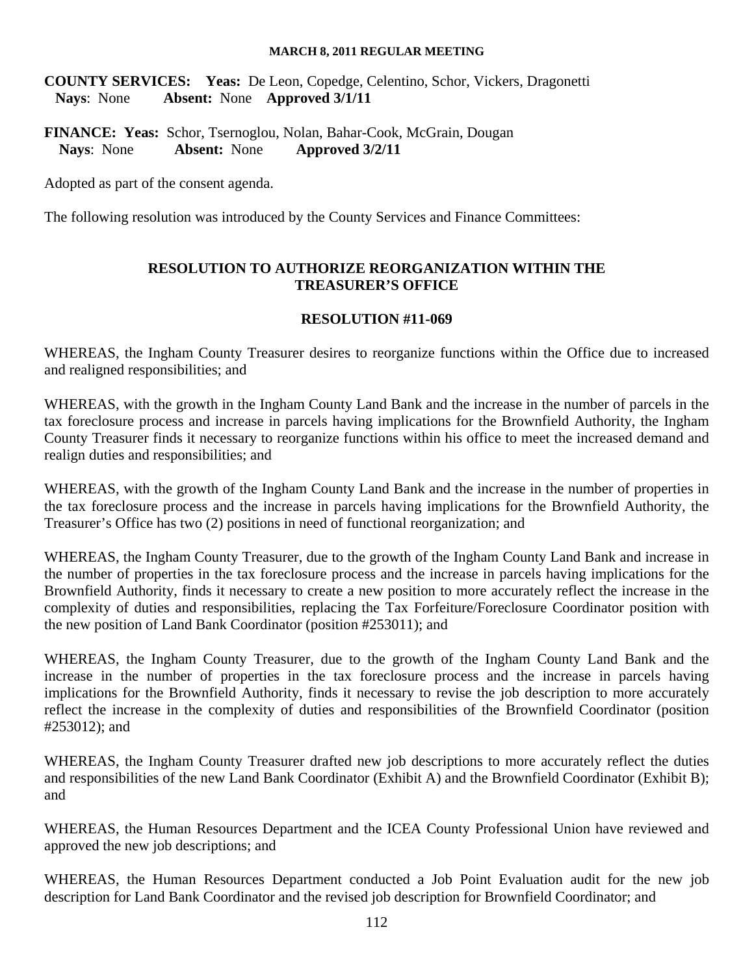**COUNTY SERVICES: Yeas:** De Leon, Copedge, Celentino, Schor, Vickers, Dragonetti **Nays**: None **Absent:** None **Approved 3/1/11** 

**FINANCE: Yeas:** Schor, Tsernoglou, Nolan, Bahar-Cook, McGrain, Dougan **Nays**: None **Absent:** None **Approved 3/2/11** 

Adopted as part of the consent agenda.

The following resolution was introduced by the County Services and Finance Committees:

## **RESOLUTION TO AUTHORIZE REORGANIZATION WITHIN THE TREASURER'S OFFICE**

#### **RESOLUTION #11-069**

WHEREAS, the Ingham County Treasurer desires to reorganize functions within the Office due to increased and realigned responsibilities; and

WHEREAS, with the growth in the Ingham County Land Bank and the increase in the number of parcels in the tax foreclosure process and increase in parcels having implications for the Brownfield Authority, the Ingham County Treasurer finds it necessary to reorganize functions within his office to meet the increased demand and realign duties and responsibilities; and

WHEREAS, with the growth of the Ingham County Land Bank and the increase in the number of properties in the tax foreclosure process and the increase in parcels having implications for the Brownfield Authority, the Treasurer's Office has two (2) positions in need of functional reorganization; and

WHEREAS, the Ingham County Treasurer, due to the growth of the Ingham County Land Bank and increase in the number of properties in the tax foreclosure process and the increase in parcels having implications for the Brownfield Authority, finds it necessary to create a new position to more accurately reflect the increase in the complexity of duties and responsibilities, replacing the Tax Forfeiture/Foreclosure Coordinator position with the new position of Land Bank Coordinator (position #253011); and

WHEREAS, the Ingham County Treasurer, due to the growth of the Ingham County Land Bank and the increase in the number of properties in the tax foreclosure process and the increase in parcels having implications for the Brownfield Authority, finds it necessary to revise the job description to more accurately reflect the increase in the complexity of duties and responsibilities of the Brownfield Coordinator (position #253012); and

WHEREAS, the Ingham County Treasurer drafted new job descriptions to more accurately reflect the duties and responsibilities of the new Land Bank Coordinator (Exhibit A) and the Brownfield Coordinator (Exhibit B); and

WHEREAS, the Human Resources Department and the ICEA County Professional Union have reviewed and approved the new job descriptions; and

WHEREAS, the Human Resources Department conducted a Job Point Evaluation audit for the new job description for Land Bank Coordinator and the revised job description for Brownfield Coordinator; and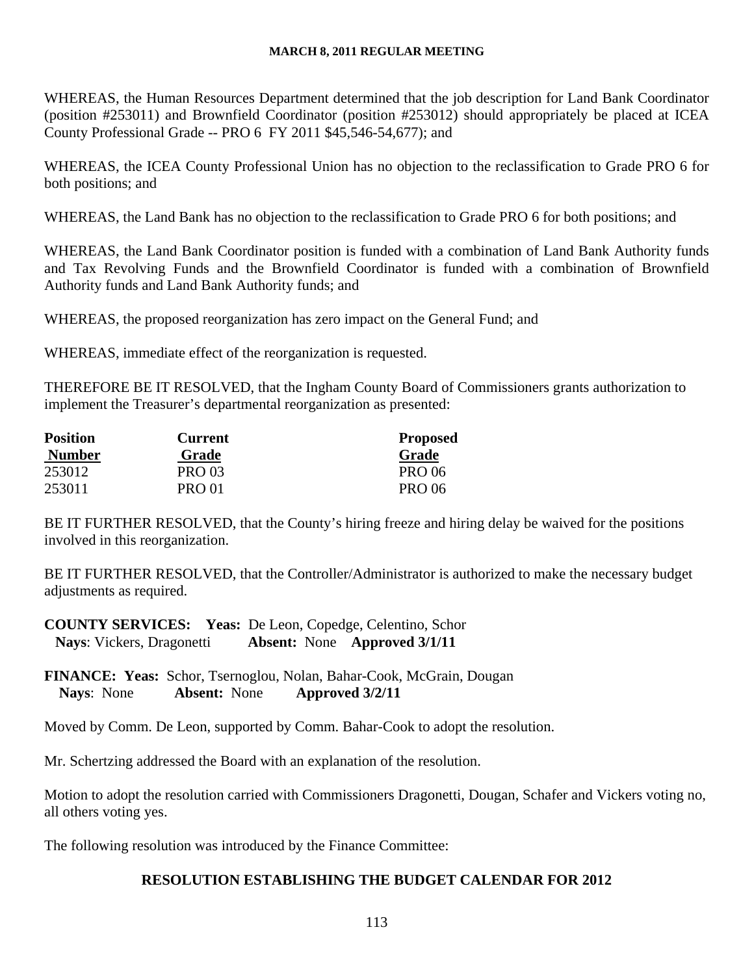WHEREAS, the Human Resources Department determined that the job description for Land Bank Coordinator (position #253011) and Brownfield Coordinator (position #253012) should appropriately be placed at ICEA County Professional Grade -- PRO 6 FY 2011 \$45,546-54,677); and

WHEREAS, the ICEA County Professional Union has no objection to the reclassification to Grade PRO 6 for both positions; and

WHEREAS, the Land Bank has no objection to the reclassification to Grade PRO 6 for both positions; and

WHEREAS, the Land Bank Coordinator position is funded with a combination of Land Bank Authority funds and Tax Revolving Funds and the Brownfield Coordinator is funded with a combination of Brownfield Authority funds and Land Bank Authority funds; and

WHEREAS, the proposed reorganization has zero impact on the General Fund; and

WHEREAS, immediate effect of the reorganization is requested.

THEREFORE BE IT RESOLVED, that the Ingham County Board of Commissioners grants authorization to implement the Treasurer's departmental reorganization as presented:

| <b>Position</b> | <b>Current</b> | <b>Proposed</b> |
|-----------------|----------------|-----------------|
| <b>Number</b>   | Grade          | Grade           |
| 253012          | <b>PRO 03</b>  | <b>PRO 06</b>   |
| 253011          | <b>PRO 01</b>  | <b>PRO 06</b>   |

BE IT FURTHER RESOLVED, that the County's hiring freeze and hiring delay be waived for the positions involved in this reorganization.

BE IT FURTHER RESOLVED, that the Controller/Administrator is authorized to make the necessary budget adjustments as required.

**COUNTY SERVICES: Yeas:** De Leon, Copedge, Celentino, Schor **Nays**: Vickers, Dragonetti **Absent:** None **Approved 3/1/11** 

**FINANCE: Yeas:** Schor, Tsernoglou, Nolan, Bahar-Cook, McGrain, Dougan **Nays**: None **Absent:** None **Approved 3/2/11** 

Moved by Comm. De Leon, supported by Comm. Bahar-Cook to adopt the resolution.

Mr. Schertzing addressed the Board with an explanation of the resolution.

Motion to adopt the resolution carried with Commissioners Dragonetti, Dougan, Schafer and Vickers voting no, all others voting yes.

The following resolution was introduced by the Finance Committee:

## **RESOLUTION ESTABLISHING THE BUDGET CALENDAR FOR 2012**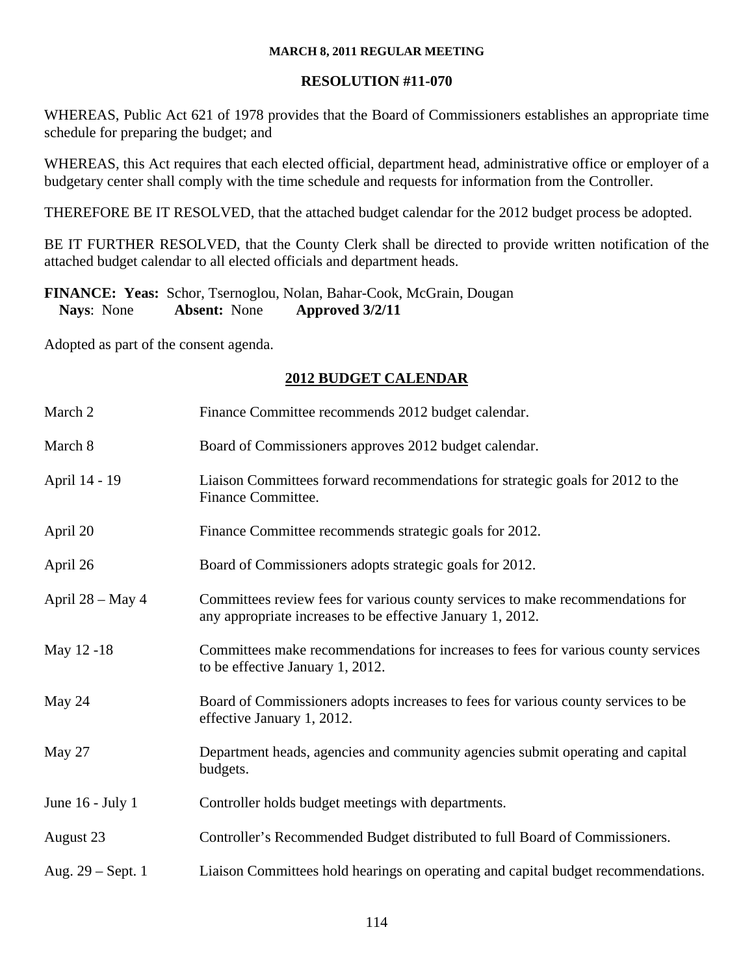## **RESOLUTION #11-070**

WHEREAS, Public Act 621 of 1978 provides that the Board of Commissioners establishes an appropriate time schedule for preparing the budget; and

WHEREAS, this Act requires that each elected official, department head, administrative office or employer of a budgetary center shall comply with the time schedule and requests for information from the Controller.

THEREFORE BE IT RESOLVED, that the attached budget calendar for the 2012 budget process be adopted.

BE IT FURTHER RESOLVED, that the County Clerk shall be directed to provide written notification of the attached budget calendar to all elected officials and department heads.

## **FINANCE: Yeas:** Schor, Tsernoglou, Nolan, Bahar-Cook, McGrain, Dougan **Nays**: None **Absent:** None **Approved 3/2/11**

Adopted as part of the consent agenda.

## **2012 BUDGET CALENDAR**

| March 2             | Finance Committee recommends 2012 budget calendar.                                                                                           |
|---------------------|----------------------------------------------------------------------------------------------------------------------------------------------|
| March 8             | Board of Commissioners approves 2012 budget calendar.                                                                                        |
| April 14 - 19       | Liaison Committees forward recommendations for strategic goals for 2012 to the<br>Finance Committee.                                         |
| April 20            | Finance Committee recommends strategic goals for 2012.                                                                                       |
| April 26            | Board of Commissioners adopts strategic goals for 2012.                                                                                      |
| April $28 - May 4$  | Committees review fees for various county services to make recommendations for<br>any appropriate increases to be effective January 1, 2012. |
| May 12 -18          | Committees make recommendations for increases to fees for various county services<br>to be effective January 1, 2012.                        |
| May 24              | Board of Commissioners adopts increases to fees for various county services to be<br>effective January 1, 2012.                              |
| May 27              | Department heads, agencies and community agencies submit operating and capital<br>budgets.                                                   |
| June $16$ - July 1  | Controller holds budget meetings with departments.                                                                                           |
| August 23           | Controller's Recommended Budget distributed to full Board of Commissioners.                                                                  |
| Aug. $29$ – Sept. 1 | Liaison Committees hold hearings on operating and capital budget recommendations.                                                            |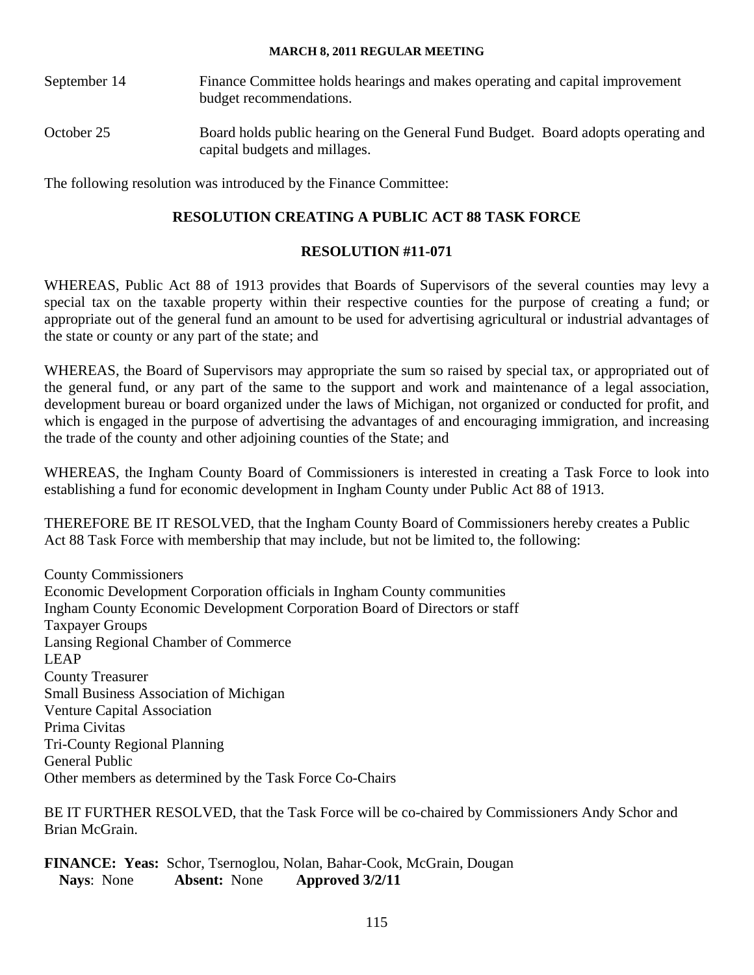September 14 Finance Committee holds hearings and makes operating and capital improvement budget recommendations. October 25 Board holds public hearing on the General Fund Budget. Board adopts operating and capital budgets and millages.

The following resolution was introduced by the Finance Committee:

## **RESOLUTION CREATING A PUBLIC ACT 88 TASK FORCE**

## **RESOLUTION #11-071**

WHEREAS, Public Act 88 of 1913 provides that Boards of Supervisors of the several counties may levy a special tax on the taxable property within their respective counties for the purpose of creating a fund; or appropriate out of the general fund an amount to be used for advertising agricultural or industrial advantages of the state or county or any part of the state; and

WHEREAS, the Board of Supervisors may appropriate the sum so raised by special tax, or appropriated out of the general fund, or any part of the same to the support and work and maintenance of a legal association, development bureau or board organized under the laws of Michigan, not organized or conducted for profit, and which is engaged in the purpose of advertising the advantages of and encouraging immigration, and increasing the trade of the county and other adjoining counties of the State; and

WHEREAS, the Ingham County Board of Commissioners is interested in creating a Task Force to look into establishing a fund for economic development in Ingham County under Public Act 88 of 1913.

THEREFORE BE IT RESOLVED, that the Ingham County Board of Commissioners hereby creates a Public Act 88 Task Force with membership that may include, but not be limited to, the following:

County Commissioners Economic Development Corporation officials in Ingham County communities Ingham County Economic Development Corporation Board of Directors or staff Taxpayer Groups Lansing Regional Chamber of Commerce LEAP County Treasurer Small Business Association of Michigan Venture Capital Association Prima Civitas Tri-County Regional Planning General Public Other members as determined by the Task Force Co-Chairs

BE IT FURTHER RESOLVED, that the Task Force will be co-chaired by Commissioners Andy Schor and Brian McGrain.

**FINANCE: Yeas:** Schor, Tsernoglou, Nolan, Bahar-Cook, McGrain, Dougan **Nays**: None **Absent:** None **Approved 3/2/11**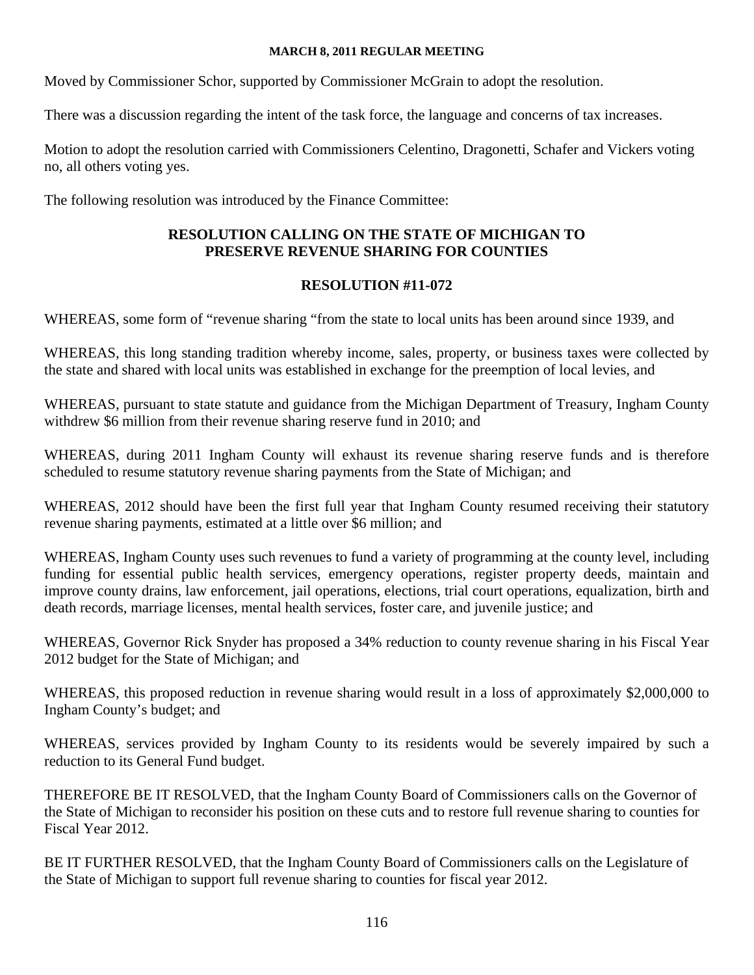Moved by Commissioner Schor, supported by Commissioner McGrain to adopt the resolution.

There was a discussion regarding the intent of the task force, the language and concerns of tax increases.

Motion to adopt the resolution carried with Commissioners Celentino, Dragonetti, Schafer and Vickers voting no, all others voting yes.

The following resolution was introduced by the Finance Committee:

## **RESOLUTION CALLING ON THE STATE OF MICHIGAN TO PRESERVE REVENUE SHARING FOR COUNTIES**

## **RESOLUTION #11-072**

WHEREAS, some form of "revenue sharing "from the state to local units has been around since 1939, and

WHEREAS, this long standing tradition whereby income, sales, property, or business taxes were collected by the state and shared with local units was established in exchange for the preemption of local levies, and

WHEREAS, pursuant to state statute and guidance from the Michigan Department of Treasury, Ingham County withdrew \$6 million from their revenue sharing reserve fund in 2010; and

WHEREAS, during 2011 Ingham County will exhaust its revenue sharing reserve funds and is therefore scheduled to resume statutory revenue sharing payments from the State of Michigan; and

WHEREAS, 2012 should have been the first full year that Ingham County resumed receiving their statutory revenue sharing payments, estimated at a little over \$6 million; and

WHEREAS, Ingham County uses such revenues to fund a variety of programming at the county level, including funding for essential public health services, emergency operations, register property deeds, maintain and improve county drains, law enforcement, jail operations, elections, trial court operations, equalization, birth and death records, marriage licenses, mental health services, foster care, and juvenile justice; and

WHEREAS, Governor Rick Snyder has proposed a 34% reduction to county revenue sharing in his Fiscal Year 2012 budget for the State of Michigan; and

WHEREAS, this proposed reduction in revenue sharing would result in a loss of approximately \$2,000,000 to Ingham County's budget; and

WHEREAS, services provided by Ingham County to its residents would be severely impaired by such a reduction to its General Fund budget.

THEREFORE BE IT RESOLVED, that the Ingham County Board of Commissioners calls on the Governor of the State of Michigan to reconsider his position on these cuts and to restore full revenue sharing to counties for Fiscal Year 2012.

BE IT FURTHER RESOLVED, that the Ingham County Board of Commissioners calls on the Legislature of the State of Michigan to support full revenue sharing to counties for fiscal year 2012.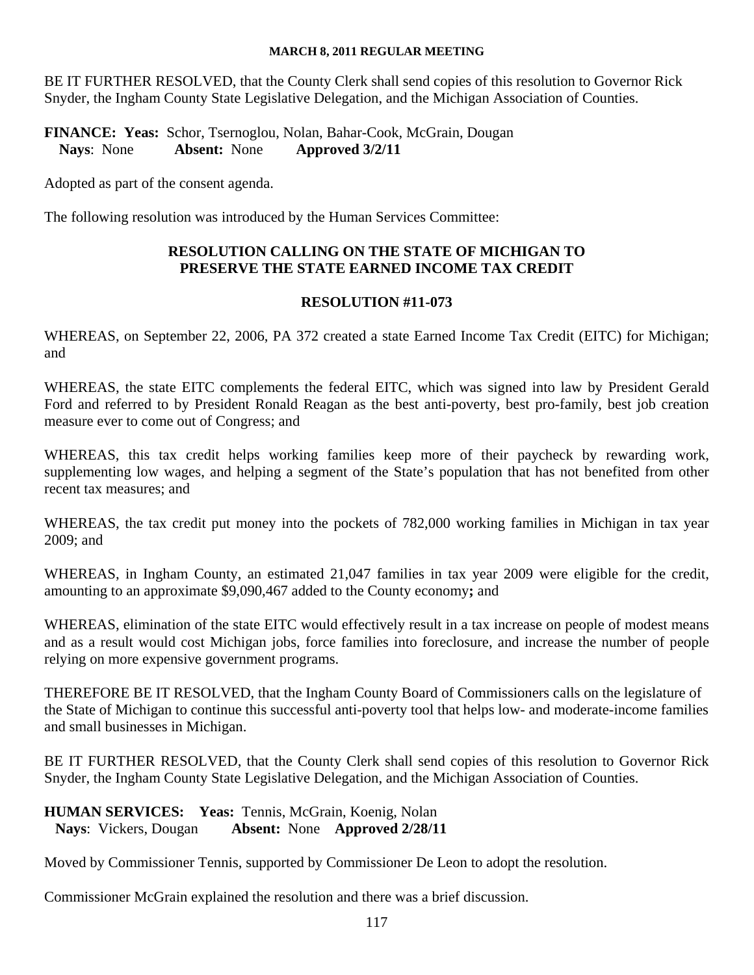BE IT FURTHER RESOLVED, that the County Clerk shall send copies of this resolution to Governor Rick Snyder, the Ingham County State Legislative Delegation, and the Michigan Association of Counties.

**FINANCE: Yeas:** Schor, Tsernoglou, Nolan, Bahar-Cook, McGrain, Dougan **Nays**: None **Absent:** None **Approved 3/2/11** 

Adopted as part of the consent agenda.

The following resolution was introduced by the Human Services Committee:

## **RESOLUTION CALLING ON THE STATE OF MICHIGAN TO PRESERVE THE STATE EARNED INCOME TAX CREDIT**

#### **RESOLUTION #11-073**

WHEREAS, on September 22, 2006, PA 372 created a state Earned Income Tax Credit (EITC) for Michigan; and

WHEREAS, the state EITC complements the federal EITC, which was signed into law by President Gerald Ford and referred to by President Ronald Reagan as the best anti-poverty, best pro-family, best job creation measure ever to come out of Congress; and

WHEREAS, this tax credit helps working families keep more of their paycheck by rewarding work, supplementing low wages, and helping a segment of the State's population that has not benefited from other recent tax measures; and

WHEREAS, the tax credit put money into the pockets of 782,000 working families in Michigan in tax year 2009; and

WHEREAS, in Ingham County, an estimated 21,047 families in tax year 2009 were eligible for the credit, amounting to an approximate \$9,090,467 added to the County economy**;** and

WHEREAS, elimination of the state EITC would effectively result in a tax increase on people of modest means and as a result would cost Michigan jobs, force families into foreclosure, and increase the number of people relying on more expensive government programs.

THEREFORE BE IT RESOLVED, that the Ingham County Board of Commissioners calls on the legislature of the State of Michigan to continue this successful anti-poverty tool that helps low- and moderate-income families and small businesses in Michigan.

BE IT FURTHER RESOLVED, that the County Clerk shall send copies of this resolution to Governor Rick Snyder, the Ingham County State Legislative Delegation, and the Michigan Association of Counties.

#### **HUMAN SERVICES: Yeas:** Tennis, McGrain, Koenig, Nolan **Nays**: Vickers, Dougan **Absent:** None **Approved 2/28/11**

Moved by Commissioner Tennis, supported by Commissioner De Leon to adopt the resolution.

Commissioner McGrain explained the resolution and there was a brief discussion.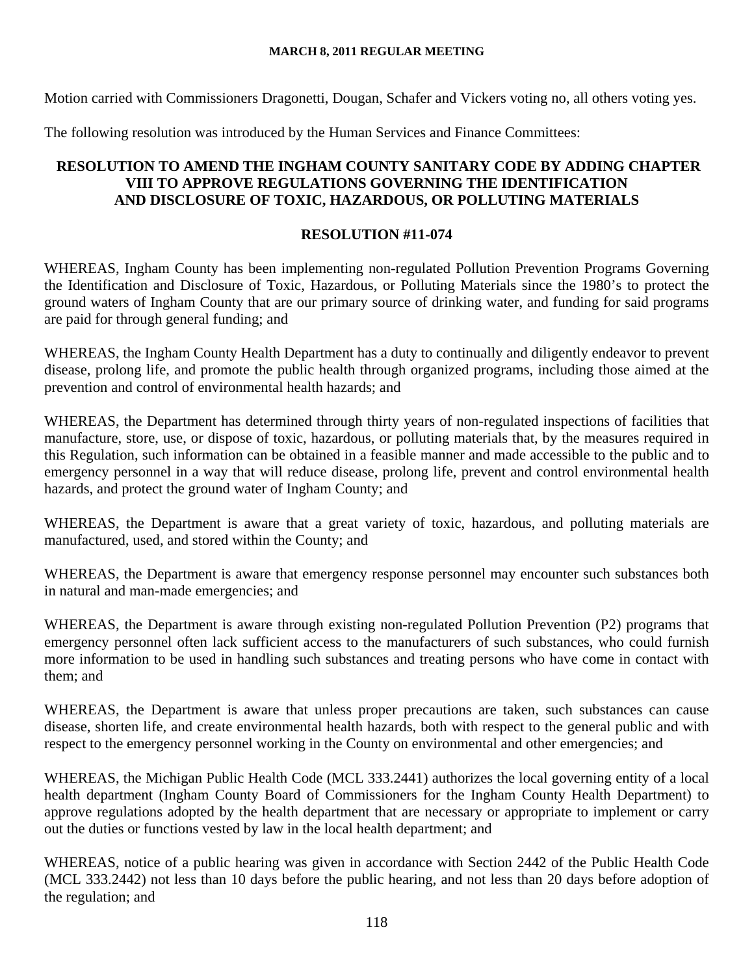Motion carried with Commissioners Dragonetti, Dougan, Schafer and Vickers voting no, all others voting yes.

The following resolution was introduced by the Human Services and Finance Committees:

## **RESOLUTION TO AMEND THE INGHAM COUNTY SANITARY CODE BY ADDING CHAPTER VIII TO APPROVE REGULATIONS GOVERNING THE IDENTIFICATION AND DISCLOSURE OF TOXIC, HAZARDOUS, OR POLLUTING MATERIALS**

## **RESOLUTION #11-074**

WHEREAS, Ingham County has been implementing non-regulated Pollution Prevention Programs Governing the Identification and Disclosure of Toxic, Hazardous, or Polluting Materials since the 1980's to protect the ground waters of Ingham County that are our primary source of drinking water, and funding for said programs are paid for through general funding; and

WHEREAS, the Ingham County Health Department has a duty to continually and diligently endeavor to prevent disease, prolong life, and promote the public health through organized programs, including those aimed at the prevention and control of environmental health hazards; and

WHEREAS, the Department has determined through thirty years of non-regulated inspections of facilities that manufacture, store, use, or dispose of toxic, hazardous, or polluting materials that, by the measures required in this Regulation, such information can be obtained in a feasible manner and made accessible to the public and to emergency personnel in a way that will reduce disease, prolong life, prevent and control environmental health hazards, and protect the ground water of Ingham County; and

WHEREAS, the Department is aware that a great variety of toxic, hazardous, and polluting materials are manufactured, used, and stored within the County; and

WHEREAS, the Department is aware that emergency response personnel may encounter such substances both in natural and man-made emergencies; and

WHEREAS, the Department is aware through existing non-regulated Pollution Prevention (P2) programs that emergency personnel often lack sufficient access to the manufacturers of such substances, who could furnish more information to be used in handling such substances and treating persons who have come in contact with them; and

WHEREAS, the Department is aware that unless proper precautions are taken, such substances can cause disease, shorten life, and create environmental health hazards, both with respect to the general public and with respect to the emergency personnel working in the County on environmental and other emergencies; and

WHEREAS, the Michigan Public Health Code (MCL 333.2441) authorizes the local governing entity of a local health department (Ingham County Board of Commissioners for the Ingham County Health Department) to approve regulations adopted by the health department that are necessary or appropriate to implement or carry out the duties or functions vested by law in the local health department; and

WHEREAS, notice of a public hearing was given in accordance with Section 2442 of the Public Health Code (MCL 333.2442) not less than 10 days before the public hearing, and not less than 20 days before adoption of the regulation; and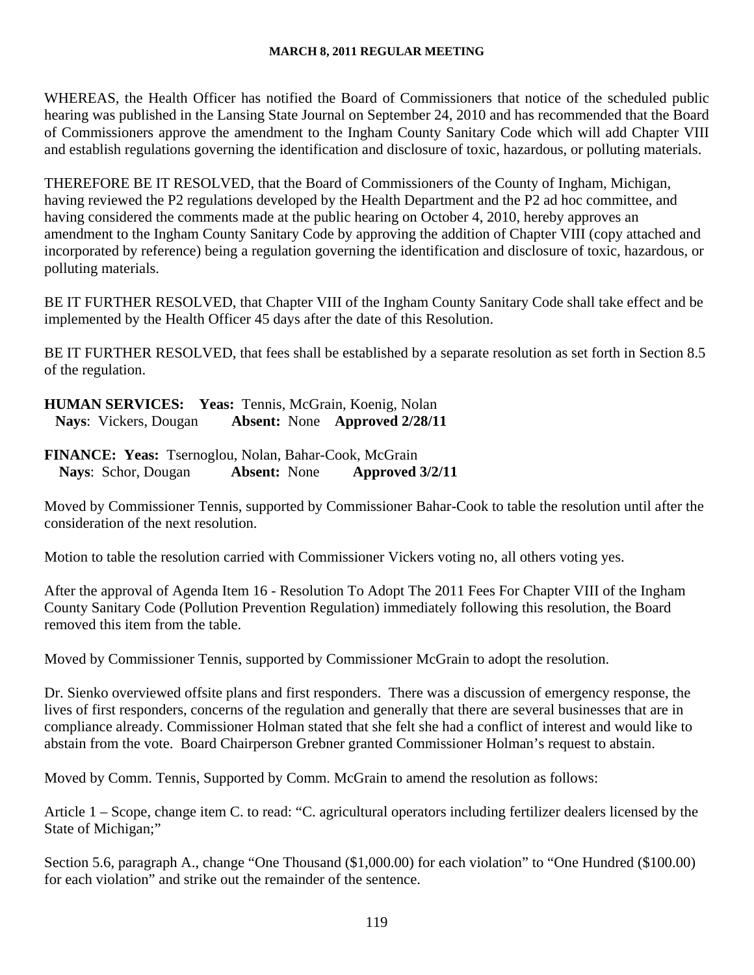WHEREAS, the Health Officer has notified the Board of Commissioners that notice of the scheduled public hearing was published in the Lansing State Journal on September 24, 2010 and has recommended that the Board of Commissioners approve the amendment to the Ingham County Sanitary Code which will add Chapter VIII and establish regulations governing the identification and disclosure of toxic, hazardous, or polluting materials.

THEREFORE BE IT RESOLVED, that the Board of Commissioners of the County of Ingham, Michigan, having reviewed the P2 regulations developed by the Health Department and the P2 ad hoc committee, and having considered the comments made at the public hearing on October 4, 2010, hereby approves an amendment to the Ingham County Sanitary Code by approving the addition of Chapter VIII (copy attached and incorporated by reference) being a regulation governing the identification and disclosure of toxic, hazardous, or polluting materials.

BE IT FURTHER RESOLVED, that Chapter VIII of the Ingham County Sanitary Code shall take effect and be implemented by the Health Officer 45 days after the date of this Resolution.

BE IT FURTHER RESOLVED, that fees shall be established by a separate resolution as set forth in Section 8.5 of the regulation.

**HUMAN SERVICES: Yeas:** Tennis, McGrain, Koenig, Nolan **Nays**: Vickers, Dougan **Absent:** None **Approved 2/28/11** 

**FINANCE: Yeas:** Tsernoglou, Nolan, Bahar-Cook, McGrain **Nays**: Schor, Dougan **Absent:** None **Approved 3/2/11** 

Moved by Commissioner Tennis, supported by Commissioner Bahar-Cook to table the resolution until after the consideration of the next resolution.

Motion to table the resolution carried with Commissioner Vickers voting no, all others voting yes.

After the approval of Agenda Item 16 - Resolution To Adopt The 2011 Fees For Chapter VIII of the Ingham County Sanitary Code (Pollution Prevention Regulation) immediately following this resolution, the Board removed this item from the table.

Moved by Commissioner Tennis, supported by Commissioner McGrain to adopt the resolution.

Dr. Sienko overviewed offsite plans and first responders. There was a discussion of emergency response, the lives of first responders, concerns of the regulation and generally that there are several businesses that are in compliance already. Commissioner Holman stated that she felt she had a conflict of interest and would like to abstain from the vote. Board Chairperson Grebner granted Commissioner Holman's request to abstain.

Moved by Comm. Tennis, Supported by Comm. McGrain to amend the resolution as follows:

Article 1 – Scope, change item C. to read: "C. agricultural operators including fertilizer dealers licensed by the State of Michigan;"

Section 5.6, paragraph A., change "One Thousand (\$1,000.00) for each violation" to "One Hundred (\$100.00) for each violation" and strike out the remainder of the sentence.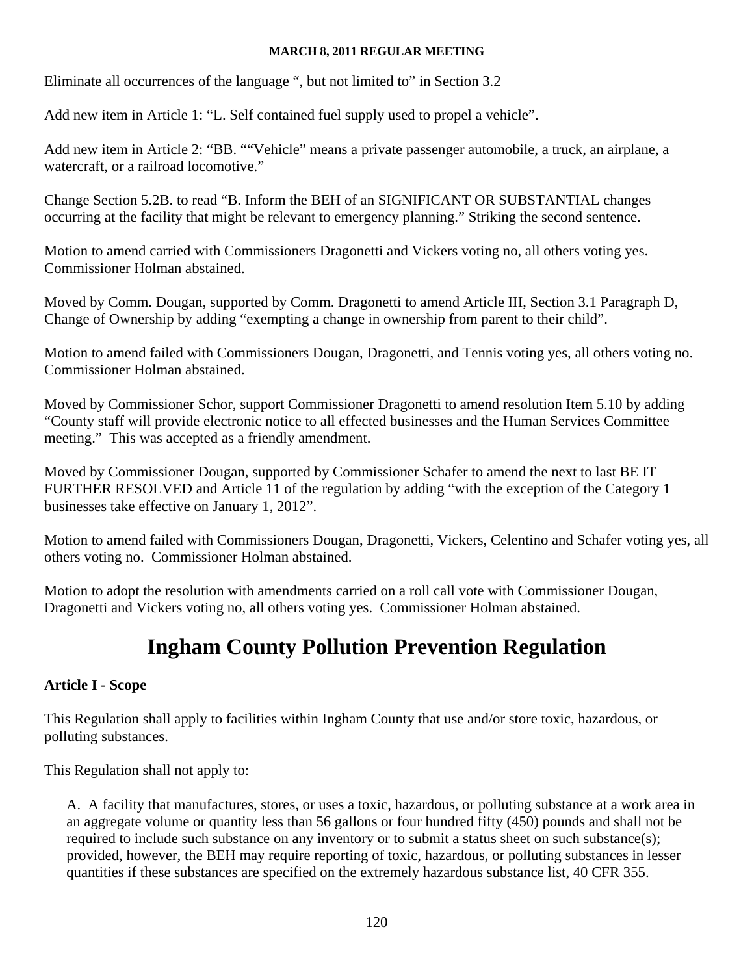Eliminate all occurrences of the language ", but not limited to" in Section 3.2

Add new item in Article 1: "L. Self contained fuel supply used to propel a vehicle".

Add new item in Article 2: "BB. ""Vehicle" means a private passenger automobile, a truck, an airplane, a watercraft, or a railroad locomotive."

Change Section 5.2B. to read "B. Inform the BEH of an SIGNIFICANT OR SUBSTANTIAL changes occurring at the facility that might be relevant to emergency planning." Striking the second sentence.

Motion to amend carried with Commissioners Dragonetti and Vickers voting no, all others voting yes. Commissioner Holman abstained.

Moved by Comm. Dougan, supported by Comm. Dragonetti to amend Article III, Section 3.1 Paragraph D, Change of Ownership by adding "exempting a change in ownership from parent to their child".

Motion to amend failed with Commissioners Dougan, Dragonetti, and Tennis voting yes, all others voting no. Commissioner Holman abstained.

Moved by Commissioner Schor, support Commissioner Dragonetti to amend resolution Item 5.10 by adding "County staff will provide electronic notice to all effected businesses and the Human Services Committee meeting." This was accepted as a friendly amendment.

Moved by Commissioner Dougan, supported by Commissioner Schafer to amend the next to last BE IT FURTHER RESOLVED and Article 11 of the regulation by adding "with the exception of the Category 1 businesses take effective on January 1, 2012".

Motion to amend failed with Commissioners Dougan, Dragonetti, Vickers, Celentino and Schafer voting yes, all others voting no. Commissioner Holman abstained.

Motion to adopt the resolution with amendments carried on a roll call vote with Commissioner Dougan, Dragonetti and Vickers voting no, all others voting yes. Commissioner Holman abstained.

# **Ingham County Pollution Prevention Regulation**

## **Article I - Scope**

This Regulation shall apply to facilities within Ingham County that use and/or store toxic, hazardous, or polluting substances.

This Regulation shall not apply to:

A. A facility that manufactures, stores, or uses a toxic, hazardous, or polluting substance at a work area in an aggregate volume or quantity less than 56 gallons or four hundred fifty (450) pounds and shall not be required to include such substance on any inventory or to submit a status sheet on such substance(s); provided, however, the BEH may require reporting of toxic, hazardous, or polluting substances in lesser quantities if these substances are specified on the extremely hazardous substance list, 40 CFR 355.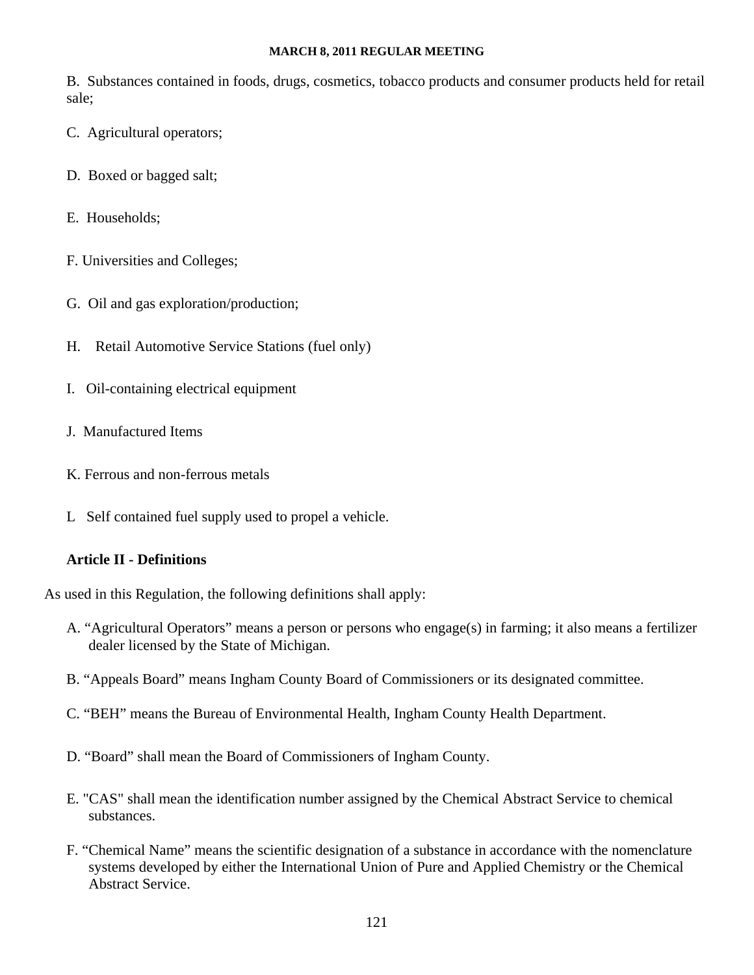B. Substances contained in foods, drugs, cosmetics, tobacco products and consumer products held for retail sale;

- C. Agricultural operators;
- D. Boxed or bagged salt;
- E. Households;
- F. Universities and Colleges;
- G. Oil and gas exploration/production;
- H. Retail Automotive Service Stations (fuel only)
- I. Oil-containing electrical equipment
- J. Manufactured Items
- K. Ferrous and non-ferrous metals
- L Self contained fuel supply used to propel a vehicle.

#### **Article II - Definitions**

As used in this Regulation, the following definitions shall apply:

- A. "Agricultural Operators" means a person or persons who engage(s) in farming; it also means a fertilizer dealer licensed by the State of Michigan.
- B. "Appeals Board" means Ingham County Board of Commissioners or its designated committee.
- C. "BEH" means the Bureau of Environmental Health, Ingham County Health Department.
- D. "Board" shall mean the Board of Commissioners of Ingham County.
- E. "CAS" shall mean the identification number assigned by the Chemical Abstract Service to chemical substances.
- F. "Chemical Name" means the scientific designation of a substance in accordance with the nomenclature systems developed by either the International Union of Pure and Applied Chemistry or the Chemical Abstract Service.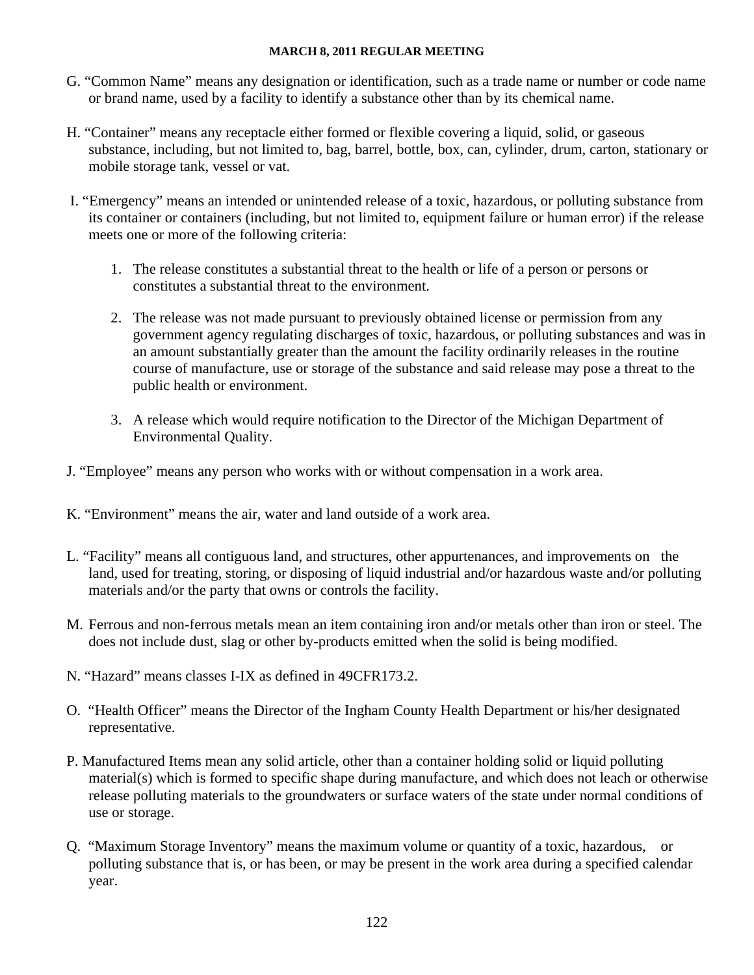- G. "Common Name" means any designation or identification, such as a trade name or number or code name or brand name, used by a facility to identify a substance other than by its chemical name.
- H. "Container" means any receptacle either formed or flexible covering a liquid, solid, or gaseous substance, including, but not limited to, bag, barrel, bottle, box, can, cylinder, drum, carton, stationary or mobile storage tank, vessel or vat.
- I. "Emergency" means an intended or unintended release of a toxic, hazardous, or polluting substance from its container or containers (including, but not limited to, equipment failure or human error) if the release meets one or more of the following criteria:
	- 1. The release constitutes a substantial threat to the health or life of a person or persons or constitutes a substantial threat to the environment.
	- 2. The release was not made pursuant to previously obtained license or permission from any government agency regulating discharges of toxic, hazardous, or polluting substances and was in an amount substantially greater than the amount the facility ordinarily releases in the routine course of manufacture, use or storage of the substance and said release may pose a threat to the public health or environment.
	- 3. A release which would require notification to the Director of the Michigan Department of Environmental Quality.
- J. "Employee" means any person who works with or without compensation in a work area.
- K. "Environment" means the air, water and land outside of a work area.
- L. "Facility" means all contiguous land, and structures, other appurtenances, and improvements on the land, used for treating, storing, or disposing of liquid industrial and/or hazardous waste and/or polluting materials and/or the party that owns or controls the facility.
- M. Ferrous and non-ferrous metals mean an item containing iron and/or metals other than iron or steel. The does not include dust, slag or other by-products emitted when the solid is being modified.
- N. "Hazard" means classes I-IX as defined in 49CFR173.2.
- O. "Health Officer" means the Director of the Ingham County Health Department or his/her designated representative.
- P. Manufactured Items mean any solid article, other than a container holding solid or liquid polluting material(s) which is formed to specific shape during manufacture, and which does not leach or otherwise release polluting materials to the groundwaters or surface waters of the state under normal conditions of use or storage.
- Q. "Maximum Storage Inventory" means the maximum volume or quantity of a toxic, hazardous, or polluting substance that is, or has been, or may be present in the work area during a specified calendar year.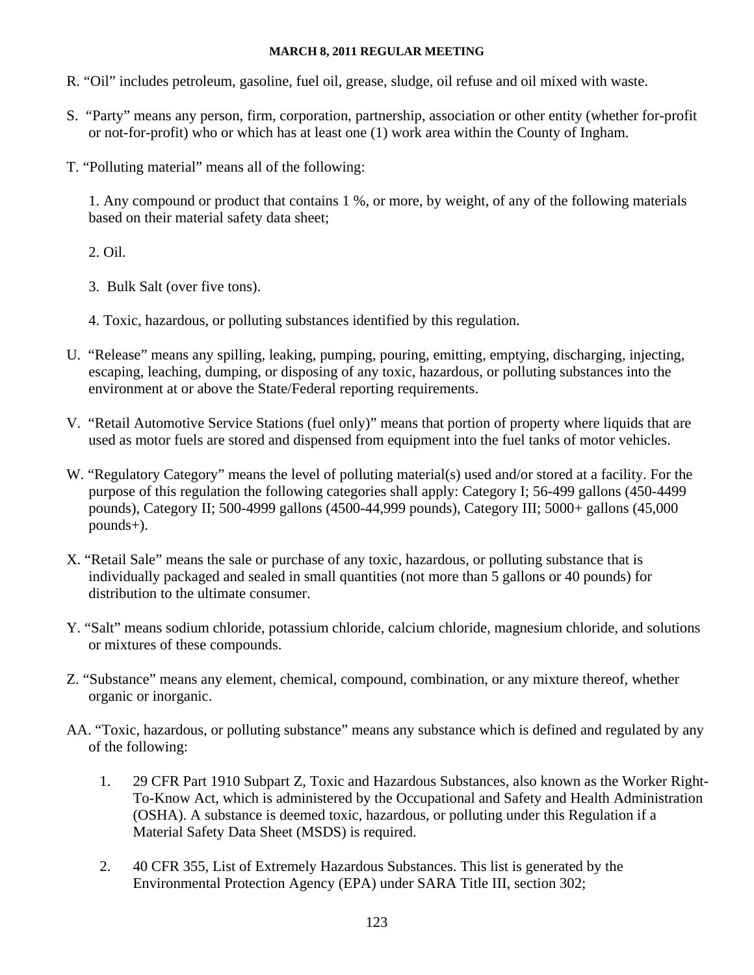- R. "Oil" includes petroleum, gasoline, fuel oil, grease, sludge, oil refuse and oil mixed with waste.
- S. "Party" means any person, firm, corporation, partnership, association or other entity (whether for-profit or not-for-profit) who or which has at least one (1) work area within the County of Ingham.
- T. "Polluting material" means all of the following:

1. Any compound or product that contains 1 %, or more, by weight, of any of the following materials based on their material safety data sheet;

## 2. Oil.

- 3. Bulk Salt (over five tons).
- 4. Toxic, hazardous, or polluting substances identified by this regulation.
- U. "Release" means any spilling, leaking, pumping, pouring, emitting, emptying, discharging, injecting, escaping, leaching, dumping, or disposing of any toxic, hazardous, or polluting substances into the environment at or above the State/Federal reporting requirements.
- V. "Retail Automotive Service Stations (fuel only)" means that portion of property where liquids that are used as motor fuels are stored and dispensed from equipment into the fuel tanks of motor vehicles.
- W. "Regulatory Category" means the level of polluting material(s) used and/or stored at a facility. For the purpose of this regulation the following categories shall apply: Category I; 56-499 gallons (450-4499 pounds), Category II; 500-4999 gallons (4500-44,999 pounds), Category III; 5000+ gallons (45,000 pounds+).
- X. "Retail Sale" means the sale or purchase of any toxic, hazardous, or polluting substance that is individually packaged and sealed in small quantities (not more than 5 gallons or 40 pounds) for distribution to the ultimate consumer.
- Y. "Salt" means sodium chloride, potassium chloride, calcium chloride, magnesium chloride, and solutions or mixtures of these compounds.
- Z. "Substance" means any element, chemical, compound, combination, or any mixture thereof, whether organic or inorganic.
- AA. "Toxic, hazardous, or polluting substance" means any substance which is defined and regulated by any of the following:
	- 1. 29 CFR Part 1910 Subpart Z, Toxic and Hazardous Substances, also known as the Worker Right-To-Know Act, which is administered by the Occupational and Safety and Health Administration (OSHA). A substance is deemed toxic, hazardous, or polluting under this Regulation if a Material Safety Data Sheet (MSDS) is required.
	- 2. 40 CFR 355, List of Extremely Hazardous Substances. This list is generated by the Environmental Protection Agency (EPA) under SARA Title III, section 302;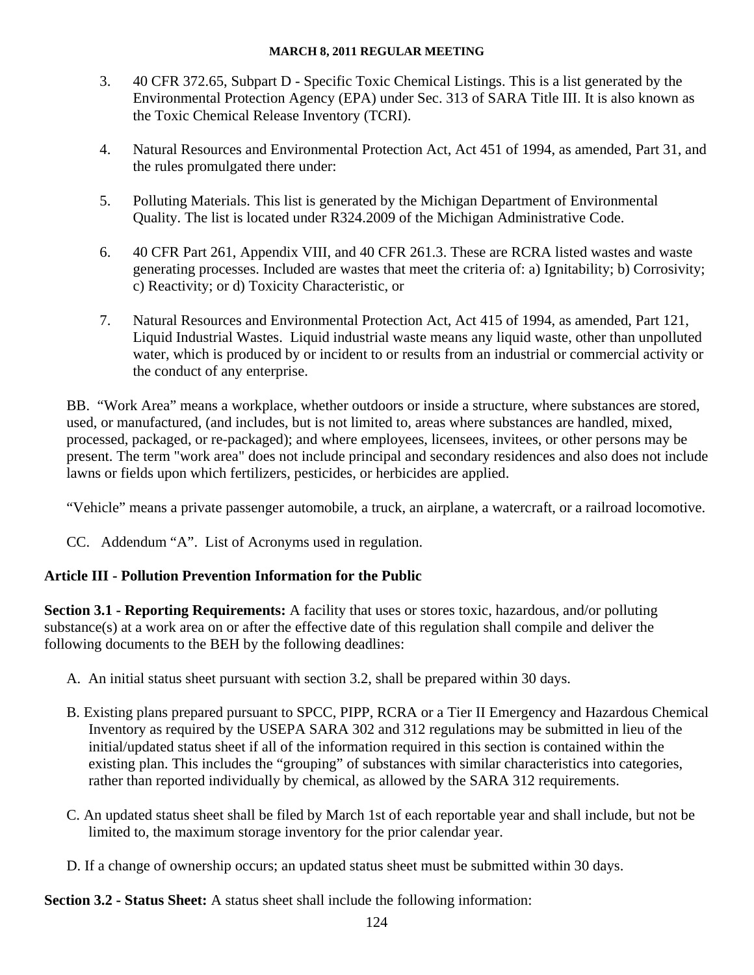- 3. 40 CFR 372.65, Subpart D Specific Toxic Chemical Listings. This is a list generated by the Environmental Protection Agency (EPA) under Sec. 313 of SARA Title III. It is also known as the Toxic Chemical Release Inventory (TCRI).
- 4. Natural Resources and Environmental Protection Act, Act 451 of 1994, as amended, Part 31, and the rules promulgated there under:
- 5. Polluting Materials. This list is generated by the Michigan Department of Environmental Quality. The list is located under R324.2009 of the Michigan Administrative Code.
- 6. 40 CFR Part 261, Appendix VIII, and 40 CFR 261.3. These are RCRA listed wastes and waste generating processes. Included are wastes that meet the criteria of: a) Ignitability; b) Corrosivity; c) Reactivity; or d) Toxicity Characteristic, or
- 7. Natural Resources and Environmental Protection Act, Act 415 of 1994, as amended, Part 121, Liquid Industrial Wastes. Liquid industrial waste means any liquid waste, other than unpolluted water, which is produced by or incident to or results from an industrial or commercial activity or the conduct of any enterprise.

BB. "Work Area" means a workplace, whether outdoors or inside a structure, where substances are stored, used, or manufactured, (and includes, but is not limited to, areas where substances are handled, mixed, processed, packaged, or re-packaged); and where employees, licensees, invitees, or other persons may be present. The term "work area" does not include principal and secondary residences and also does not include lawns or fields upon which fertilizers, pesticides, or herbicides are applied.

"Vehicle" means a private passenger automobile, a truck, an airplane, a watercraft, or a railroad locomotive.

CC. Addendum "A". List of Acronyms used in regulation.

## **Article III - Pollution Prevention Information for the Public**

**Section 3.1 - Reporting Requirements:** A facility that uses or stores toxic, hazardous, and/or polluting substance(s) at a work area on or after the effective date of this regulation shall compile and deliver the following documents to the BEH by the following deadlines:

- A. An initial status sheet pursuant with section 3.2, shall be prepared within 30 days.
- B. Existing plans prepared pursuant to SPCC, PIPP, RCRA or a Tier II Emergency and Hazardous Chemical Inventory as required by the USEPA SARA 302 and 312 regulations may be submitted in lieu of the initial/updated status sheet if all of the information required in this section is contained within the existing plan. This includes the "grouping" of substances with similar characteristics into categories, rather than reported individually by chemical, as allowed by the SARA 312 requirements.
- C. An updated status sheet shall be filed by March 1st of each reportable year and shall include, but not be limited to, the maximum storage inventory for the prior calendar year.
- D. If a change of ownership occurs; an updated status sheet must be submitted within 30 days.

**Section 3.2 - Status Sheet:** A status sheet shall include the following information: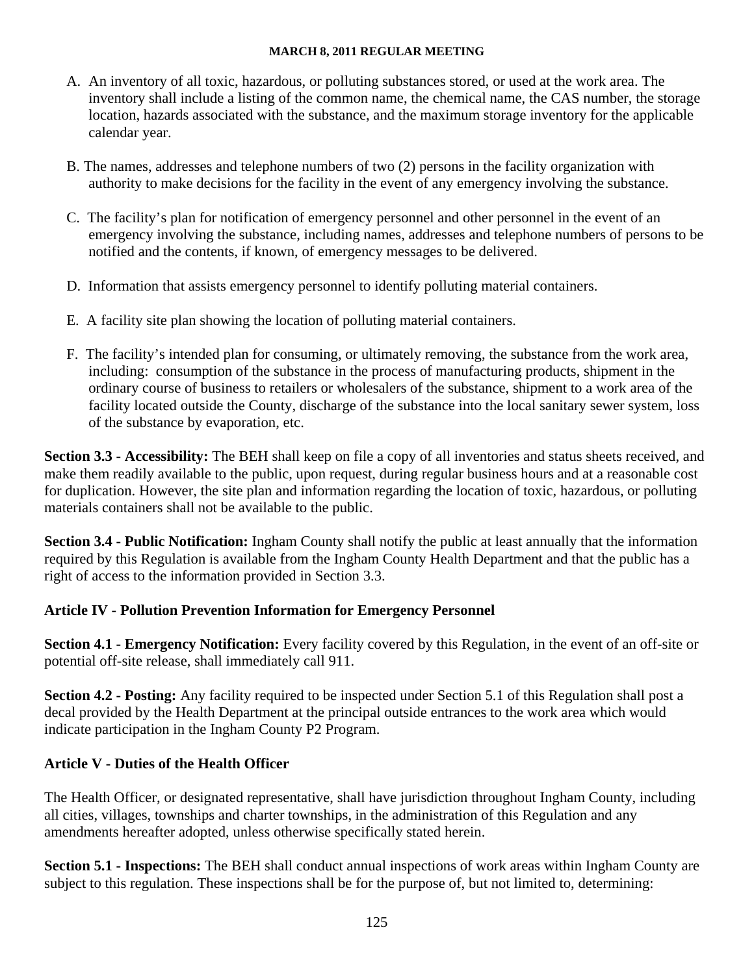- A. An inventory of all toxic, hazardous, or polluting substances stored, or used at the work area. The inventory shall include a listing of the common name, the chemical name, the CAS number, the storage location, hazards associated with the substance, and the maximum storage inventory for the applicable calendar year.
- B. The names, addresses and telephone numbers of two (2) persons in the facility organization with authority to make decisions for the facility in the event of any emergency involving the substance.
- C. The facility's plan for notification of emergency personnel and other personnel in the event of an emergency involving the substance, including names, addresses and telephone numbers of persons to be notified and the contents, if known, of emergency messages to be delivered.
- D. Information that assists emergency personnel to identify polluting material containers.
- E. A facility site plan showing the location of polluting material containers.
- F. The facility's intended plan for consuming, or ultimately removing, the substance from the work area, including: consumption of the substance in the process of manufacturing products, shipment in the ordinary course of business to retailers or wholesalers of the substance, shipment to a work area of the facility located outside the County, discharge of the substance into the local sanitary sewer system, loss of the substance by evaporation, etc.

**Section 3.3 - Accessibility:** The BEH shall keep on file a copy of all inventories and status sheets received, and make them readily available to the public, upon request, during regular business hours and at a reasonable cost for duplication. However, the site plan and information regarding the location of toxic, hazardous, or polluting materials containers shall not be available to the public.

**Section 3.4 - Public Notification:** Ingham County shall notify the public at least annually that the information required by this Regulation is available from the Ingham County Health Department and that the public has a right of access to the information provided in Section 3.3.

## **Article IV - Pollution Prevention Information for Emergency Personnel**

**Section 4.1 - Emergency Notification:** Every facility covered by this Regulation, in the event of an off-site or potential off-site release, shall immediately call 911.

**Section 4.2 - Posting:** Any facility required to be inspected under Section 5.1 of this Regulation shall post a decal provided by the Health Department at the principal outside entrances to the work area which would indicate participation in the Ingham County P2 Program.

## **Article V - Duties of the Health Officer**

The Health Officer, or designated representative, shall have jurisdiction throughout Ingham County, including all cities, villages, townships and charter townships, in the administration of this Regulation and any amendments hereafter adopted, unless otherwise specifically stated herein.

**Section 5.1 - Inspections:** The BEH shall conduct annual inspections of work areas within Ingham County are subject to this regulation. These inspections shall be for the purpose of, but not limited to, determining: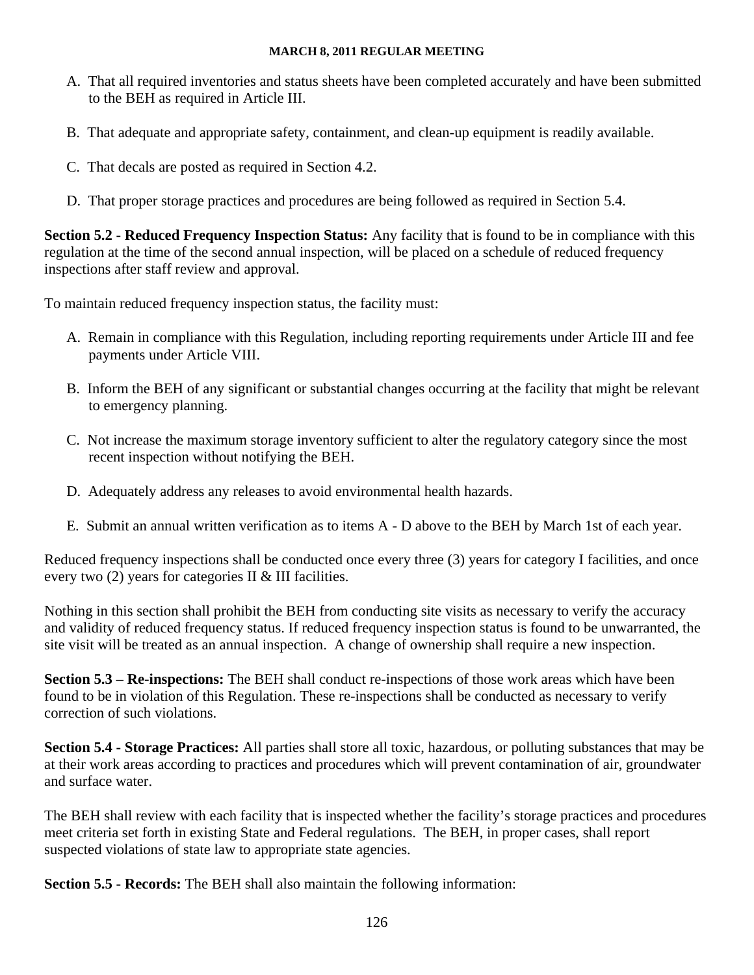- A. That all required inventories and status sheets have been completed accurately and have been submitted to the BEH as required in Article III.
- B. That adequate and appropriate safety, containment, and clean-up equipment is readily available.
- C. That decals are posted as required in Section 4.2.
- D. That proper storage practices and procedures are being followed as required in Section 5.4.

**Section 5.2 - Reduced Frequency Inspection Status:** Any facility that is found to be in compliance with this regulation at the time of the second annual inspection, will be placed on a schedule of reduced frequency inspections after staff review and approval.

To maintain reduced frequency inspection status, the facility must:

- A. Remain in compliance with this Regulation, including reporting requirements under Article III and fee payments under Article VIII.
- B. Inform the BEH of any significant or substantial changes occurring at the facility that might be relevant to emergency planning.
- C. Not increase the maximum storage inventory sufficient to alter the regulatory category since the most recent inspection without notifying the BEH.
- D. Adequately address any releases to avoid environmental health hazards.
- E. Submit an annual written verification as to items A D above to the BEH by March 1st of each year.

Reduced frequency inspections shall be conducted once every three (3) years for category I facilities, and once every two (2) years for categories II & III facilities.

Nothing in this section shall prohibit the BEH from conducting site visits as necessary to verify the accuracy and validity of reduced frequency status. If reduced frequency inspection status is found to be unwarranted, the site visit will be treated as an annual inspection. A change of ownership shall require a new inspection.

**Section 5.3 – Re-inspections:** The BEH shall conduct re-inspections of those work areas which have been found to be in violation of this Regulation. These re-inspections shall be conducted as necessary to verify correction of such violations.

**Section 5.4 - Storage Practices:** All parties shall store all toxic, hazardous, or polluting substances that may be at their work areas according to practices and procedures which will prevent contamination of air, groundwater and surface water.

The BEH shall review with each facility that is inspected whether the facility's storage practices and procedures meet criteria set forth in existing State and Federal regulations. The BEH, in proper cases, shall report suspected violations of state law to appropriate state agencies.

**Section 5.5 - Records:** The BEH shall also maintain the following information: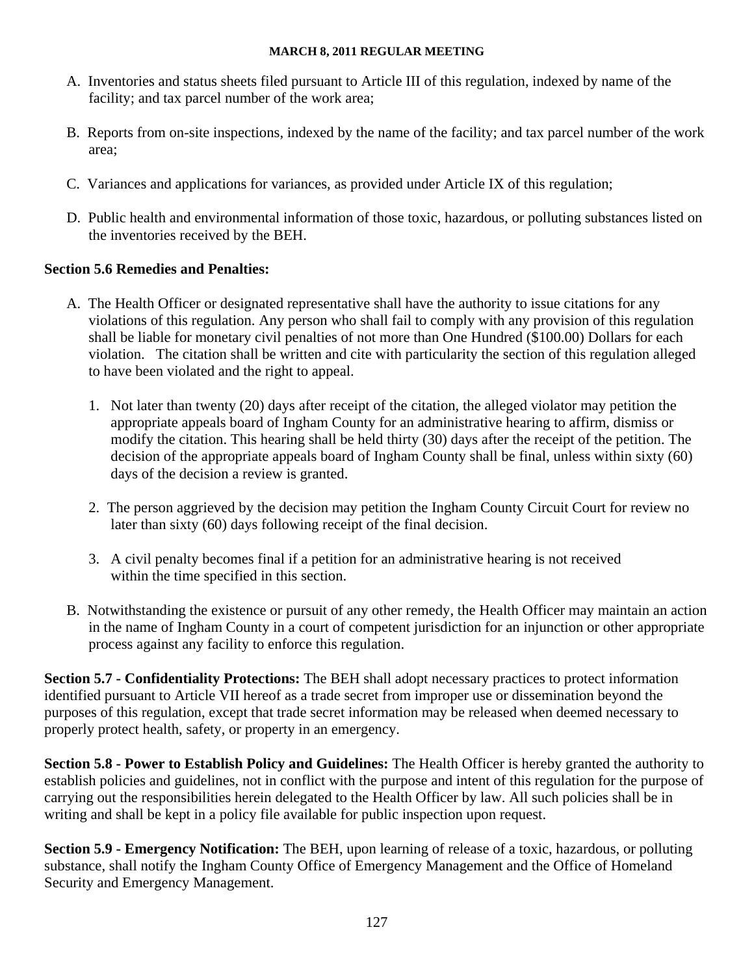- A. Inventories and status sheets filed pursuant to Article III of this regulation, indexed by name of the facility; and tax parcel number of the work area;
- B. Reports from on-site inspections, indexed by the name of the facility; and tax parcel number of the work area;
- C. Variances and applications for variances, as provided under Article IX of this regulation;
- D. Public health and environmental information of those toxic, hazardous, or polluting substances listed on the inventories received by the BEH.

## **Section 5.6 Remedies and Penalties:**

- A. The Health Officer or designated representative shall have the authority to issue citations for any violations of this regulation. Any person who shall fail to comply with any provision of this regulation shall be liable for monetary civil penalties of not more than One Hundred (\$100.00) Dollars for each violation. The citation shall be written and cite with particularity the section of this regulation alleged to have been violated and the right to appeal.
	- 1. Not later than twenty (20) days after receipt of the citation, the alleged violator may petition the appropriate appeals board of Ingham County for an administrative hearing to affirm, dismiss or modify the citation. This hearing shall be held thirty (30) days after the receipt of the petition. The decision of the appropriate appeals board of Ingham County shall be final, unless within sixty (60) days of the decision a review is granted.
	- 2. The person aggrieved by the decision may petition the Ingham County Circuit Court for review no later than sixty (60) days following receipt of the final decision.
	- 3. A civil penalty becomes final if a petition for an administrative hearing is not received within the time specified in this section.
- B. Notwithstanding the existence or pursuit of any other remedy, the Health Officer may maintain an action in the name of Ingham County in a court of competent jurisdiction for an injunction or other appropriate process against any facility to enforce this regulation.

**Section 5.7 - Confidentiality Protections:** The BEH shall adopt necessary practices to protect information identified pursuant to Article VII hereof as a trade secret from improper use or dissemination beyond the purposes of this regulation, except that trade secret information may be released when deemed necessary to properly protect health, safety, or property in an emergency.

**Section 5.8 - Power to Establish Policy and Guidelines:** The Health Officer is hereby granted the authority to establish policies and guidelines, not in conflict with the purpose and intent of this regulation for the purpose of carrying out the responsibilities herein delegated to the Health Officer by law. All such policies shall be in writing and shall be kept in a policy file available for public inspection upon request.

**Section 5.9 - Emergency Notification:** The BEH, upon learning of release of a toxic, hazardous, or polluting substance, shall notify the Ingham County Office of Emergency Management and the Office of Homeland Security and Emergency Management.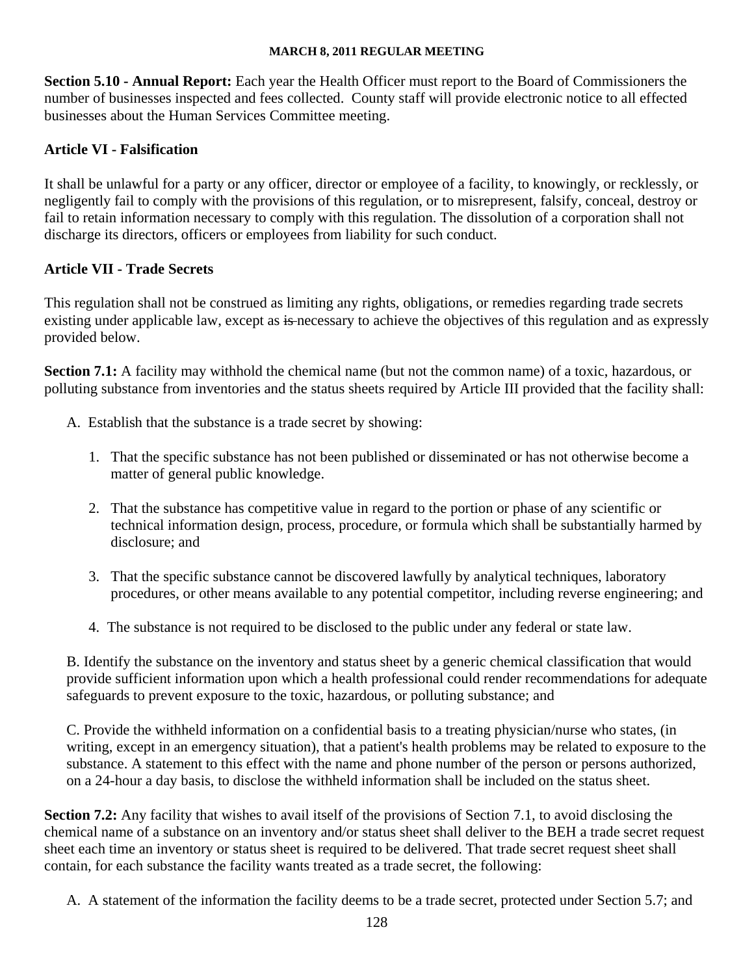**Section 5.10 - Annual Report:** Each year the Health Officer must report to the Board of Commissioners the number of businesses inspected and fees collected. County staff will provide electronic notice to all effected businesses about the Human Services Committee meeting.

## **Article VI - Falsification**

It shall be unlawful for a party or any officer, director or employee of a facility, to knowingly, or recklessly, or negligently fail to comply with the provisions of this regulation, or to misrepresent, falsify, conceal, destroy or fail to retain information necessary to comply with this regulation. The dissolution of a corporation shall not discharge its directors, officers or employees from liability for such conduct.

## **Article VII - Trade Secrets**

This regulation shall not be construed as limiting any rights, obligations, or remedies regarding trade secrets existing under applicable law, except as is necessary to achieve the objectives of this regulation and as expressly provided below.

**Section 7.1:** A facility may withhold the chemical name (but not the common name) of a toxic, hazardous, or polluting substance from inventories and the status sheets required by Article III provided that the facility shall:

- A. Establish that the substance is a trade secret by showing:
	- 1. That the specific substance has not been published or disseminated or has not otherwise become a matter of general public knowledge.
	- 2. That the substance has competitive value in regard to the portion or phase of any scientific or technical information design, process, procedure, or formula which shall be substantially harmed by disclosure; and
	- 3. That the specific substance cannot be discovered lawfully by analytical techniques, laboratory procedures, or other means available to any potential competitor, including reverse engineering; and
	- 4. The substance is not required to be disclosed to the public under any federal or state law.

B. Identify the substance on the inventory and status sheet by a generic chemical classification that would provide sufficient information upon which a health professional could render recommendations for adequate safeguards to prevent exposure to the toxic, hazardous, or polluting substance; and

C. Provide the withheld information on a confidential basis to a treating physician/nurse who states, (in writing, except in an emergency situation), that a patient's health problems may be related to exposure to the substance. A statement to this effect with the name and phone number of the person or persons authorized, on a 24-hour a day basis, to disclose the withheld information shall be included on the status sheet.

**Section 7.2:** Any facility that wishes to avail itself of the provisions of Section 7.1, to avoid disclosing the chemical name of a substance on an inventory and/or status sheet shall deliver to the BEH a trade secret request sheet each time an inventory or status sheet is required to be delivered. That trade secret request sheet shall contain, for each substance the facility wants treated as a trade secret, the following:

A. A statement of the information the facility deems to be a trade secret, protected under Section 5.7; and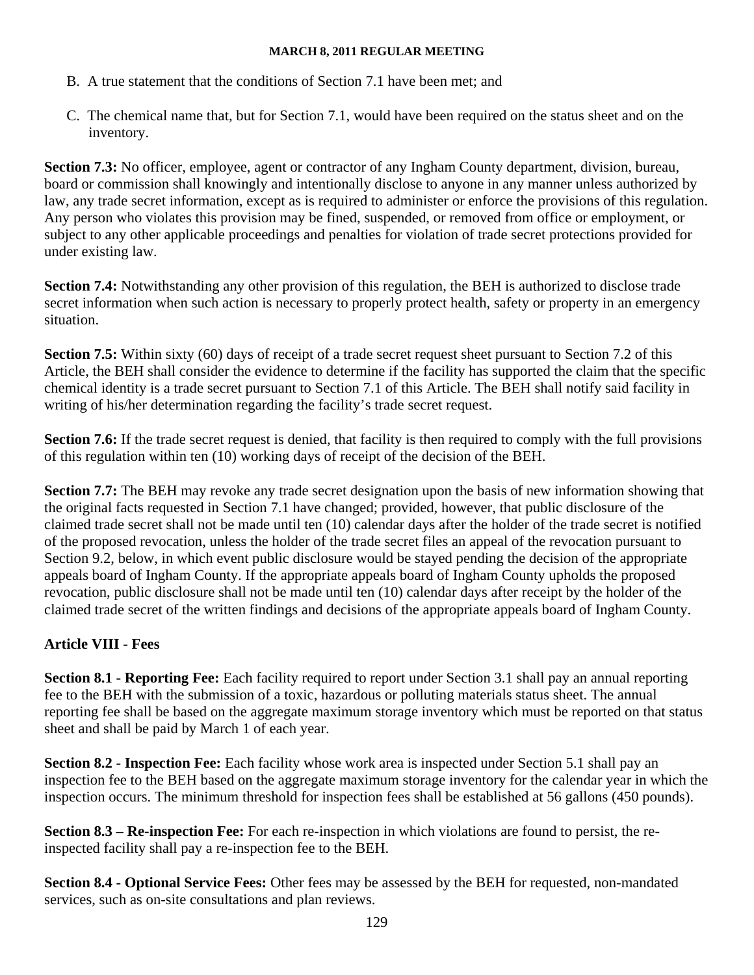- B. A true statement that the conditions of Section 7.1 have been met; and
- C. The chemical name that, but for Section 7.1, would have been required on the status sheet and on the inventory.

**Section 7.3:** No officer, employee, agent or contractor of any Ingham County department, division, bureau, board or commission shall knowingly and intentionally disclose to anyone in any manner unless authorized by law, any trade secret information, except as is required to administer or enforce the provisions of this regulation. Any person who violates this provision may be fined, suspended, or removed from office or employment, or subject to any other applicable proceedings and penalties for violation of trade secret protections provided for under existing law.

**Section 7.4:** Notwithstanding any other provision of this regulation, the BEH is authorized to disclose trade secret information when such action is necessary to properly protect health, safety or property in an emergency situation.

**Section 7.5:** Within sixty (60) days of receipt of a trade secret request sheet pursuant to Section 7.2 of this Article, the BEH shall consider the evidence to determine if the facility has supported the claim that the specific chemical identity is a trade secret pursuant to Section 7.1 of this Article. The BEH shall notify said facility in writing of his/her determination regarding the facility's trade secret request.

**Section 7.6:** If the trade secret request is denied, that facility is then required to comply with the full provisions of this regulation within ten (10) working days of receipt of the decision of the BEH.

**Section 7.7:** The BEH may revoke any trade secret designation upon the basis of new information showing that the original facts requested in Section 7.1 have changed; provided, however, that public disclosure of the claimed trade secret shall not be made until ten (10) calendar days after the holder of the trade secret is notified of the proposed revocation, unless the holder of the trade secret files an appeal of the revocation pursuant to Section 9.2, below, in which event public disclosure would be stayed pending the decision of the appropriate appeals board of Ingham County. If the appropriate appeals board of Ingham County upholds the proposed revocation, public disclosure shall not be made until ten (10) calendar days after receipt by the holder of the claimed trade secret of the written findings and decisions of the appropriate appeals board of Ingham County.

## **Article VIII - Fees**

**Section 8.1 - Reporting Fee:** Each facility required to report under Section 3.1 shall pay an annual reporting fee to the BEH with the submission of a toxic, hazardous or polluting materials status sheet. The annual reporting fee shall be based on the aggregate maximum storage inventory which must be reported on that status sheet and shall be paid by March 1 of each year.

**Section 8.2 - Inspection Fee:** Each facility whose work area is inspected under Section 5.1 shall pay an inspection fee to the BEH based on the aggregate maximum storage inventory for the calendar year in which the inspection occurs. The minimum threshold for inspection fees shall be established at 56 gallons (450 pounds).

**Section 8.3 – Re-inspection Fee:** For each re-inspection in which violations are found to persist, the reinspected facility shall pay a re-inspection fee to the BEH.

**Section 8.4 - Optional Service Fees:** Other fees may be assessed by the BEH for requested, non-mandated services, such as on-site consultations and plan reviews.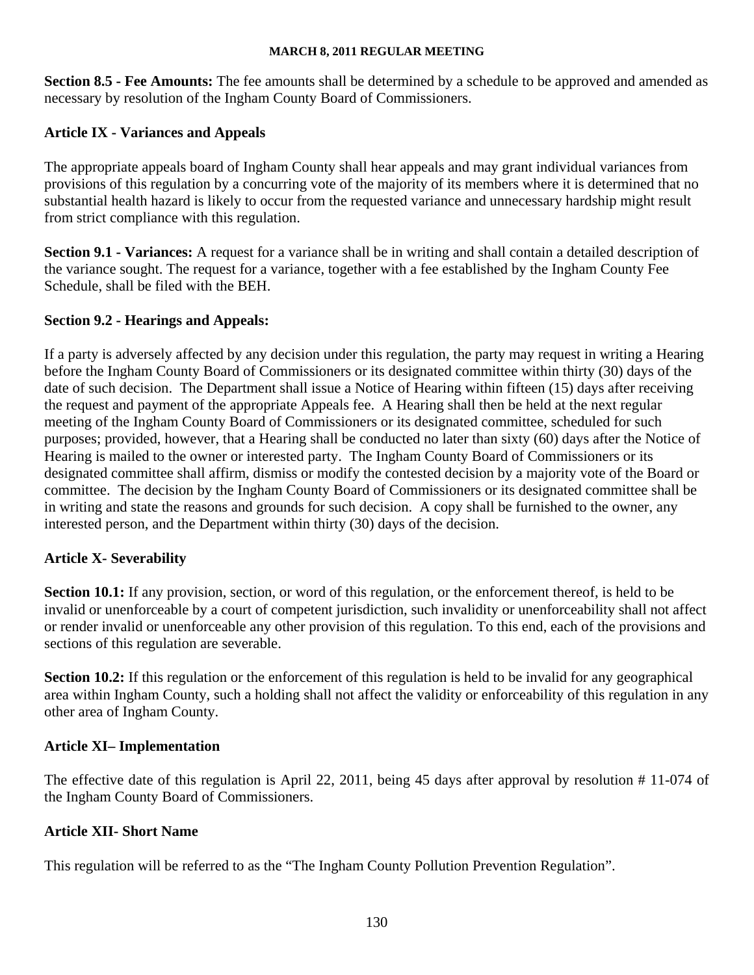**Section 8.5 - Fee Amounts:** The fee amounts shall be determined by a schedule to be approved and amended as necessary by resolution of the Ingham County Board of Commissioners.

## **Article IX - Variances and Appeals**

The appropriate appeals board of Ingham County shall hear appeals and may grant individual variances from provisions of this regulation by a concurring vote of the majority of its members where it is determined that no substantial health hazard is likely to occur from the requested variance and unnecessary hardship might result from strict compliance with this regulation.

**Section 9.1 - Variances:** A request for a variance shall be in writing and shall contain a detailed description of the variance sought. The request for a variance, together with a fee established by the Ingham County Fee Schedule, shall be filed with the BEH.

#### **Section 9.2 - Hearings and Appeals:**

If a party is adversely affected by any decision under this regulation, the party may request in writing a Hearing before the Ingham County Board of Commissioners or its designated committee within thirty (30) days of the date of such decision. The Department shall issue a Notice of Hearing within fifteen (15) days after receiving the request and payment of the appropriate Appeals fee. A Hearing shall then be held at the next regular meeting of the Ingham County Board of Commissioners or its designated committee, scheduled for such purposes; provided, however, that a Hearing shall be conducted no later than sixty (60) days after the Notice of Hearing is mailed to the owner or interested party. The Ingham County Board of Commissioners or its designated committee shall affirm, dismiss or modify the contested decision by a majority vote of the Board or committee. The decision by the Ingham County Board of Commissioners or its designated committee shall be in writing and state the reasons and grounds for such decision. A copy shall be furnished to the owner, any interested person, and the Department within thirty (30) days of the decision.

## **Article X- Severability**

**Section 10.1:** If any provision, section, or word of this regulation, or the enforcement thereof, is held to be invalid or unenforceable by a court of competent jurisdiction, such invalidity or unenforceability shall not affect or render invalid or unenforceable any other provision of this regulation. To this end, each of the provisions and sections of this regulation are severable.

**Section 10.2:** If this regulation or the enforcement of this regulation is held to be invalid for any geographical area within Ingham County, such a holding shall not affect the validity or enforceability of this regulation in any other area of Ingham County.

#### **Article XI– Implementation**

The effective date of this regulation is April 22, 2011, being 45 days after approval by resolution # 11-074 of the Ingham County Board of Commissioners.

#### **Article XII- Short Name**

This regulation will be referred to as the "The Ingham County Pollution Prevention Regulation".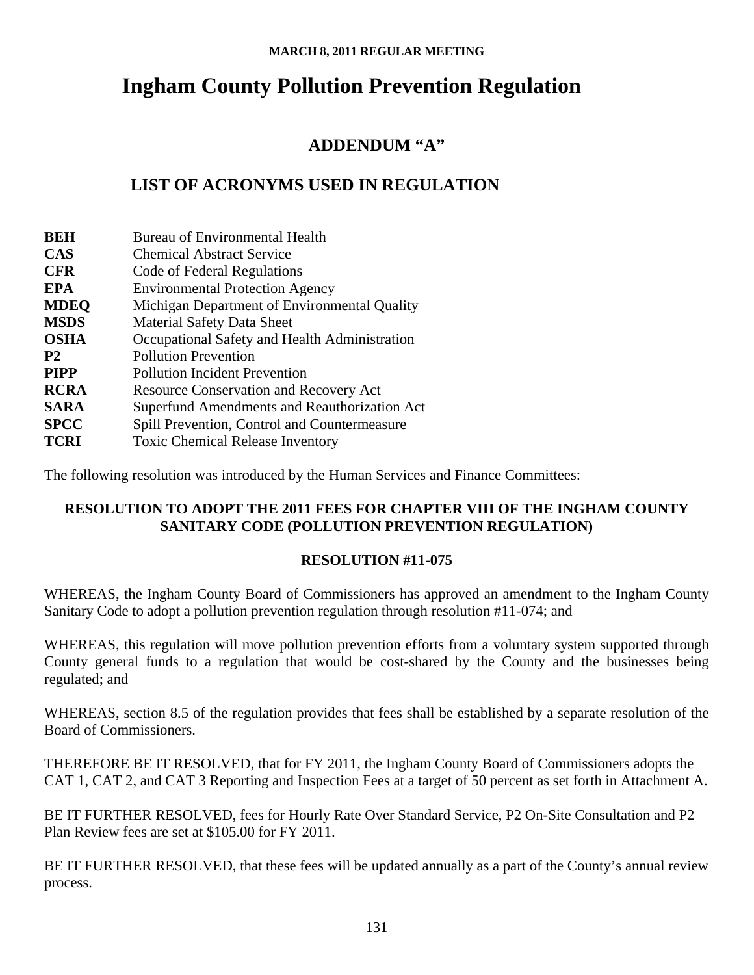# **Ingham County Pollution Prevention Regulation**

## **ADDENDUM "A"**

## **LIST OF ACRONYMS USED IN REGULATION**

| <b>BEH</b>  | <b>Bureau of Environmental Health</b>         |
|-------------|-----------------------------------------------|
| <b>CAS</b>  | <b>Chemical Abstract Service</b>              |
| <b>CFR</b>  | Code of Federal Regulations                   |
| EPA         | <b>Environmental Protection Agency</b>        |
| <b>MDEQ</b> | Michigan Department of Environmental Quality  |
| <b>MSDS</b> | <b>Material Safety Data Sheet</b>             |
| <b>OSHA</b> | Occupational Safety and Health Administration |
| <b>P2</b>   | <b>Pollution Prevention</b>                   |
| <b>PIPP</b> | <b>Pollution Incident Prevention</b>          |
| <b>RCRA</b> | Resource Conservation and Recovery Act        |
| <b>SARA</b> | Superfund Amendments and Reauthorization Act  |
| <b>SPCC</b> | Spill Prevention, Control and Countermeasure  |
| <b>TCRI</b> | <b>Toxic Chemical Release Inventory</b>       |

The following resolution was introduced by the Human Services and Finance Committees:

## **RESOLUTION TO ADOPT THE 2011 FEES FOR CHAPTER VIII OF THE INGHAM COUNTY SANITARY CODE (POLLUTION PREVENTION REGULATION)**

## **RESOLUTION #11-075**

WHEREAS, the Ingham County Board of Commissioners has approved an amendment to the Ingham County Sanitary Code to adopt a pollution prevention regulation through resolution #11-074; and

WHEREAS, this regulation will move pollution prevention efforts from a voluntary system supported through County general funds to a regulation that would be cost-shared by the County and the businesses being regulated; and

WHEREAS, section 8.5 of the regulation provides that fees shall be established by a separate resolution of the Board of Commissioners.

THEREFORE BE IT RESOLVED, that for FY 2011, the Ingham County Board of Commissioners adopts the CAT 1, CAT 2, and CAT 3 Reporting and Inspection Fees at a target of 50 percent as set forth in Attachment A.

BE IT FURTHER RESOLVED, fees for Hourly Rate Over Standard Service, P2 On-Site Consultation and P2 Plan Review fees are set at \$105.00 for FY 2011.

BE IT FURTHER RESOLVED, that these fees will be updated annually as a part of the County's annual review process.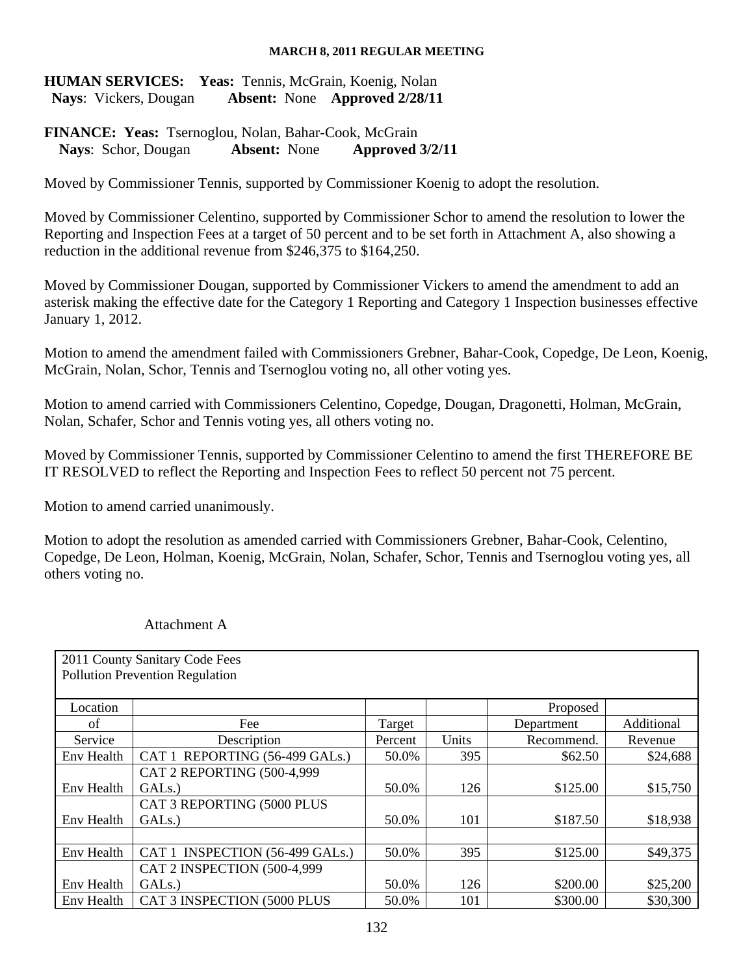## **HUMAN SERVICES:** Yeas: Tennis, McGrain, Koenig, Nolan  **Nays**: Vickers, Dougan **Absent:** None **Approved 2/28/11**

## **FINANCE: Yeas:** Tsernoglou, Nolan, Bahar-Cook, McGrain **Nays**: Schor, Dougan **Absent:** None **Approved 3/2/11**

Moved by Commissioner Tennis, supported by Commissioner Koenig to adopt the resolution.

Moved by Commissioner Celentino, supported by Commissioner Schor to amend the resolution to lower the Reporting and Inspection Fees at a target of 50 percent and to be set forth in Attachment A, also showing a reduction in the additional revenue from \$246,375 to \$164,250.

Moved by Commissioner Dougan, supported by Commissioner Vickers to amend the amendment to add an asterisk making the effective date for the Category 1 Reporting and Category 1 Inspection businesses effective January 1, 2012.

Motion to amend the amendment failed with Commissioners Grebner, Bahar-Cook, Copedge, De Leon, Koenig, McGrain, Nolan, Schor, Tennis and Tsernoglou voting no, all other voting yes.

Motion to amend carried with Commissioners Celentino, Copedge, Dougan, Dragonetti, Holman, McGrain, Nolan, Schafer, Schor and Tennis voting yes, all others voting no.

Moved by Commissioner Tennis, supported by Commissioner Celentino to amend the first THEREFORE BE IT RESOLVED to reflect the Reporting and Inspection Fees to reflect 50 percent not 75 percent.

Motion to amend carried unanimously.

Motion to adopt the resolution as amended carried with Commissioners Grebner, Bahar-Cook, Celentino, Copedge, De Leon, Holman, Koenig, McGrain, Nolan, Schafer, Schor, Tennis and Tsernoglou voting yes, all others voting no.

|            | 2011 County Sanitary Code Fees         |         |       |            |            |
|------------|----------------------------------------|---------|-------|------------|------------|
|            | <b>Pollution Prevention Regulation</b> |         |       |            |            |
|            |                                        |         |       |            |            |
| Location   |                                        |         |       | Proposed   |            |
| of         | Fee                                    | Target  |       | Department | Additional |
| Service    | Description                            | Percent | Units | Recommend. | Revenue    |
| Env Health | CAT 1 REPORTING (56-499 GALS.)         | 50.0%   | 395   | \$62.50    | \$24,688   |
|            | CAT 2 REPORTING (500-4,999             |         |       |            |            |
| Env Health | GAL <sub>s.</sub> )                    | 50.0%   | 126   | \$125.00   | \$15,750   |
|            | CAT 3 REPORTING (5000 PLUS             |         |       |            |            |
| Env Health | GAL <sub>s.</sub> )                    | 50.0%   | 101   | \$187.50   | \$18,938   |
|            |                                        |         |       |            |            |
| Env Health | CAT 1 INSPECTION (56-499 GALs.)        | 50.0%   | 395   | \$125.00   | \$49,375   |
|            | CAT 2 INSPECTION (500-4,999            |         |       |            |            |
| Env Health | GAL <sub>s.</sub> )                    | 50.0%   | 126   | \$200.00   | \$25,200   |
| Env Health | CAT 3 INSPECTION (5000 PLUS            | 50.0%   | 101   | \$300.00   | \$30,300   |

#### Attachment A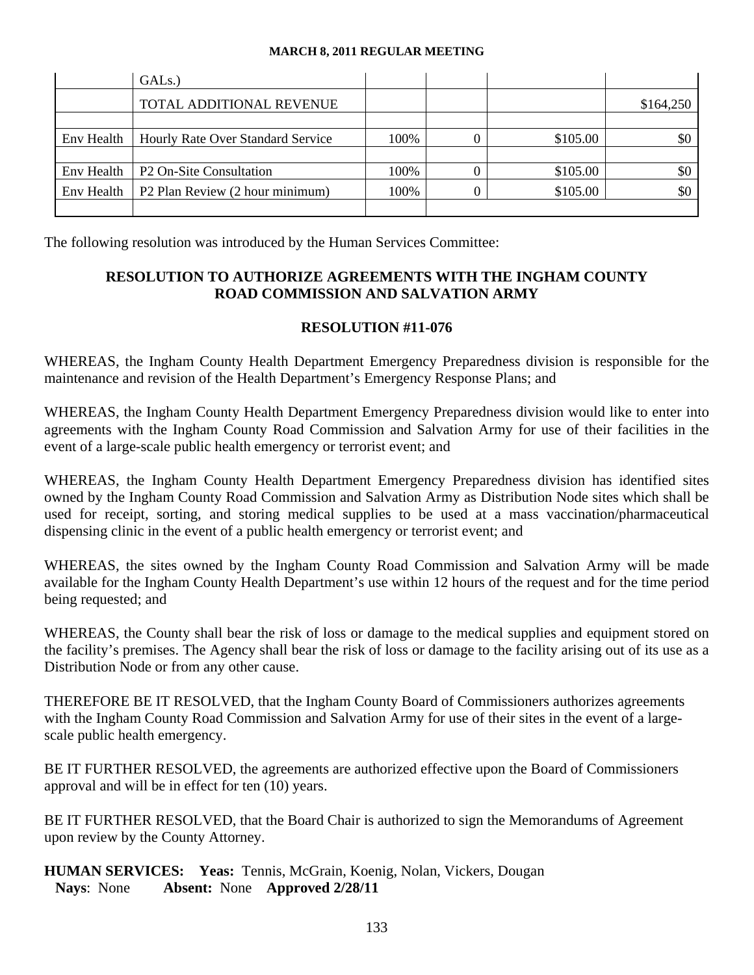|            | GAL <sub>s.</sub> )                      |      |          |           |
|------------|------------------------------------------|------|----------|-----------|
|            | TOTAL ADDITIONAL REVENUE                 |      |          | \$164,250 |
|            |                                          |      |          |           |
| Env Health | <b>Hourly Rate Over Standard Service</b> | 100% | \$105.00 | SC        |
|            |                                          |      |          |           |
| Env Health | P <sub>2</sub> On-Site Consultation      | 100% | \$105.00 | \$0       |
| Env Health | P2 Plan Review (2 hour minimum)          | 100% | \$105.00 | \$0       |
|            |                                          |      |          |           |

The following resolution was introduced by the Human Services Committee:

## **RESOLUTION TO AUTHORIZE AGREEMENTS WITH THE INGHAM COUNTY ROAD COMMISSION AND SALVATION ARMY**

#### **RESOLUTION #11-076**

WHEREAS, the Ingham County Health Department Emergency Preparedness division is responsible for the maintenance and revision of the Health Department's Emergency Response Plans; and

WHEREAS, the Ingham County Health Department Emergency Preparedness division would like to enter into agreements with the Ingham County Road Commission and Salvation Army for use of their facilities in the event of a large-scale public health emergency or terrorist event; and

WHEREAS, the Ingham County Health Department Emergency Preparedness division has identified sites owned by the Ingham County Road Commission and Salvation Army as Distribution Node sites which shall be used for receipt, sorting, and storing medical supplies to be used at a mass vaccination/pharmaceutical dispensing clinic in the event of a public health emergency or terrorist event; and

WHEREAS, the sites owned by the Ingham County Road Commission and Salvation Army will be made available for the Ingham County Health Department's use within 12 hours of the request and for the time period being requested; and

WHEREAS, the County shall bear the risk of loss or damage to the medical supplies and equipment stored on the facility's premises. The Agency shall bear the risk of loss or damage to the facility arising out of its use as a Distribution Node or from any other cause.

THEREFORE BE IT RESOLVED, that the Ingham County Board of Commissioners authorizes agreements with the Ingham County Road Commission and Salvation Army for use of their sites in the event of a largescale public health emergency.

BE IT FURTHER RESOLVED, the agreements are authorized effective upon the Board of Commissioners approval and will be in effect for ten (10) years.

BE IT FURTHER RESOLVED, that the Board Chair is authorized to sign the Memorandums of Agreement upon review by the County Attorney.

**HUMAN SERVICES: Yeas:** Tennis, McGrain, Koenig, Nolan, Vickers, Dougan **Nays**: None **Absent:** None **Approved 2/28/11**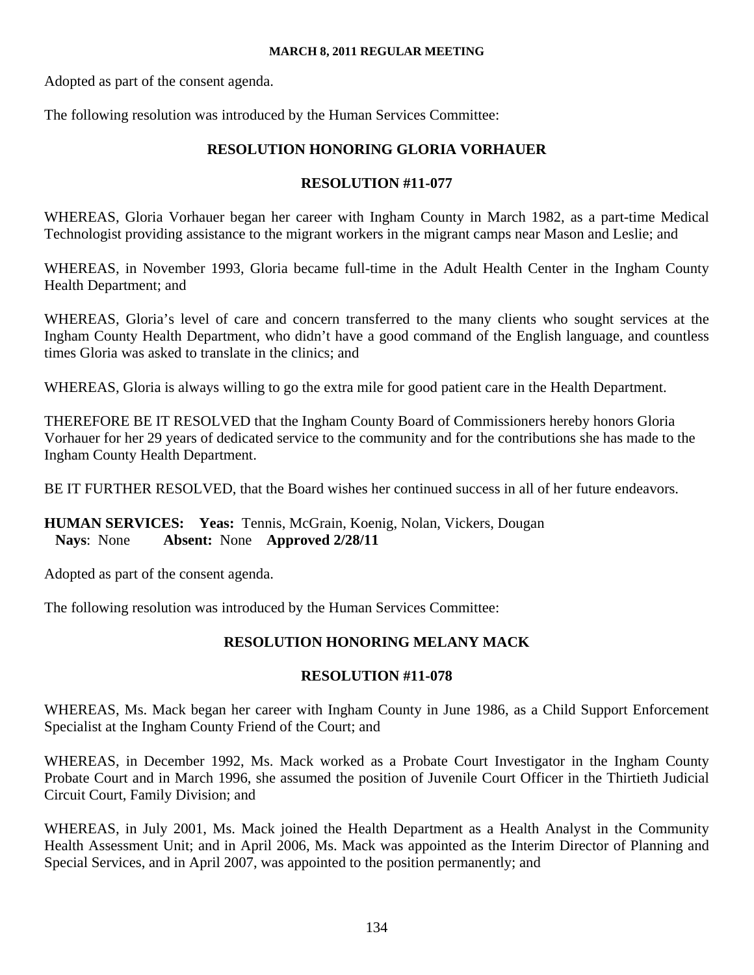Adopted as part of the consent agenda.

The following resolution was introduced by the Human Services Committee:

## **RESOLUTION HONORING GLORIA VORHAUER**

## **RESOLUTION #11-077**

WHEREAS, Gloria Vorhauer began her career with Ingham County in March 1982, as a part-time Medical Technologist providing assistance to the migrant workers in the migrant camps near Mason and Leslie; and

WHEREAS, in November 1993, Gloria became full-time in the Adult Health Center in the Ingham County Health Department; and

WHEREAS, Gloria's level of care and concern transferred to the many clients who sought services at the Ingham County Health Department, who didn't have a good command of the English language, and countless times Gloria was asked to translate in the clinics; and

WHEREAS, Gloria is always willing to go the extra mile for good patient care in the Health Department.

THEREFORE BE IT RESOLVED that the Ingham County Board of Commissioners hereby honors Gloria Vorhauer for her 29 years of dedicated service to the community and for the contributions she has made to the Ingham County Health Department.

BE IT FURTHER RESOLVED, that the Board wishes her continued success in all of her future endeavors.

**HUMAN SERVICES: Yeas:** Tennis, McGrain, Koenig, Nolan, Vickers, Dougan **Nays**: None **Absent:** None **Approved 2/28/11** 

Adopted as part of the consent agenda.

The following resolution was introduced by the Human Services Committee:

## **RESOLUTION HONORING MELANY MACK**

## **RESOLUTION #11-078**

WHEREAS, Ms. Mack began her career with Ingham County in June 1986, as a Child Support Enforcement Specialist at the Ingham County Friend of the Court; and

WHEREAS, in December 1992, Ms. Mack worked as a Probate Court Investigator in the Ingham County Probate Court and in March 1996, she assumed the position of Juvenile Court Officer in the Thirtieth Judicial Circuit Court, Family Division; and

WHEREAS, in July 2001, Ms. Mack joined the Health Department as a Health Analyst in the Community Health Assessment Unit; and in April 2006, Ms. Mack was appointed as the Interim Director of Planning and Special Services, and in April 2007, was appointed to the position permanently; and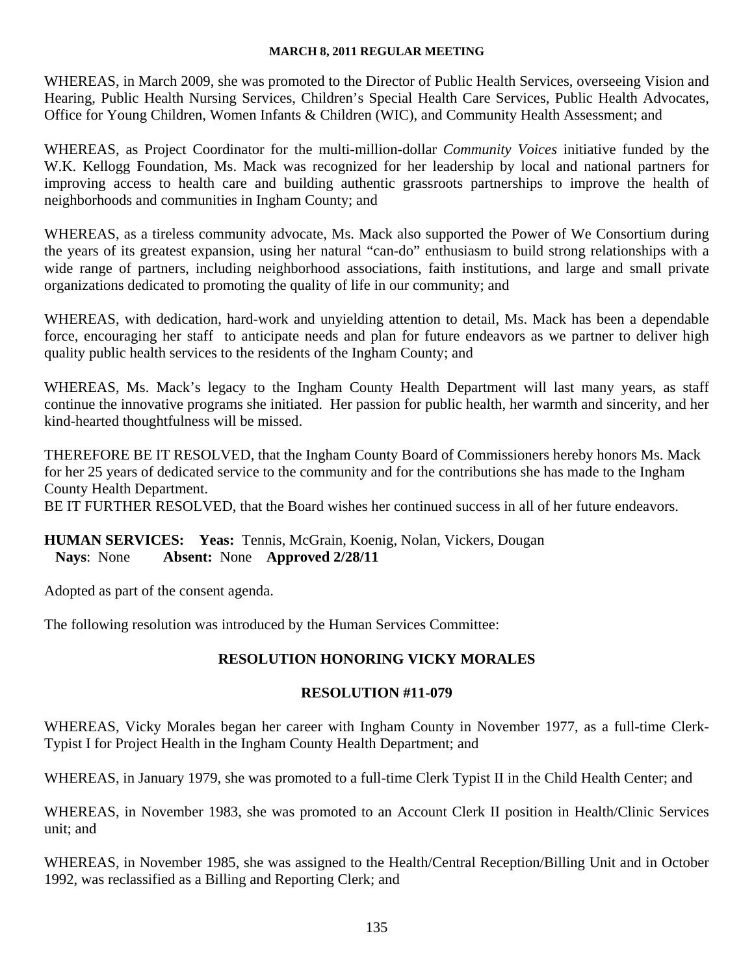WHEREAS, in March 2009, she was promoted to the Director of Public Health Services, overseeing Vision and Hearing, Public Health Nursing Services, Children's Special Health Care Services, Public Health Advocates, Office for Young Children, Women Infants & Children (WIC), and Community Health Assessment; and

WHEREAS, as Project Coordinator for the multi-million-dollar *Community Voices* initiative funded by the W.K. Kellogg Foundation, Ms. Mack was recognized for her leadership by local and national partners for improving access to health care and building authentic grassroots partnerships to improve the health of neighborhoods and communities in Ingham County; and

WHEREAS, as a tireless community advocate, Ms. Mack also supported the Power of We Consortium during the years of its greatest expansion, using her natural "can-do" enthusiasm to build strong relationships with a wide range of partners, including neighborhood associations, faith institutions, and large and small private organizations dedicated to promoting the quality of life in our community; and

WHEREAS, with dedication, hard-work and unyielding attention to detail, Ms. Mack has been a dependable force, encouraging her staff to anticipate needs and plan for future endeavors as we partner to deliver high quality public health services to the residents of the Ingham County; and

WHEREAS, Ms. Mack's legacy to the Ingham County Health Department will last many years, as staff continue the innovative programs she initiated. Her passion for public health, her warmth and sincerity, and her kind-hearted thoughtfulness will be missed.

THEREFORE BE IT RESOLVED, that the Ingham County Board of Commissioners hereby honors Ms. Mack for her 25 years of dedicated service to the community and for the contributions she has made to the Ingham County Health Department.

BE IT FURTHER RESOLVED, that the Board wishes her continued success in all of her future endeavors.

## **HUMAN SERVICES: Yeas:** Tennis, McGrain, Koenig, Nolan, Vickers, Dougan **Nays**: None **Absent:** None **Approved 2/28/11**

Adopted as part of the consent agenda.

The following resolution was introduced by the Human Services Committee:

## **RESOLUTION HONORING VICKY MORALES**

## **RESOLUTION #11-079**

WHEREAS, Vicky Morales began her career with Ingham County in November 1977, as a full-time Clerk-Typist I for Project Health in the Ingham County Health Department; and

WHEREAS, in January 1979, she was promoted to a full-time Clerk Typist II in the Child Health Center; and

WHEREAS, in November 1983, she was promoted to an Account Clerk II position in Health/Clinic Services unit; and

WHEREAS, in November 1985, she was assigned to the Health/Central Reception/Billing Unit and in October 1992, was reclassified as a Billing and Reporting Clerk; and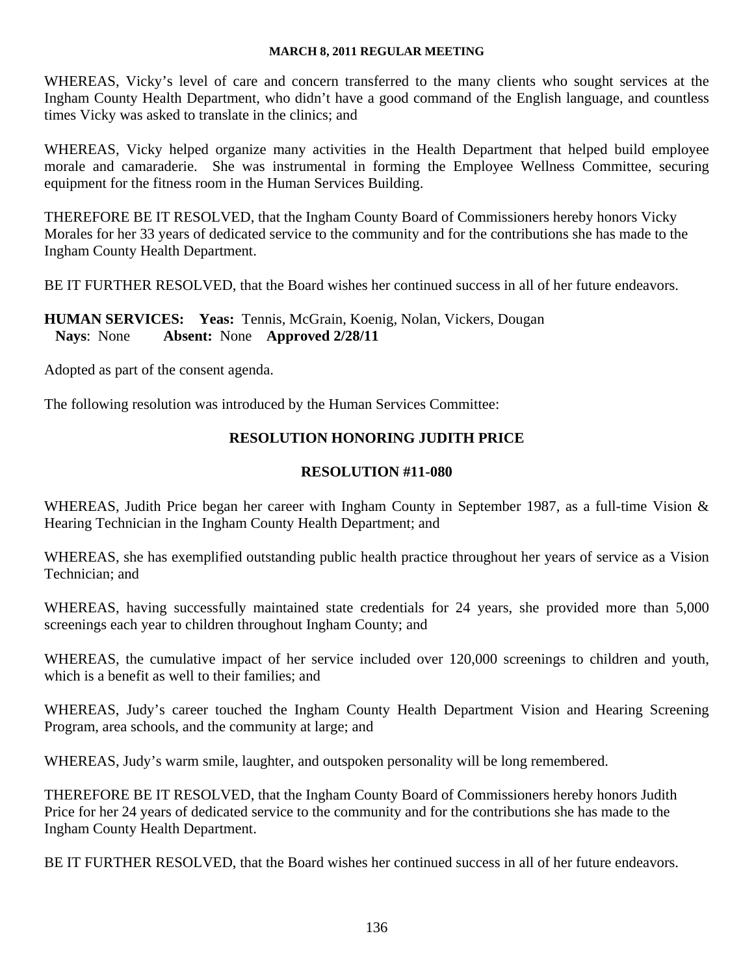WHEREAS, Vicky's level of care and concern transferred to the many clients who sought services at the Ingham County Health Department, who didn't have a good command of the English language, and countless times Vicky was asked to translate in the clinics; and

WHEREAS, Vicky helped organize many activities in the Health Department that helped build employee morale and camaraderie. She was instrumental in forming the Employee Wellness Committee, securing equipment for the fitness room in the Human Services Building.

THEREFORE BE IT RESOLVED, that the Ingham County Board of Commissioners hereby honors Vicky Morales for her 33 years of dedicated service to the community and for the contributions she has made to the Ingham County Health Department.

BE IT FURTHER RESOLVED, that the Board wishes her continued success in all of her future endeavors.

## **HUMAN SERVICES: Yeas:** Tennis, McGrain, Koenig, Nolan, Vickers, Dougan **Nays**: None **Absent:** None **Approved 2/28/11**

Adopted as part of the consent agenda.

The following resolution was introduced by the Human Services Committee:

## **RESOLUTION HONORING JUDITH PRICE**

## **RESOLUTION #11-080**

WHEREAS, Judith Price began her career with Ingham County in September 1987, as a full-time Vision & Hearing Technician in the Ingham County Health Department; and

WHEREAS, she has exemplified outstanding public health practice throughout her years of service as a Vision Technician; and

WHEREAS, having successfully maintained state credentials for 24 years, she provided more than 5,000 screenings each year to children throughout Ingham County; and

WHEREAS, the cumulative impact of her service included over 120,000 screenings to children and youth, which is a benefit as well to their families; and

WHEREAS, Judy's career touched the Ingham County Health Department Vision and Hearing Screening Program, area schools, and the community at large; and

WHEREAS, Judy's warm smile, laughter, and outspoken personality will be long remembered.

THEREFORE BE IT RESOLVED, that the Ingham County Board of Commissioners hereby honors Judith Price for her 24 years of dedicated service to the community and for the contributions she has made to the Ingham County Health Department.

BE IT FURTHER RESOLVED, that the Board wishes her continued success in all of her future endeavors.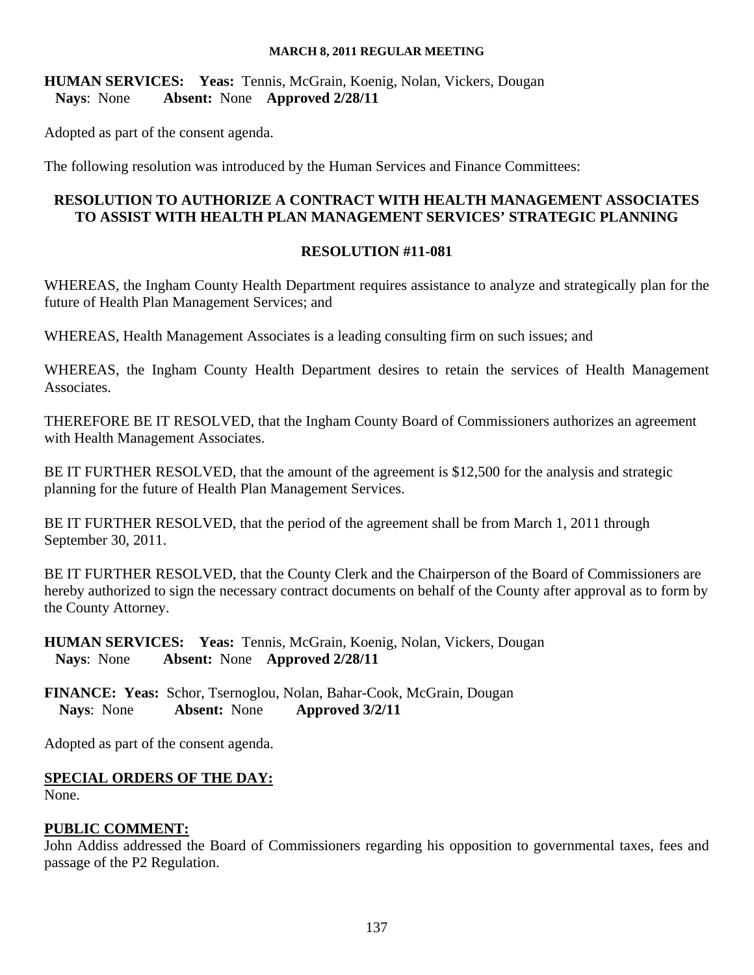**HUMAN SERVICES: Yeas:** Tennis, McGrain, Koenig, Nolan, Vickers, Dougan **Nays**: None **Absent:** None **Approved 2/28/11** 

Adopted as part of the consent agenda.

The following resolution was introduced by the Human Services and Finance Committees:

## **RESOLUTION TO AUTHORIZE A CONTRACT WITH HEALTH MANAGEMENT ASSOCIATES TO ASSIST WITH HEALTH PLAN MANAGEMENT SERVICES' STRATEGIC PLANNING**

## **RESOLUTION #11-081**

WHEREAS, the Ingham County Health Department requires assistance to analyze and strategically plan for the future of Health Plan Management Services; and

WHEREAS, Health Management Associates is a leading consulting firm on such issues; and

WHEREAS, the Ingham County Health Department desires to retain the services of Health Management Associates.

THEREFORE BE IT RESOLVED, that the Ingham County Board of Commissioners authorizes an agreement with Health Management Associates.

BE IT FURTHER RESOLVED, that the amount of the agreement is \$12,500 for the analysis and strategic planning for the future of Health Plan Management Services.

BE IT FURTHER RESOLVED, that the period of the agreement shall be from March 1, 2011 through September 30, 2011.

BE IT FURTHER RESOLVED, that the County Clerk and the Chairperson of the Board of Commissioners are hereby authorized to sign the necessary contract documents on behalf of the County after approval as to form by the County Attorney.

**HUMAN SERVICES: Yeas:** Tennis, McGrain, Koenig, Nolan, Vickers, Dougan **Nays**: None **Absent:** None **Approved 2/28/11** 

**FINANCE: Yeas:** Schor, Tsernoglou, Nolan, Bahar-Cook, McGrain, Dougan **Nays**: None **Absent:** None **Approved 3/2/11**

Adopted as part of the consent agenda.

## **SPECIAL ORDERS OF THE DAY:**

None.

## **PUBLIC COMMENT:**

John Addiss addressed the Board of Commissioners regarding his opposition to governmental taxes, fees and passage of the P2 Regulation.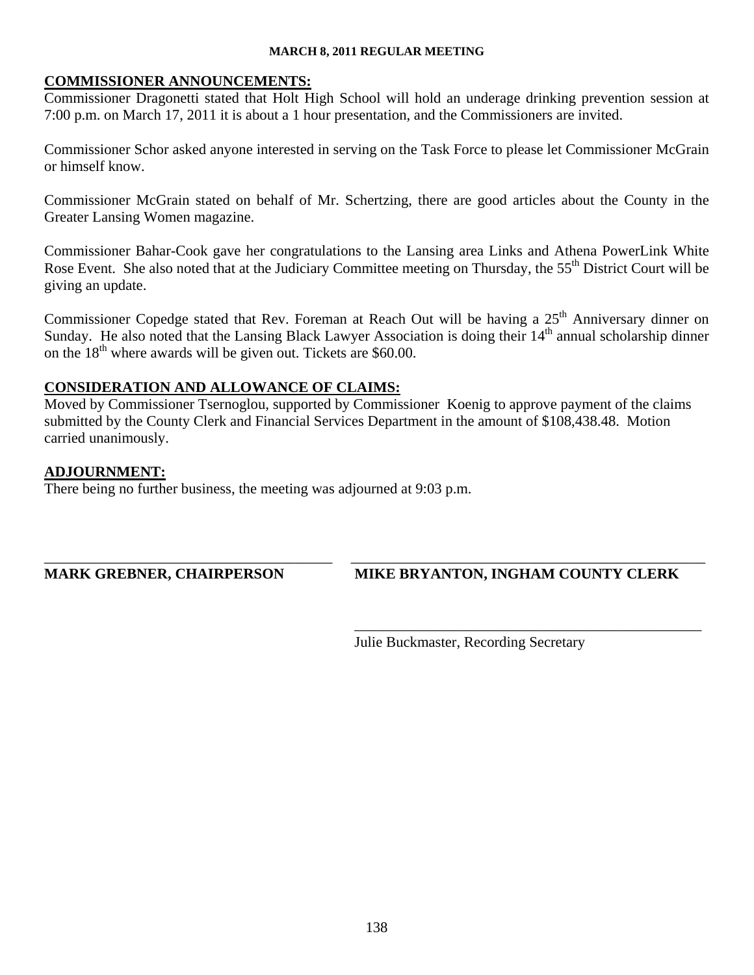#### **COMMISSIONER ANNOUNCEMENTS:**

Commissioner Dragonetti stated that Holt High School will hold an underage drinking prevention session at 7:00 p.m. on March 17, 2011 it is about a 1 hour presentation, and the Commissioners are invited.

Commissioner Schor asked anyone interested in serving on the Task Force to please let Commissioner McGrain or himself know.

Commissioner McGrain stated on behalf of Mr. Schertzing, there are good articles about the County in the Greater Lansing Women magazine.

Commissioner Bahar-Cook gave her congratulations to the Lansing area Links and Athena PowerLink White Rose Event. She also noted that at the Judiciary Committee meeting on Thursday, the 55<sup>th</sup> District Court will be giving an update.

Commissioner Copedge stated that Rev. Foreman at Reach Out will be having a 25<sup>th</sup> Anniversary dinner on Sunday. He also noted that the Lansing Black Lawyer Association is doing their 14<sup>th</sup> annual scholarship dinner on the  $18<sup>th</sup>$  where awards will be given out. Tickets are \$60.00.

## **CONSIDERATION AND ALLOWANCE OF CLAIMS:**

Moved by Commissioner Tsernoglou, supported by Commissioner Koenig to approve payment of the claims submitted by the County Clerk and Financial Services Department in the amount of \$108,438.48. Motion carried unanimously.

\_\_\_\_\_\_\_\_\_\_\_\_\_\_\_\_\_\_\_\_\_\_\_\_\_\_\_\_\_\_\_\_\_\_\_\_\_\_\_ \_\_\_\_\_\_\_\_\_\_\_\_\_\_\_\_\_\_\_\_\_\_\_\_\_\_\_\_\_\_\_\_\_\_\_\_\_\_\_\_\_\_\_\_\_\_\_\_

\_\_\_\_\_\_\_\_\_\_\_\_\_\_\_\_\_\_\_\_\_\_\_\_\_\_\_\_\_\_\_\_\_\_\_\_\_\_\_\_\_\_\_\_\_\_\_

#### **ADJOURNMENT:**

There being no further business, the meeting was adjourned at 9:03 p.m.

**MARK GREBNER, CHAIRPERSON MIKE BRYANTON, INGHAM COUNTY CLERK** 

Julie Buckmaster, Recording Secretary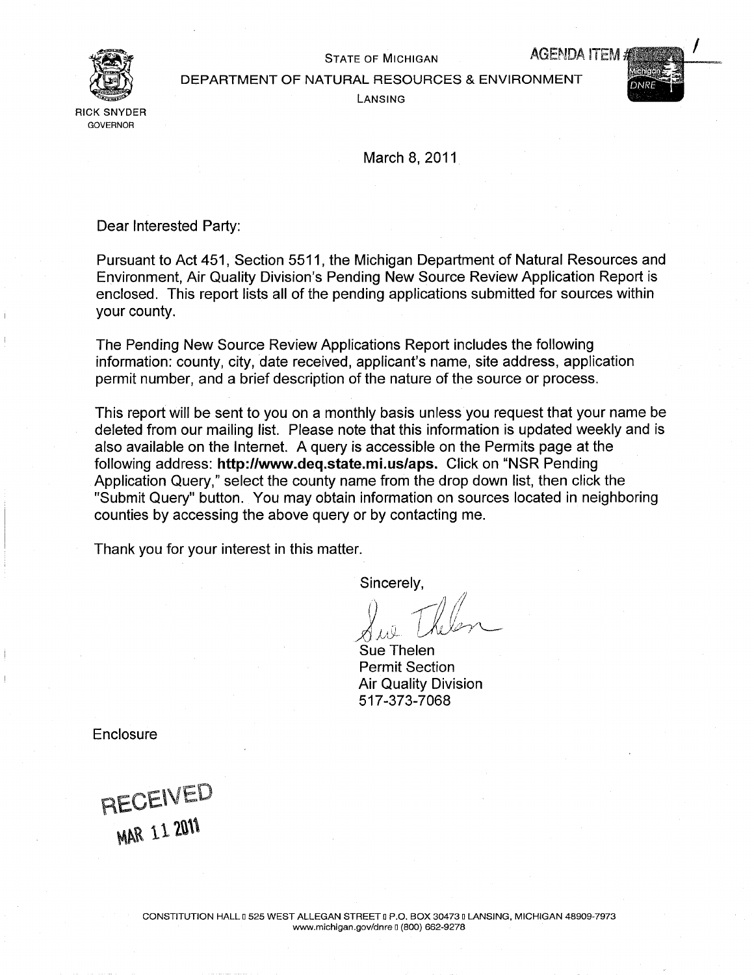<span id="page-39-0"></span>

STATE OF MICHIGAN AGENDA ITEM

DEPARTMENT OF NATURAL RESOURCES ENVIRONMENT

Lansing

March 8, 2011

Dear Interested Party:

Pursuant to Act 451, Section 5511, the Michigan Department of Natural Resources and Environment, Air Quality Division's Pending New Source Review Application Report is enclosed. This report lists all of the pending applications submitted for sources within your county.

The Pending New Source Review Applications Report includes the following information: county, city, date received, applicant's name, site address, application permit number, and a brief description of the nature of the source or process.

This report will be sent to you on a monthly basis unless you request that your name be deleted from our mailing list. Please note that this information is updated weekly and is also available on the Internet. A query is accessible on the Permits page at the following address: http://www.deq.state.mi.us/aps. Click on "NSR Pending Application Query," select the county name from the drop down list, then click the "Submit Query" button. You may obtain information on sources located in neighboring counties by accessing the above query or by contacting me.

Thank you for your interest in this matter.

Sincerely,

Sue Thelen Permit Section Air Quality Division 517-373-7068

**Enclosure** 

RECEIVED **MAR 11 2011**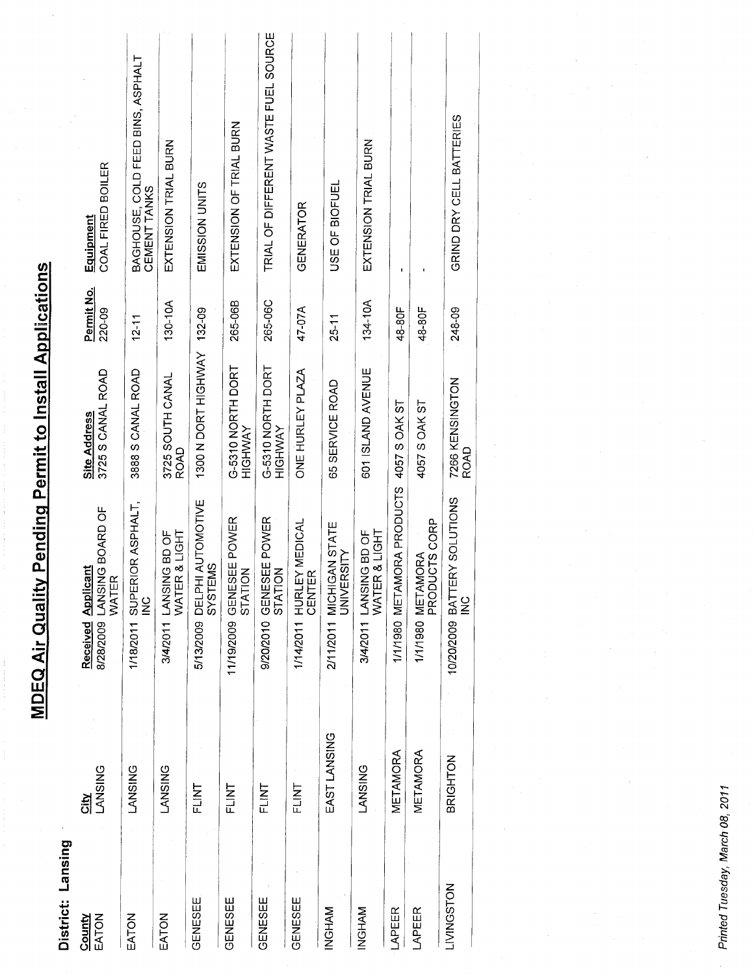| District: Lansing            |                     |                                                           |                                     |                      |                                                   |
|------------------------------|---------------------|-----------------------------------------------------------|-------------------------------------|----------------------|---------------------------------------------------|
| <b>Viunc</b><br><b>NOLVE</b> | <b>LANSING</b><br>흯 | 8/28/2009 LANSING BOARD OF<br>Received Applicant<br>WATER | 3725 S CANAL ROAD<br>Site Address   | Permit No.<br>220-09 | COAL FIRED BOILER<br>Equipment                    |
| <b>NOLY:</b>                 | <b>LANSING</b>      | 1/18/2011 SUPERIOR ASPHALT,<br>$\frac{c}{2}$              | 3888 S CANAL ROAD                   | $12 - 11$            | BAGHOUSE, COLD FEED BINS, ASPHALT<br>CEMENT TANKS |
| <b>NOTA</b>                  | <b>LANSING</b>      | <b>&amp; LIGHT</b><br>3/4/2011 LANSING BD OF<br>WATER     | 3725 SOUTH CANAL<br>ROAD            | 130-10A              | EXTENSION TRIAL BURN                              |
| <b>GENESEE</b>               | FLINT               | AUTOMOTIVE<br>SYSTEMS<br>5/13/2009 DELPHI                 | 1300 N DORT HIGHWAY 132-09          |                      | EMISSION<br>UNITS                                 |
| <b>GENESEE</b>               | FLINT               | 11/19/2009 GENESEE POWER                                  | G-5310 NORTH DORT<br><b>HIGHWAY</b> | 265-06B              | EXTENSION OF TRIAL BURN                           |
| <b>GENESEE</b>               | FLINT               | 9/20/2010 GENESEE POWER<br>STATION                        | G-5310 NORTH DORT<br>HIGHWAY        | 265-06C              | TRIAL OF DIFFERENT WASTE FUEL SOURCE              |
| <b>GENESEE</b>               | FLINT               | 1/14/2011 HURLEY MEDICAL<br>CENTER                        | ONE HURLEY PLAZA                    | 47-07A               | GENERATOR                                         |
| NGHAM                        | EAST LANSING        | 2/11/2011 MICHIGAN STATE<br>UNIVERSITY                    | 65 SERVICE ROAD                     | $25 - 11$            | USE OF BIOFUEL                                    |
| NGHAM                        | <b>LANSING</b>      | & LIGHT<br>3/4/2011 LANSING BD OF<br>WATER                | 601 ISLAND AVENUE                   | 134-10A              | EXTENSION TRIAL BURN                              |
| <b>APEER</b>                 | METAMORA            | 1/1/1980 METAMORA PRODUCTS                                | 4057 S OAK ST                       | 48-80F               |                                                   |
| <b>APEER</b>                 | METAMORA            | PRODUCTS CORP<br>1/1/1980 METAMORA                        | 4057 S OAK ST                       | 48-80F               |                                                   |
| NOLSDRING                    | <b>BRIGHTON</b>     | 10/20/2009 BATTERY SOLUTIONS<br>$\frac{6}{5}$             | 7266 KENSINGTON<br><b>ROAD</b>      | 248-09               | GRIND DRY CELL BATTERIES                          |
|                              |                     |                                                           |                                     |                      |                                                   |

**MDEQ Air Quality Pending Permit to Install Applications** 

Printed Tuesday, March 08, 2011

 $\mathbf{r}$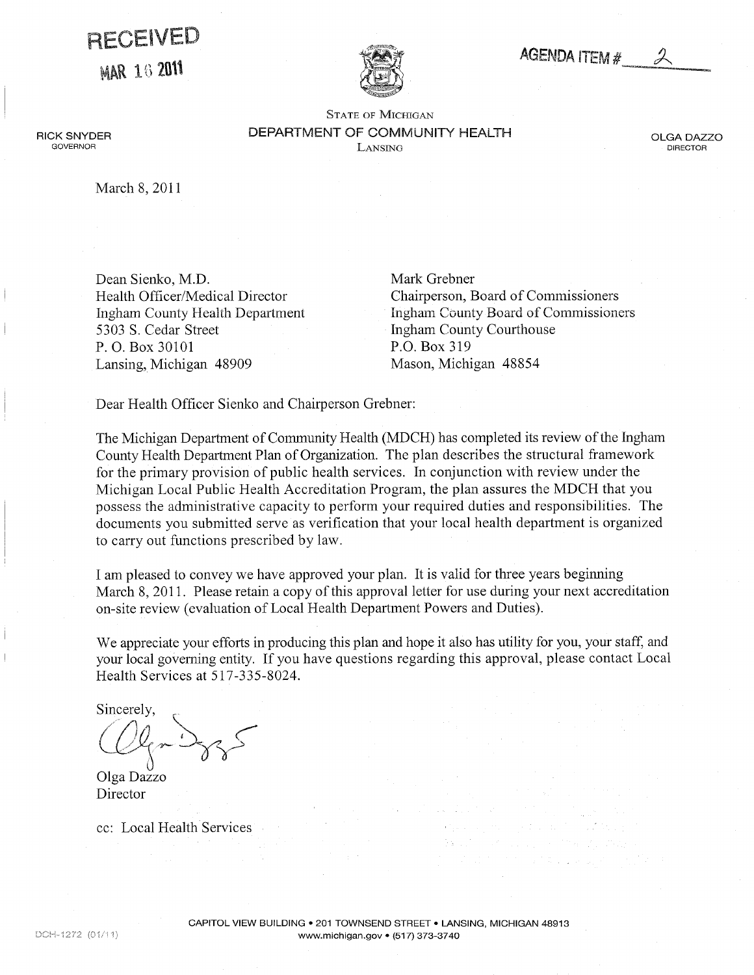# <span id="page-41-0"></span>RECEIVED

**MAR 16 2011** 



## **AGENDA ITEM #**

STATE OF MICHIGAN DEPARTMENT OF COMMUNITY HEALTH Lansing

OLGA DAZZO DIRECTOR

March 8, 2011

RICK SNYDER **GOVERNOR** 

> Dean Sienko, M.D. Health Officer/Medical Director Ingham County Health Department 5303 S. Cedar Street P.O. Box 30101 Lansing, Michigan 48909

Mark Grebner Chairperson, Board of Commissioners Ingham County Board of Commissioners Ingham County Courthouse P.O. Box 319 Mason, Michigan 48854

Dear Health Officer Sienko and Chairperson Grebner:

The Michigan Department of Community Health (MDCH) has completed its review of the Ingham County Health Department Plan of Organization. The plan describes the structural framework for the primary provision of public health services. In conjunction with review under the Michigan Local Public Health Accreditation Program, the plan assures the MDCH that you possess the administrative capacity to perform your required duties and responsibilities. The documents you submitted serve as verification that your local health department is organized to carry out functions prescribed by law.

I am pleased to convey we have approved your plan. It is valid for three years beginning March 8, 2011. Please retain a copy of this approval letter for use during your next accreditation on-site review (evaluation of Local Health Department Powers and Duties).

We appreciate your efforts in producing this plan and hope it also has utility for you, your staff, and your local governing entity. If you have questions regarding this approval, please contact Local Health Services at 517-335-8024.

Sincerely,

Olga Dazzo Director

cc: Local Health Services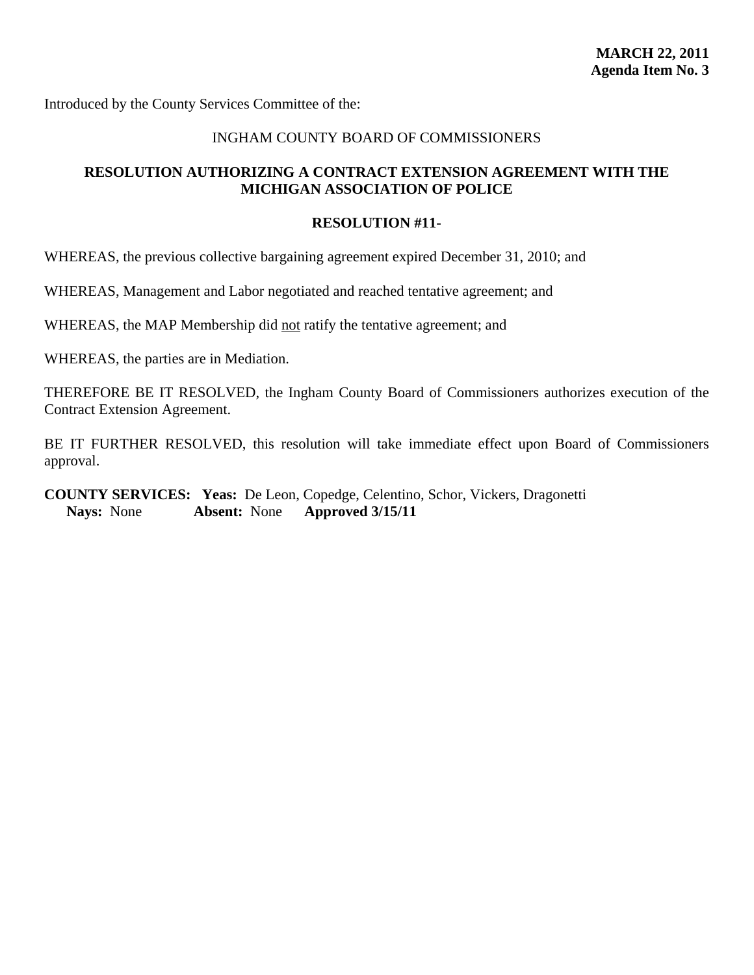#### INGHAM COUNTY BOARD OF COMMISSIONERS

## <span id="page-42-0"></span>**RESOLUTION AUTHORIZING A CONTRACT EXTENSION AGREEMENT WITH THE MICHIGAN ASSOCIATION OF POLICE**

#### **RESOLUTION #11-**

WHEREAS, the previous collective bargaining agreement expired December 31, 2010; and

WHEREAS, Management and Labor negotiated and reached tentative agreement; and

WHEREAS, the MAP Membership did not ratify the tentative agreement; and

WHEREAS, the parties are in Mediation.

THEREFORE BE IT RESOLVED, the Ingham County Board of Commissioners authorizes execution of the Contract Extension Agreement.

BE IT FURTHER RESOLVED, this resolution will take immediate effect upon Board of Commissioners approval.

**COUNTY SERVICES: Yeas:** De Leon, Copedge, Celentino, Schor, Vickers, Dragonetti **Nays:** None **Absent:** None **Approved 3/15/11**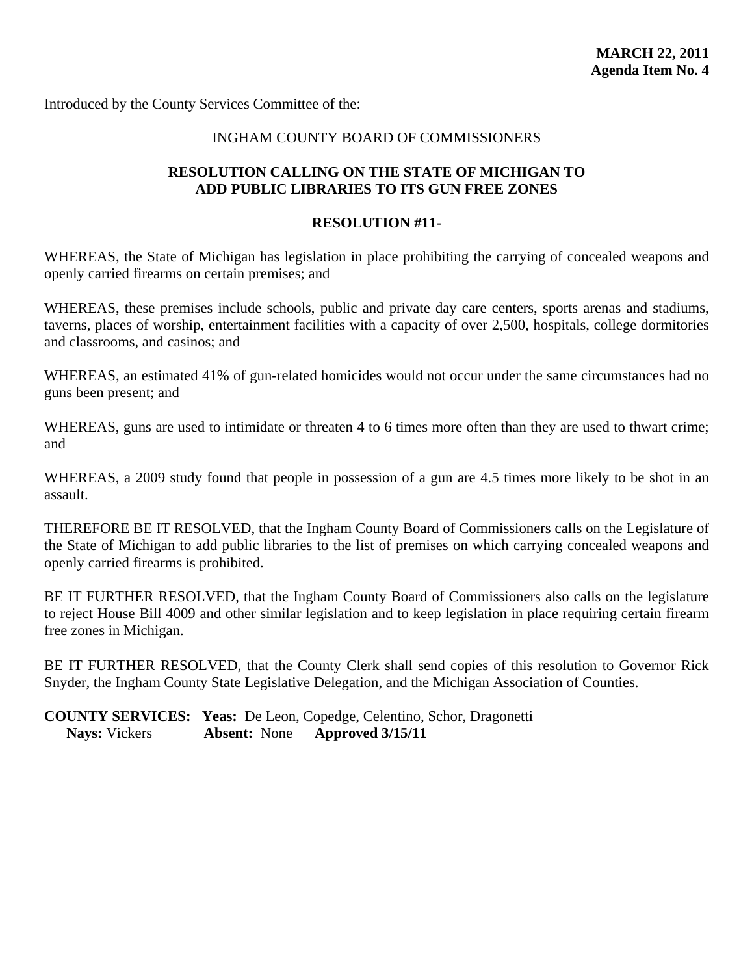## INGHAM COUNTY BOARD OF COMMISSIONERS

## <span id="page-43-0"></span>**RESOLUTION CALLING ON THE STATE OF MICHIGAN TO ADD PUBLIC LIBRARIES TO ITS GUN FREE ZONES**

#### **RESOLUTION #11-**

WHEREAS, the State of Michigan has legislation in place prohibiting the carrying of concealed weapons and openly carried firearms on certain premises; and

WHEREAS, these premises include schools, public and private day care centers, sports arenas and stadiums, taverns, places of worship, entertainment facilities with a capacity of over 2,500, hospitals, college dormitories and classrooms, and casinos; and

WHEREAS, an estimated 41% of gun-related homicides would not occur under the same circumstances had no guns been present; and

WHEREAS, guns are used to intimidate or threaten 4 to 6 times more often than they are used to thwart crime; and

WHEREAS, a 2009 study found that people in possession of a gun are 4.5 times more likely to be shot in an assault.

THEREFORE BE IT RESOLVED, that the Ingham County Board of Commissioners calls on the Legislature of the State of Michigan to add public libraries to the list of premises on which carrying concealed weapons and openly carried firearms is prohibited.

BE IT FURTHER RESOLVED, that the Ingham County Board of Commissioners also calls on the legislature to reject House Bill 4009 and other similar legislation and to keep legislation in place requiring certain firearm free zones in Michigan.

BE IT FURTHER RESOLVED, that the County Clerk shall send copies of this resolution to Governor Rick Snyder, the Ingham County State Legislative Delegation, and the Michigan Association of Counties.

**COUNTY SERVICES: Yeas:** De Leon, Copedge, Celentino, Schor, Dragonetti **Nays:** Vickers **Absent:** None **Approved 3/15/11**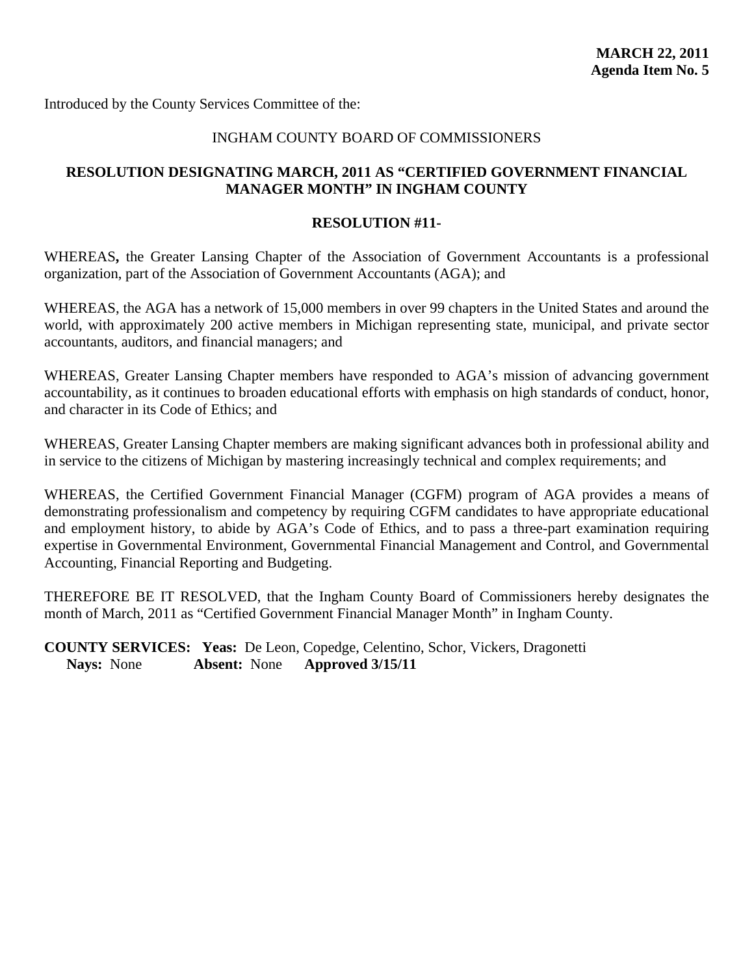## INGHAM COUNTY BOARD OF COMMISSIONERS

## <span id="page-44-0"></span>**RESOLUTION DESIGNATING MARCH, 2011 AS "CERTIFIED GOVERNMENT FINANCIAL MANAGER MONTH" IN INGHAM COUNTY**

#### **RESOLUTION #11-**

WHEREAS**,** the Greater Lansing Chapter of the Association of Government Accountants is a professional organization, part of the Association of Government Accountants (AGA); and

WHEREAS, the AGA has a network of 15,000 members in over 99 chapters in the United States and around the world, with approximately 200 active members in Michigan representing state, municipal, and private sector accountants, auditors, and financial managers; and

WHEREAS, Greater Lansing Chapter members have responded to AGA's mission of advancing government accountability, as it continues to broaden educational efforts with emphasis on high standards of conduct, honor, and character in its Code of Ethics; and

WHEREAS, Greater Lansing Chapter members are making significant advances both in professional ability and in service to the citizens of Michigan by mastering increasingly technical and complex requirements; and

WHEREAS, the Certified Government Financial Manager (CGFM) program of AGA provides a means of demonstrating professionalism and competency by requiring CGFM candidates to have appropriate educational and employment history, to abide by AGA's Code of Ethics, and to pass a three-part examination requiring expertise in Governmental Environment, Governmental Financial Management and Control, and Governmental Accounting, Financial Reporting and Budgeting.

THEREFORE BE IT RESOLVED, that the Ingham County Board of Commissioners hereby designates the month of March, 2011 as "Certified Government Financial Manager Month" in Ingham County.

**COUNTY SERVICES: Yeas:** De Leon, Copedge, Celentino, Schor, Vickers, Dragonetti **Nays:** None **Absent:** None **Approved 3/15/11**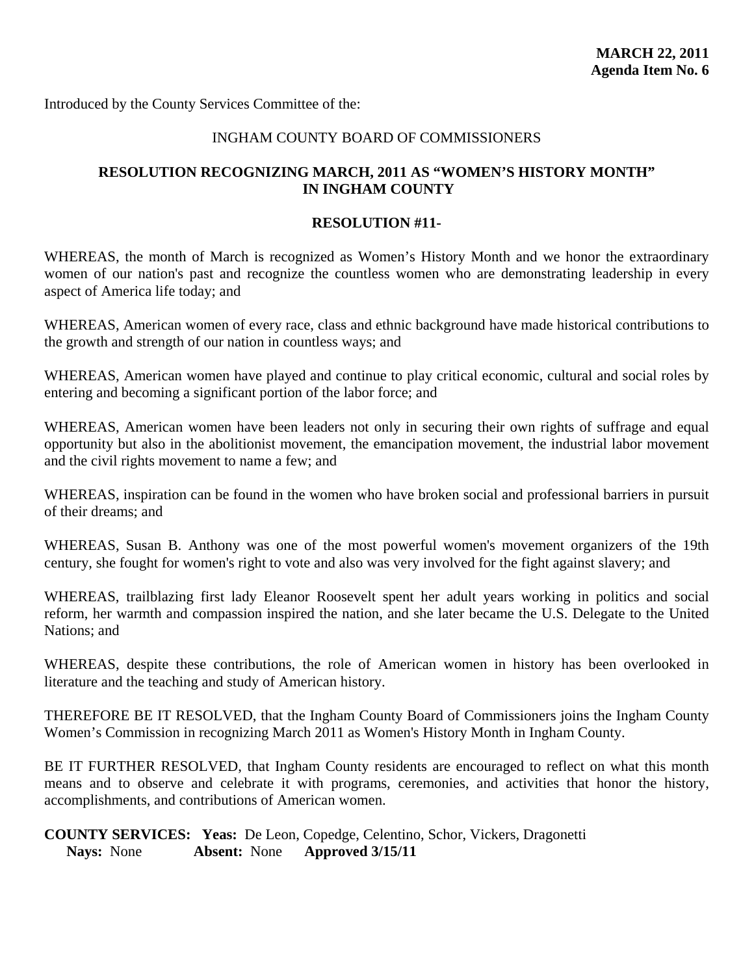## INGHAM COUNTY BOARD OF COMMISSIONERS

## <span id="page-45-0"></span>**RESOLUTION RECOGNIZING MARCH, 2011 AS "WOMEN'S HISTORY MONTH" IN INGHAM COUNTY**

#### **RESOLUTION #11-**

WHEREAS, the month of March is recognized as Women's History Month and we honor the extraordinary women of our nation's past and recognize the countless women who are demonstrating leadership in every aspect of America life today; and

WHEREAS, American women of every race, class and ethnic background have made historical contributions to the growth and strength of our nation in countless ways; and

WHEREAS, American women have played and continue to play critical economic, cultural and social roles by entering and becoming a significant portion of the labor force; and

WHEREAS, American women have been leaders not only in securing their own rights of suffrage and equal opportunity but also in the abolitionist movement, the emancipation movement, the industrial labor movement and the civil rights movement to name a few; and

WHEREAS, inspiration can be found in the women who have broken social and professional barriers in pursuit of their dreams; and

WHEREAS, Susan B. Anthony was one of the most powerful women's movement organizers of the 19th century, she fought for women's right to vote and also was very involved for the fight against slavery; and

WHEREAS, trailblazing first lady Eleanor Roosevelt spent her adult years working in politics and social reform, her warmth and compassion inspired the nation, and she later became the U.S. Delegate to the United Nations; and

WHEREAS, despite these contributions, the role of American women in history has been overlooked in literature and the teaching and study of American history.

THEREFORE BE IT RESOLVED, that the Ingham County Board of Commissioners joins the Ingham County Women's Commission in recognizing March 2011 as Women's History Month in Ingham County.

BE IT FURTHER RESOLVED, that Ingham County residents are encouraged to reflect on what this month means and to observe and celebrate it with programs, ceremonies, and activities that honor the history, accomplishments, and contributions of American women.

**COUNTY SERVICES: Yeas:** De Leon, Copedge, Celentino, Schor, Vickers, Dragonetti **Nays:** None **Absent:** None **Approved 3/15/11**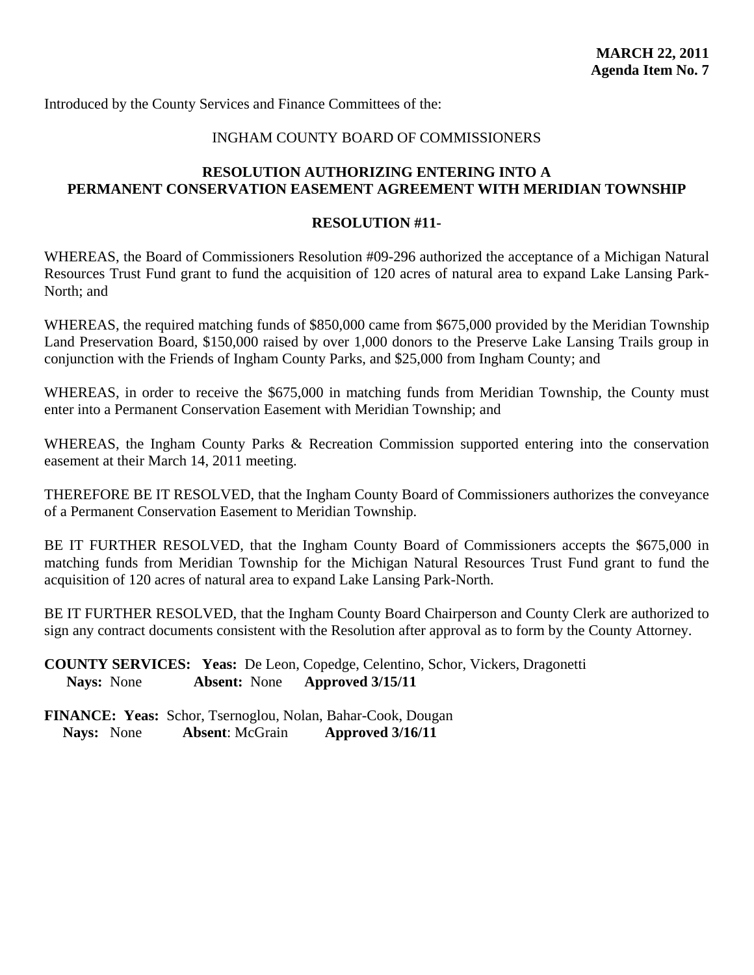## INGHAM COUNTY BOARD OF COMMISSIONERS

## <span id="page-46-0"></span>**RESOLUTION AUTHORIZING ENTERING INTO A PERMANENT CONSERVATION EASEMENT AGREEMENT WITH MERIDIAN TOWNSHIP**

#### **RESOLUTION #11-**

WHEREAS, the Board of Commissioners Resolution #09-296 authorized the acceptance of a Michigan Natural Resources Trust Fund grant to fund the acquisition of 120 acres of natural area to expand Lake Lansing Park-North; and

WHEREAS, the required matching funds of \$850,000 came from \$675,000 provided by the Meridian Township Land Preservation Board, \$150,000 raised by over 1,000 donors to the Preserve Lake Lansing Trails group in conjunction with the Friends of Ingham County Parks, and \$25,000 from Ingham County; and

WHEREAS, in order to receive the \$675,000 in matching funds from Meridian Township, the County must enter into a Permanent Conservation Easement with Meridian Township; and

WHEREAS, the Ingham County Parks & Recreation Commission supported entering into the conservation easement at their March 14, 2011 meeting.

THEREFORE BE IT RESOLVED, that the Ingham County Board of Commissioners authorizes the conveyance of a Permanent Conservation Easement to Meridian Township.

BE IT FURTHER RESOLVED, that the Ingham County Board of Commissioners accepts the \$675,000 in matching funds from Meridian Township for the Michigan Natural Resources Trust Fund grant to fund the acquisition of 120 acres of natural area to expand Lake Lansing Park-North.

BE IT FURTHER RESOLVED, that the Ingham County Board Chairperson and County Clerk are authorized to sign any contract documents consistent with the Resolution after approval as to form by the County Attorney.

**COUNTY SERVICES: Yeas:** De Leon, Copedge, Celentino, Schor, Vickers, Dragonetti **Nays:** None **Absent:** None **Approved 3/15/11**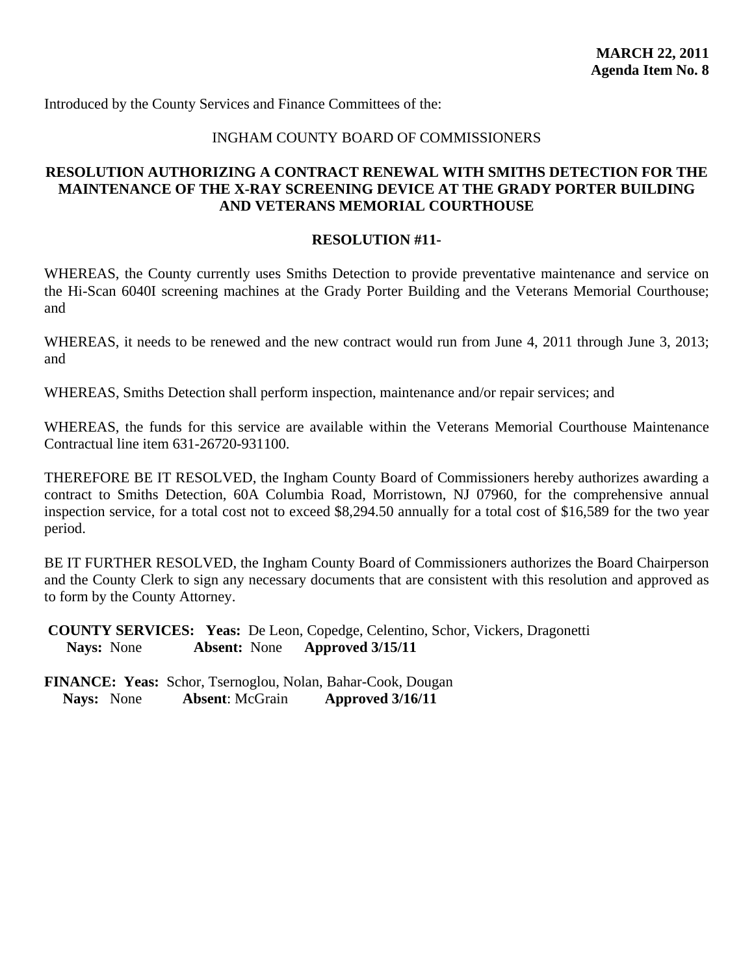#### INGHAM COUNTY BOARD OF COMMISSIONERS

## <span id="page-47-0"></span>**RESOLUTION AUTHORIZING A CONTRACT RENEWAL WITH SMITHS DETECTION FOR THE MAINTENANCE OF THE X-RAY SCREENING DEVICE AT THE GRADY PORTER BUILDING AND VETERANS MEMORIAL COURTHOUSE**

#### **RESOLUTION #11-**

WHEREAS, the County currently uses Smiths Detection to provide preventative maintenance and service on the Hi-Scan 6040I screening machines at the Grady Porter Building and the Veterans Memorial Courthouse; and

WHEREAS, it needs to be renewed and the new contract would run from June 4, 2011 through June 3, 2013; and

WHEREAS, Smiths Detection shall perform inspection, maintenance and/or repair services; and

WHEREAS, the funds for this service are available within the Veterans Memorial Courthouse Maintenance Contractual line item 631-26720-931100.

THEREFORE BE IT RESOLVED, the Ingham County Board of Commissioners hereby authorizes awarding a contract to Smiths Detection, 60A Columbia Road, Morristown, NJ 07960, for the comprehensive annual inspection service, for a total cost not to exceed \$8,294.50 annually for a total cost of \$16,589 for the two year period.

BE IT FURTHER RESOLVED, the Ingham County Board of Commissioners authorizes the Board Chairperson and the County Clerk to sign any necessary documents that are consistent with this resolution and approved as to form by the County Attorney.

 **COUNTY SERVICES: Yeas:** De Leon, Copedge, Celentino, Schor, Vickers, Dragonetti **Nays:** None **Absent:** None **Approved 3/15/11**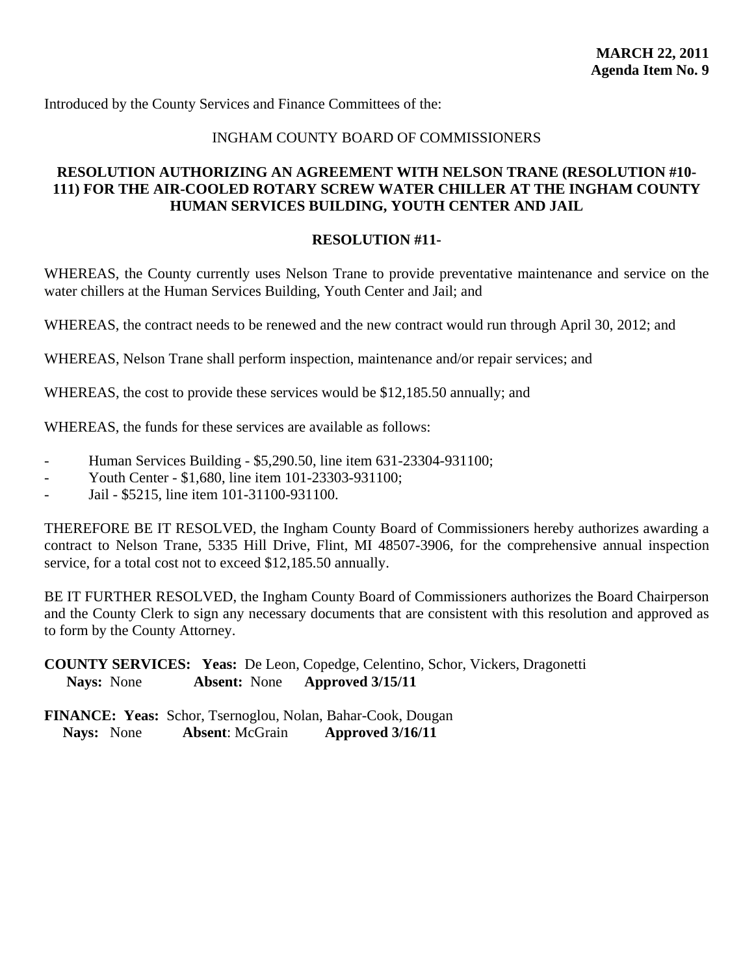## INGHAM COUNTY BOARD OF COMMISSIONERS

## <span id="page-48-0"></span>**RESOLUTION AUTHORIZING AN AGREEMENT WITH NELSON TRANE (RESOLUTION #10- 111) FOR THE AIR-COOLED ROTARY SCREW WATER CHILLER AT THE INGHAM COUNTY HUMAN SERVICES BUILDING, YOUTH CENTER AND JAIL**

#### **RESOLUTION #11-**

WHEREAS, the County currently uses Nelson Trane to provide preventative maintenance and service on the water chillers at the Human Services Building, Youth Center and Jail; and

WHEREAS, the contract needs to be renewed and the new contract would run through April 30, 2012; and

WHEREAS, Nelson Trane shall perform inspection, maintenance and/or repair services; and

WHEREAS, the cost to provide these services would be \$12,185.50 annually; and

WHEREAS, the funds for these services are available as follows:

- Human Services Building \$5,290.50, line item 631-23304-931100;
- Youth Center \$1,680, line item 101-23303-931100;
- Jail \$5215, line item 101-31100-931100.

THEREFORE BE IT RESOLVED, the Ingham County Board of Commissioners hereby authorizes awarding a contract to Nelson Trane, 5335 Hill Drive, Flint, MI 48507-3906, for the comprehensive annual inspection service, for a total cost not to exceed \$12,185.50 annually.

BE IT FURTHER RESOLVED, the Ingham County Board of Commissioners authorizes the Board Chairperson and the County Clerk to sign any necessary documents that are consistent with this resolution and approved as to form by the County Attorney.

**COUNTY SERVICES: Yeas:** De Leon, Copedge, Celentino, Schor, Vickers, Dragonetti **Nays:** None **Absent:** None **Approved 3/15/11**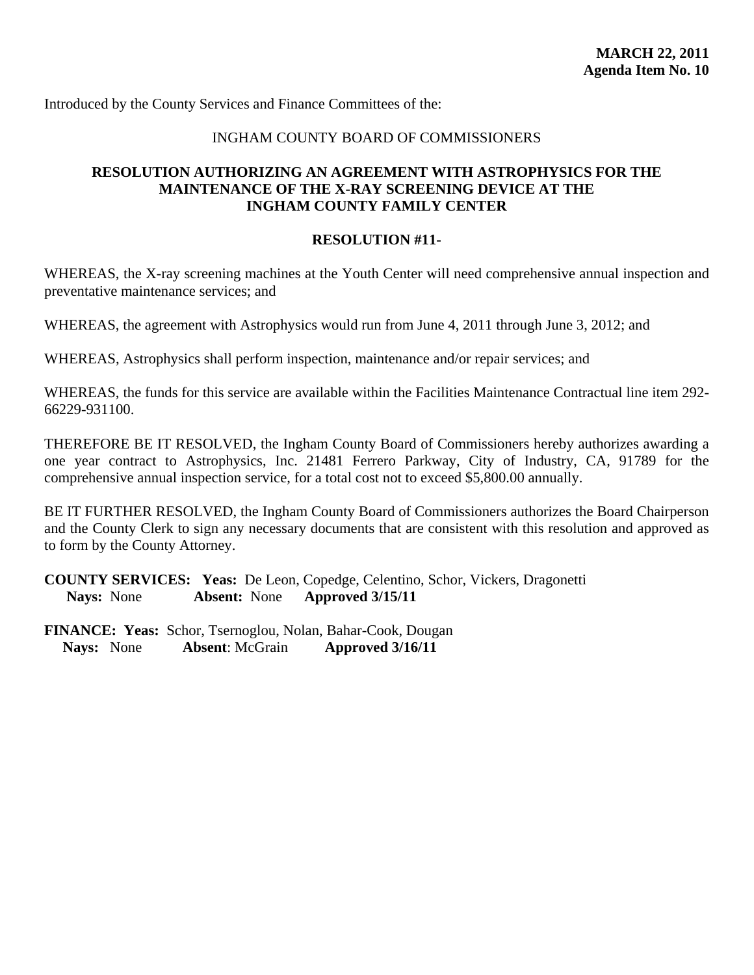## INGHAM COUNTY BOARD OF COMMISSIONERS

## <span id="page-49-0"></span>**RESOLUTION AUTHORIZING AN AGREEMENT WITH ASTROPHYSICS FOR THE MAINTENANCE OF THE X-RAY SCREENING DEVICE AT THE INGHAM COUNTY FAMILY CENTER**

#### **RESOLUTION #11-**

WHEREAS, the X-ray screening machines at the Youth Center will need comprehensive annual inspection and preventative maintenance services; and

WHEREAS, the agreement with Astrophysics would run from June 4, 2011 through June 3, 2012; and

WHEREAS, Astrophysics shall perform inspection, maintenance and/or repair services; and

WHEREAS, the funds for this service are available within the Facilities Maintenance Contractual line item 292- 66229-931100.

THEREFORE BE IT RESOLVED, the Ingham County Board of Commissioners hereby authorizes awarding a one year contract to Astrophysics, Inc. 21481 Ferrero Parkway, City of Industry, CA, 91789 for the comprehensive annual inspection service, for a total cost not to exceed \$5,800.00 annually.

BE IT FURTHER RESOLVED, the Ingham County Board of Commissioners authorizes the Board Chairperson and the County Clerk to sign any necessary documents that are consistent with this resolution and approved as to form by the County Attorney.

**COUNTY SERVICES: Yeas:** De Leon, Copedge, Celentino, Schor, Vickers, Dragonetti **Nays:** None **Absent:** None **Approved 3/15/11**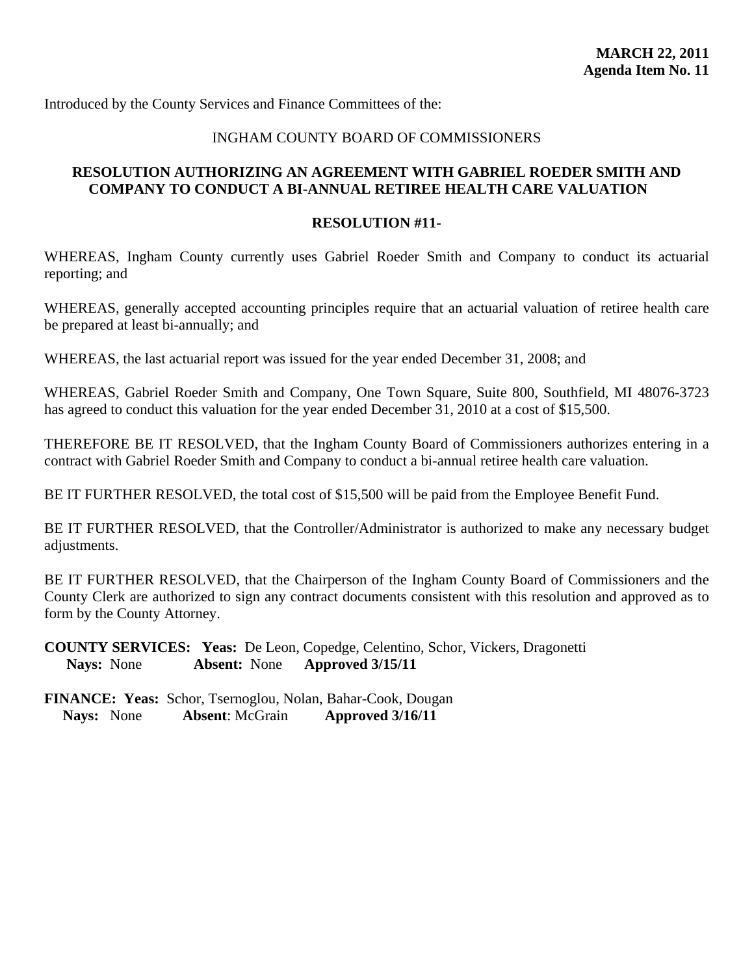## INGHAM COUNTY BOARD OF COMMISSIONERS

## <span id="page-50-0"></span>**RESOLUTION AUTHORIZING AN AGREEMENT WITH GABRIEL ROEDER SMITH AND COMPANY TO CONDUCT A BI-ANNUAL RETIREE HEALTH CARE VALUATION**

#### **RESOLUTION #11-**

WHEREAS, Ingham County currently uses Gabriel Roeder Smith and Company to conduct its actuarial reporting; and

WHEREAS, generally accepted accounting principles require that an actuarial valuation of retiree health care be prepared at least bi-annually; and

WHEREAS, the last actuarial report was issued for the year ended December 31, 2008; and

WHEREAS, Gabriel Roeder Smith and Company, One Town Square, Suite 800, Southfield, MI 48076-3723 has agreed to conduct this valuation for the year ended December 31, 2010 at a cost of \$15,500.

THEREFORE BE IT RESOLVED, that the Ingham County Board of Commissioners authorizes entering in a contract with Gabriel Roeder Smith and Company to conduct a bi-annual retiree health care valuation.

BE IT FURTHER RESOLVED, the total cost of \$15,500 will be paid from the Employee Benefit Fund.

BE IT FURTHER RESOLVED, that the Controller/Administrator is authorized to make any necessary budget adjustments.

BE IT FURTHER RESOLVED, that the Chairperson of the Ingham County Board of Commissioners and the County Clerk are authorized to sign any contract documents consistent with this resolution and approved as to form by the County Attorney.

**COUNTY SERVICES: Yeas:** De Leon, Copedge, Celentino, Schor, Vickers, Dragonetti **Nays:** None **Absent:** None **Approved 3/15/11**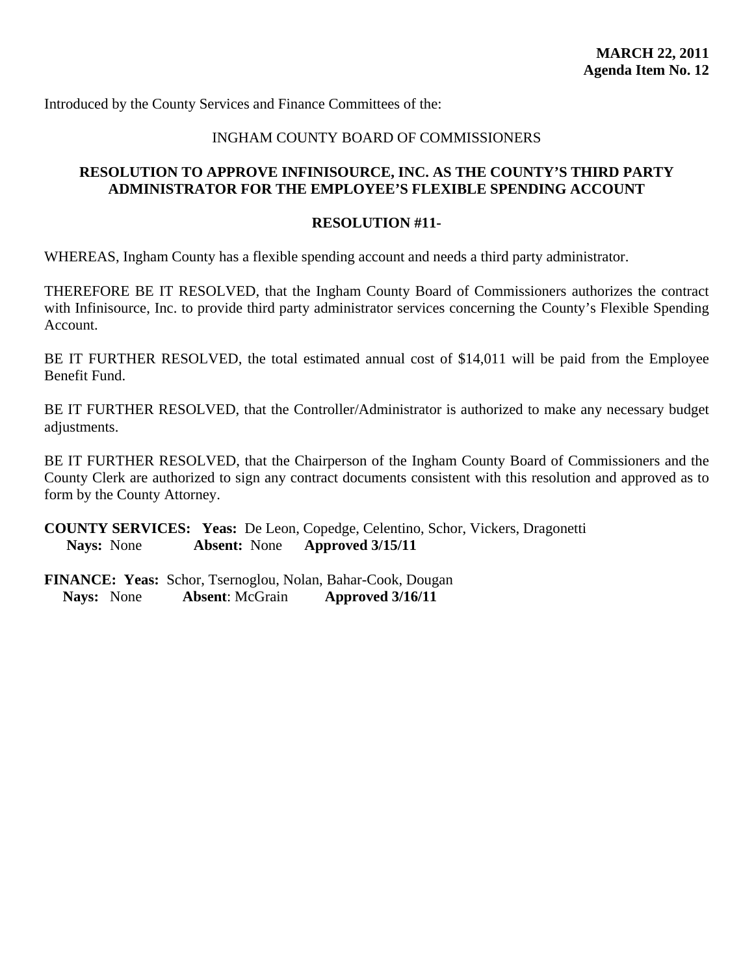## INGHAM COUNTY BOARD OF COMMISSIONERS

## <span id="page-51-0"></span>**RESOLUTION TO APPROVE INFINISOURCE, INC. AS THE COUNTY'S THIRD PARTY ADMINISTRATOR FOR THE EMPLOYEE'S FLEXIBLE SPENDING ACCOUNT**

#### **RESOLUTION #11-**

WHEREAS, Ingham County has a flexible spending account and needs a third party administrator.

THEREFORE BE IT RESOLVED, that the Ingham County Board of Commissioners authorizes the contract with Infinisource, Inc. to provide third party administrator services concerning the County's Flexible Spending Account.

BE IT FURTHER RESOLVED, the total estimated annual cost of \$14,011 will be paid from the Employee Benefit Fund.

BE IT FURTHER RESOLVED, that the Controller/Administrator is authorized to make any necessary budget adjustments.

BE IT FURTHER RESOLVED, that the Chairperson of the Ingham County Board of Commissioners and the County Clerk are authorized to sign any contract documents consistent with this resolution and approved as to form by the County Attorney.

**COUNTY SERVICES: Yeas:** De Leon, Copedge, Celentino, Schor, Vickers, Dragonetti **Nays:** None **Absent:** None **Approved 3/15/11**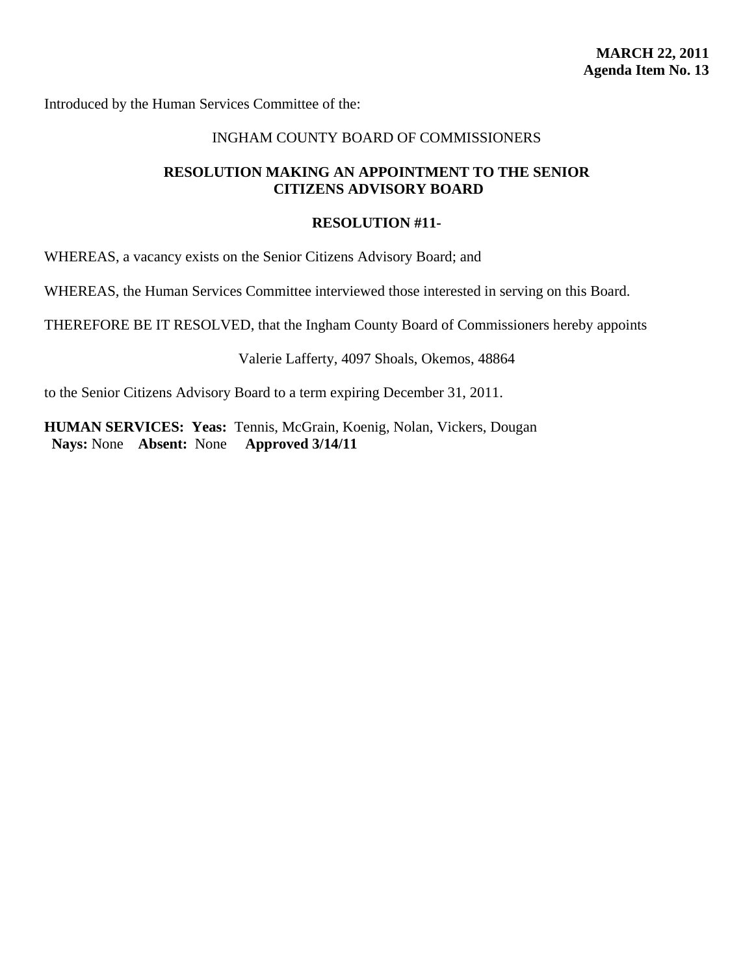#### INGHAM COUNTY BOARD OF COMMISSIONERS

#### <span id="page-52-0"></span>**RESOLUTION MAKING AN APPOINTMENT TO THE SENIOR CITIZENS ADVISORY BOARD**

#### **RESOLUTION #11-**

WHEREAS, a vacancy exists on the Senior Citizens Advisory Board; and

WHEREAS, the Human Services Committee interviewed those interested in serving on this Board.

THEREFORE BE IT RESOLVED, that the Ingham County Board of Commissioners hereby appoints

Valerie Lafferty, 4097 Shoals, Okemos, 48864

to the Senior Citizens Advisory Board to a term expiring December 31, 2011.

**HUMAN SERVICES: Yeas:** Tennis, McGrain, Koenig, Nolan, Vickers, Dougan  **Nays:** None **Absent:** None **Approved 3/14/11**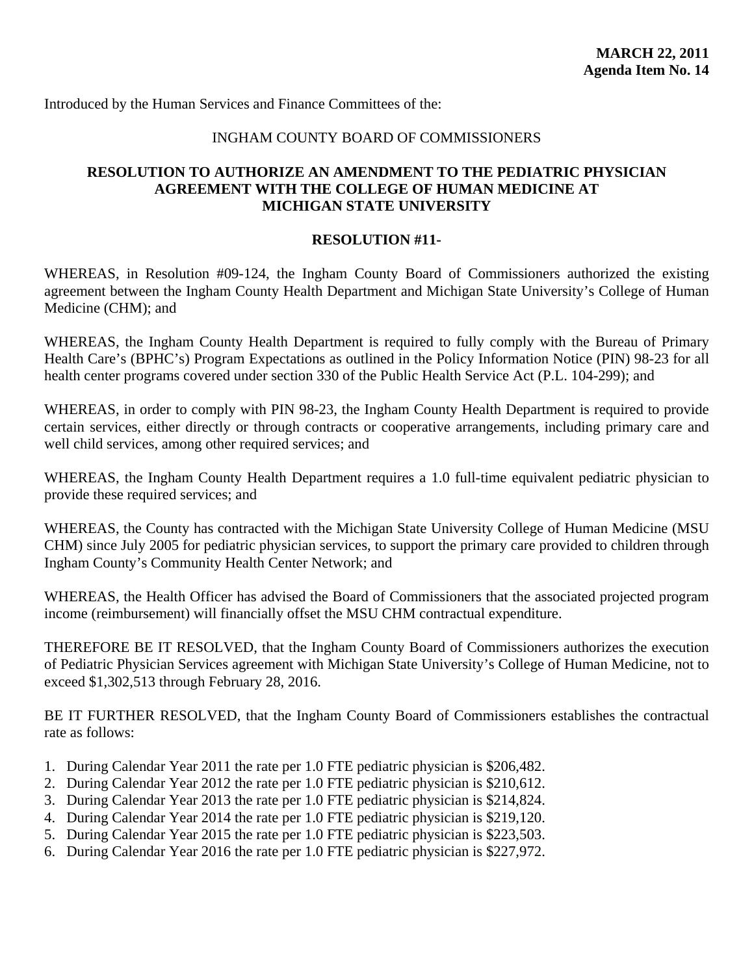## INGHAM COUNTY BOARD OF COMMISSIONERS

## <span id="page-53-0"></span>**RESOLUTION TO AUTHORIZE AN AMENDMENT TO THE PEDIATRIC PHYSICIAN AGREEMENT WITH THE COLLEGE OF HUMAN MEDICINE AT MICHIGAN STATE UNIVERSITY**

#### **RESOLUTION #11-**

WHEREAS, in Resolution #09-124, the Ingham County Board of Commissioners authorized the existing agreement between the Ingham County Health Department and Michigan State University's College of Human Medicine (CHM); and

WHEREAS, the Ingham County Health Department is required to fully comply with the Bureau of Primary Health Care's (BPHC's) Program Expectations as outlined in the Policy Information Notice (PIN) 98-23 for all health center programs covered under section 330 of the Public Health Service Act (P.L. 104-299); and

WHEREAS, in order to comply with PIN 98-23, the Ingham County Health Department is required to provide certain services, either directly or through contracts or cooperative arrangements, including primary care and well child services, among other required services; and

WHEREAS, the Ingham County Health Department requires a 1.0 full-time equivalent pediatric physician to provide these required services; and

WHEREAS, the County has contracted with the Michigan State University College of Human Medicine (MSU CHM) since July 2005 for pediatric physician services, to support the primary care provided to children through Ingham County's Community Health Center Network; and

WHEREAS, the Health Officer has advised the Board of Commissioners that the associated projected program income (reimbursement) will financially offset the MSU CHM contractual expenditure.

THEREFORE BE IT RESOLVED, that the Ingham County Board of Commissioners authorizes the execution of Pediatric Physician Services agreement with Michigan State University's College of Human Medicine, not to exceed \$1,302,513 through February 28, 2016.

BE IT FURTHER RESOLVED, that the Ingham County Board of Commissioners establishes the contractual rate as follows:

- 1. During Calendar Year 2011 the rate per 1.0 FTE pediatric physician is \$206,482.
- 2. During Calendar Year 2012 the rate per 1.0 FTE pediatric physician is \$210,612.
- 3. During Calendar Year 2013 the rate per 1.0 FTE pediatric physician is \$214,824.
- 4. During Calendar Year 2014 the rate per 1.0 FTE pediatric physician is \$219,120.
- 5. During Calendar Year 2015 the rate per 1.0 FTE pediatric physician is \$223,503.
- 6. During Calendar Year 2016 the rate per 1.0 FTE pediatric physician is \$227,972.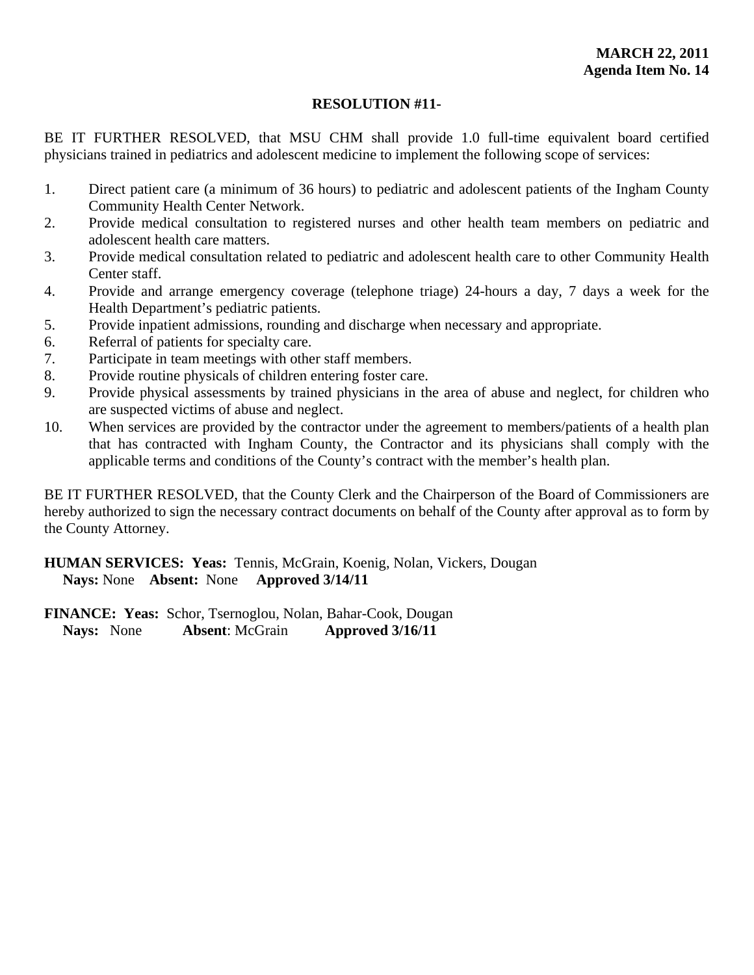## **RESOLUTION #11-**

BE IT FURTHER RESOLVED, that MSU CHM shall provide 1.0 full-time equivalent board certified physicians trained in pediatrics and adolescent medicine to implement the following scope of services:

- 1. Direct patient care (a minimum of 36 hours) to pediatric and adolescent patients of the Ingham County Community Health Center Network.
- 2. Provide medical consultation to registered nurses and other health team members on pediatric and adolescent health care matters.
- 3. Provide medical consultation related to pediatric and adolescent health care to other Community Health Center staff.
- 4. Provide and arrange emergency coverage (telephone triage) 24-hours a day, 7 days a week for the Health Department's pediatric patients.
- 5. Provide inpatient admissions, rounding and discharge when necessary and appropriate.
- 6. Referral of patients for specialty care.
- 7. Participate in team meetings with other staff members.
- 8. Provide routine physicals of children entering foster care.
- 9. Provide physical assessments by trained physicians in the area of abuse and neglect, for children who are suspected victims of abuse and neglect.
- 10. When services are provided by the contractor under the agreement to members/patients of a health plan that has contracted with Ingham County, the Contractor and its physicians shall comply with the applicable terms and conditions of the County's contract with the member's health plan.

BE IT FURTHER RESOLVED, that the County Clerk and the Chairperson of the Board of Commissioners are hereby authorized to sign the necessary contract documents on behalf of the County after approval as to form by the County Attorney.

**HUMAN SERVICES: Yeas:** Tennis, McGrain, Koenig, Nolan, Vickers, Dougan **Nays:** None **Absent:** None **Approved 3/14/11**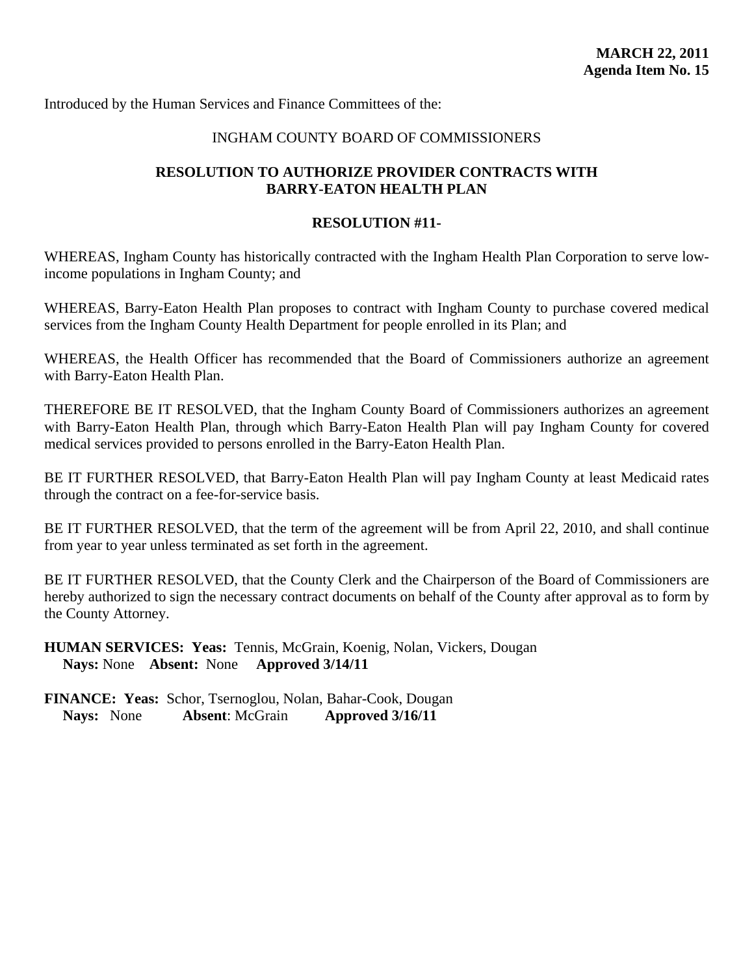#### INGHAM COUNTY BOARD OF COMMISSIONERS

## <span id="page-55-0"></span>**RESOLUTION TO AUTHORIZE PROVIDER CONTRACTS WITH BARRY-EATON HEALTH PLAN**

#### **RESOLUTION #11-**

WHEREAS, Ingham County has historically contracted with the Ingham Health Plan Corporation to serve lowincome populations in Ingham County; and

WHEREAS, Barry-Eaton Health Plan proposes to contract with Ingham County to purchase covered medical services from the Ingham County Health Department for people enrolled in its Plan; and

WHEREAS, the Health Officer has recommended that the Board of Commissioners authorize an agreement with Barry-Eaton Health Plan.

THEREFORE BE IT RESOLVED, that the Ingham County Board of Commissioners authorizes an agreement with Barry-Eaton Health Plan, through which Barry-Eaton Health Plan will pay Ingham County for covered medical services provided to persons enrolled in the Barry-Eaton Health Plan.

BE IT FURTHER RESOLVED, that Barry-Eaton Health Plan will pay Ingham County at least Medicaid rates through the contract on a fee-for-service basis.

BE IT FURTHER RESOLVED, that the term of the agreement will be from April 22, 2010, and shall continue from year to year unless terminated as set forth in the agreement.

BE IT FURTHER RESOLVED, that the County Clerk and the Chairperson of the Board of Commissioners are hereby authorized to sign the necessary contract documents on behalf of the County after approval as to form by the County Attorney.

**HUMAN SERVICES: Yeas:** Tennis, McGrain, Koenig, Nolan, Vickers, Dougan **Nays:** None **Absent:** None **Approved 3/14/11**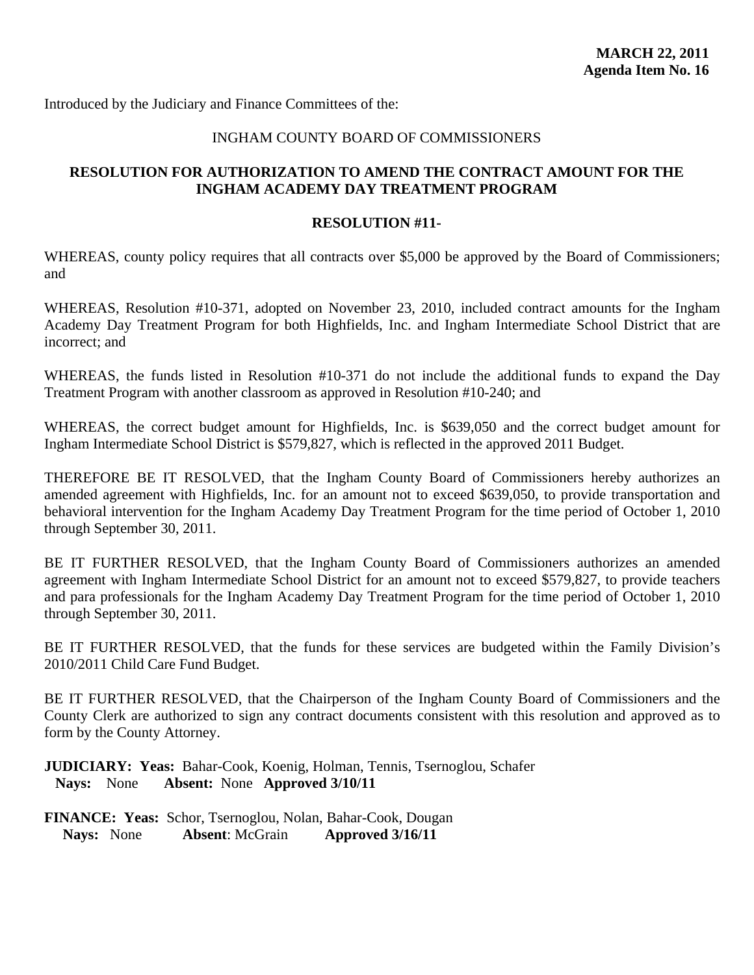<span id="page-56-0"></span>Introduced by the Judiciary and Finance Committees of the:

#### INGHAM COUNTY BOARD OF COMMISSIONERS

## **RESOLUTION FOR AUTHORIZATION TO AMEND THE CONTRACT AMOUNT FOR THE INGHAM ACADEMY DAY TREATMENT PROGRAM**

#### **RESOLUTION #11-**

WHEREAS, county policy requires that all contracts over \$5,000 be approved by the Board of Commissioners; and

WHEREAS, Resolution #10-371, adopted on November 23, 2010, included contract amounts for the Ingham Academy Day Treatment Program for both Highfields, Inc. and Ingham Intermediate School District that are incorrect; and

WHEREAS, the funds listed in Resolution #10-371 do not include the additional funds to expand the Day Treatment Program with another classroom as approved in Resolution #10-240; and

WHEREAS, the correct budget amount for Highfields, Inc. is \$639,050 and the correct budget amount for Ingham Intermediate School District is \$579,827, which is reflected in the approved 2011 Budget.

THEREFORE BE IT RESOLVED, that the Ingham County Board of Commissioners hereby authorizes an amended agreement with Highfields, Inc. for an amount not to exceed \$639,050, to provide transportation and behavioral intervention for the Ingham Academy Day Treatment Program for the time period of October 1, 2010 through September 30, 2011.

BE IT FURTHER RESOLVED, that the Ingham County Board of Commissioners authorizes an amended agreement with Ingham Intermediate School District for an amount not to exceed \$579,827, to provide teachers and para professionals for the Ingham Academy Day Treatment Program for the time period of October 1, 2010 through September 30, 2011.

BE IT FURTHER RESOLVED, that the funds for these services are budgeted within the Family Division's 2010/2011 Child Care Fund Budget.

BE IT FURTHER RESOLVED, that the Chairperson of the Ingham County Board of Commissioners and the County Clerk are authorized to sign any contract documents consistent with this resolution and approved as to form by the County Attorney.

**JUDICIARY: Yeas:** Bahar-Cook, Koenig, Holman, Tennis, Tsernoglou, Schafer **Nays:** None **Absent:** None **Approved 3/10/11**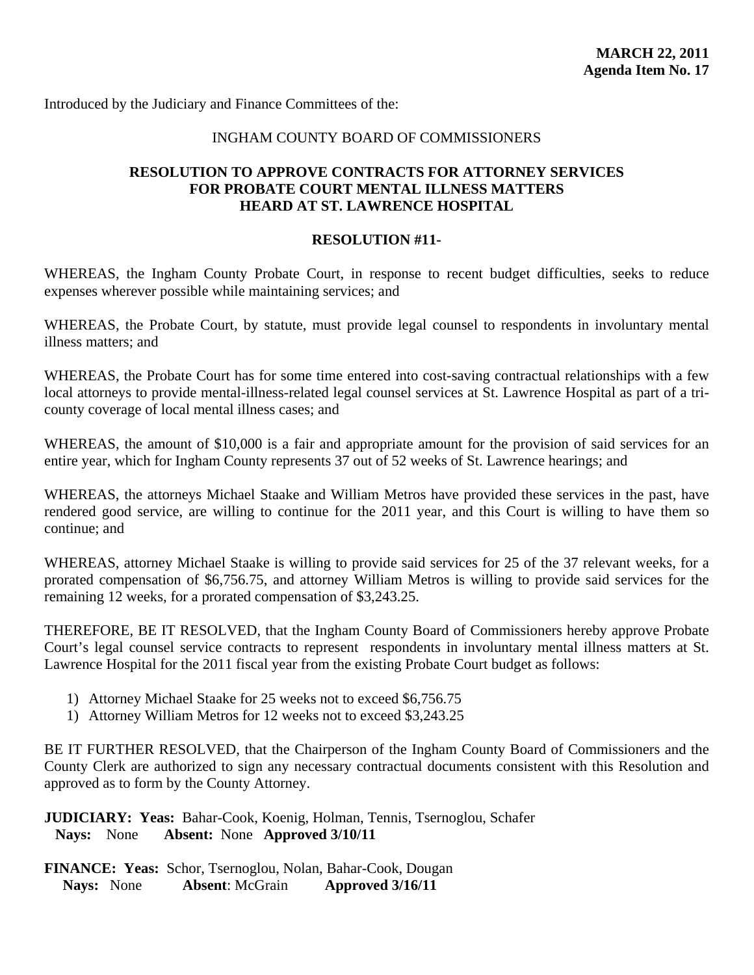<span id="page-57-0"></span>Introduced by the Judiciary and Finance Committees of the:

#### INGHAM COUNTY BOARD OF COMMISSIONERS

### **RESOLUTION TO APPROVE CONTRACTS FOR ATTORNEY SERVICES FOR PROBATE COURT MENTAL ILLNESS MATTERS HEARD AT ST. LAWRENCE HOSPITAL**

#### **RESOLUTION #11-**

WHEREAS, the Ingham County Probate Court, in response to recent budget difficulties, seeks to reduce expenses wherever possible while maintaining services; and

WHEREAS, the Probate Court, by statute, must provide legal counsel to respondents in involuntary mental illness matters; and

WHEREAS, the Probate Court has for some time entered into cost-saving contractual relationships with a few local attorneys to provide mental-illness-related legal counsel services at St. Lawrence Hospital as part of a tricounty coverage of local mental illness cases; and

WHEREAS, the amount of \$10,000 is a fair and appropriate amount for the provision of said services for an entire year, which for Ingham County represents 37 out of 52 weeks of St. Lawrence hearings; and

WHEREAS, the attorneys Michael Staake and William Metros have provided these services in the past, have rendered good service, are willing to continue for the 2011 year, and this Court is willing to have them so continue; and

WHEREAS, attorney Michael Staake is willing to provide said services for 25 of the 37 relevant weeks, for a prorated compensation of \$6,756.75, and attorney William Metros is willing to provide said services for the remaining 12 weeks, for a prorated compensation of \$3,243.25.

THEREFORE, BE IT RESOLVED, that the Ingham County Board of Commissioners hereby approve Probate Court's legal counsel service contracts to represent respondents in involuntary mental illness matters at St. Lawrence Hospital for the 2011 fiscal year from the existing Probate Court budget as follows:

- 1) Attorney Michael Staake for 25 weeks not to exceed \$6,756.75
- 1) Attorney William Metros for 12 weeks not to exceed \$3,243.25

BE IT FURTHER RESOLVED, that the Chairperson of the Ingham County Board of Commissioners and the County Clerk are authorized to sign any necessary contractual documents consistent with this Resolution and approved as to form by the County Attorney.

**JUDICIARY: Yeas:** Bahar-Cook, Koenig, Holman, Tennis, Tsernoglou, Schafer **Nays:** None **Absent:** None **Approved 3/10/11**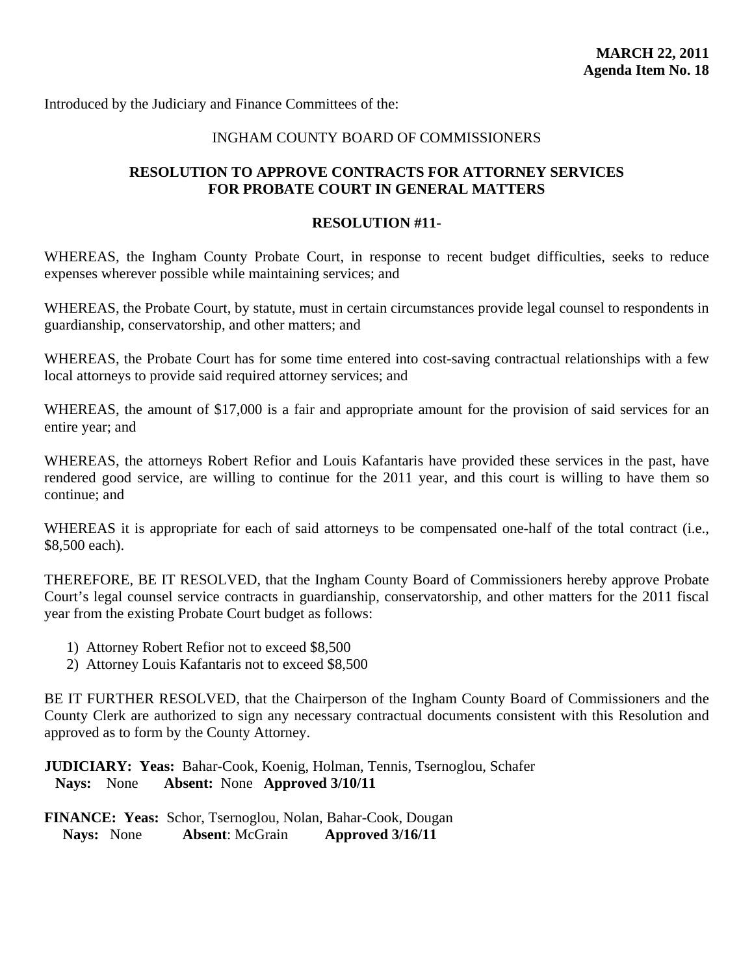<span id="page-58-0"></span>Introduced by the Judiciary and Finance Committees of the:

## INGHAM COUNTY BOARD OF COMMISSIONERS

## **RESOLUTION TO APPROVE CONTRACTS FOR ATTORNEY SERVICES FOR PROBATE COURT IN GENERAL MATTERS**

#### **RESOLUTION #11-**

WHEREAS, the Ingham County Probate Court, in response to recent budget difficulties, seeks to reduce expenses wherever possible while maintaining services; and

WHEREAS, the Probate Court, by statute, must in certain circumstances provide legal counsel to respondents in guardianship, conservatorship, and other matters; and

WHEREAS, the Probate Court has for some time entered into cost-saving contractual relationships with a few local attorneys to provide said required attorney services; and

WHEREAS, the amount of \$17,000 is a fair and appropriate amount for the provision of said services for an entire year; and

WHEREAS, the attorneys Robert Refior and Louis Kafantaris have provided these services in the past, have rendered good service, are willing to continue for the 2011 year, and this court is willing to have them so continue; and

WHEREAS it is appropriate for each of said attorneys to be compensated one-half of the total contract (i.e., \$8,500 each).

THEREFORE, BE IT RESOLVED, that the Ingham County Board of Commissioners hereby approve Probate Court's legal counsel service contracts in guardianship, conservatorship, and other matters for the 2011 fiscal year from the existing Probate Court budget as follows:

- 1) Attorney Robert Refior not to exceed \$8,500
- 2) Attorney Louis Kafantaris not to exceed \$8,500

BE IT FURTHER RESOLVED, that the Chairperson of the Ingham County Board of Commissioners and the County Clerk are authorized to sign any necessary contractual documents consistent with this Resolution and approved as to form by the County Attorney.

**JUDICIARY: Yeas:** Bahar-Cook, Koenig, Holman, Tennis, Tsernoglou, Schafer **Nays:** None **Absent:** None **Approved 3/10/11**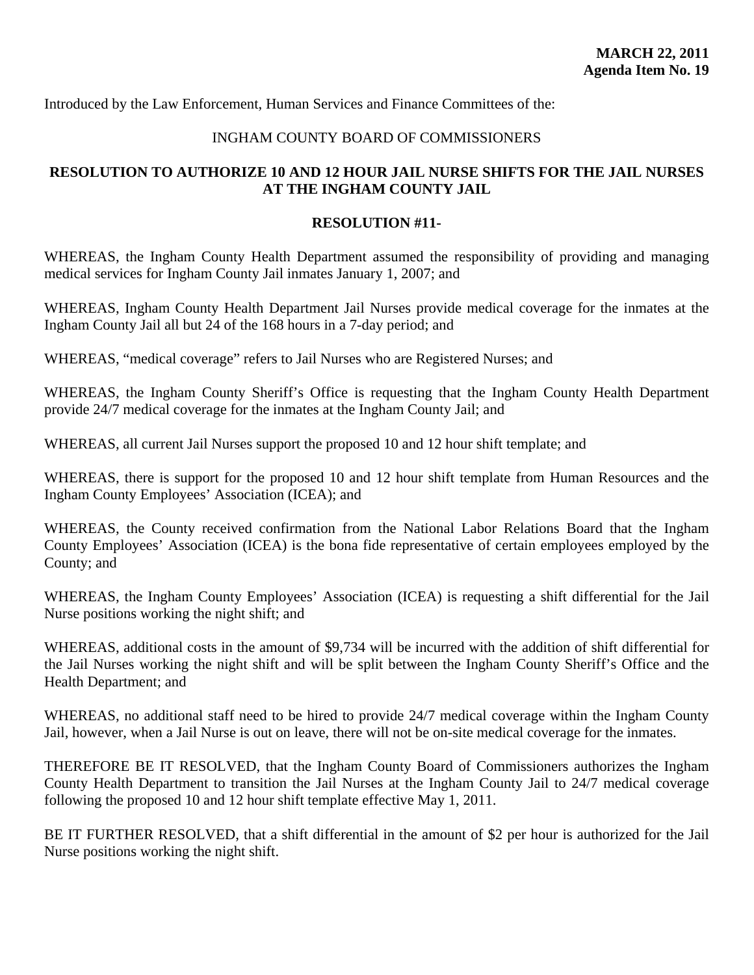<span id="page-59-0"></span>Introduced by the Law Enforcement, Human Services and Finance Committees of the:

#### INGHAM COUNTY BOARD OF COMMISSIONERS

## **RESOLUTION TO AUTHORIZE 10 AND 12 HOUR JAIL NURSE SHIFTS FOR THE JAIL NURSES AT THE INGHAM COUNTY JAIL**

#### **RESOLUTION #11-**

WHEREAS, the Ingham County Health Department assumed the responsibility of providing and managing medical services for Ingham County Jail inmates January 1, 2007; and

WHEREAS, Ingham County Health Department Jail Nurses provide medical coverage for the inmates at the Ingham County Jail all but 24 of the 168 hours in a 7-day period; and

WHEREAS, "medical coverage" refers to Jail Nurses who are Registered Nurses; and

WHEREAS, the Ingham County Sheriff's Office is requesting that the Ingham County Health Department provide 24/7 medical coverage for the inmates at the Ingham County Jail; and

WHEREAS, all current Jail Nurses support the proposed 10 and 12 hour shift template; and

WHEREAS, there is support for the proposed 10 and 12 hour shift template from Human Resources and the Ingham County Employees' Association (ICEA); and

WHEREAS, the County received confirmation from the National Labor Relations Board that the Ingham County Employees' Association (ICEA) is the bona fide representative of certain employees employed by the County; and

WHEREAS, the Ingham County Employees' Association (ICEA) is requesting a shift differential for the Jail Nurse positions working the night shift; and

WHEREAS, additional costs in the amount of \$9,734 will be incurred with the addition of shift differential for the Jail Nurses working the night shift and will be split between the Ingham County Sheriff's Office and the Health Department; and

WHEREAS, no additional staff need to be hired to provide 24/7 medical coverage within the Ingham County Jail, however, when a Jail Nurse is out on leave, there will not be on-site medical coverage for the inmates.

THEREFORE BE IT RESOLVED, that the Ingham County Board of Commissioners authorizes the Ingham County Health Department to transition the Jail Nurses at the Ingham County Jail to 24/7 medical coverage following the proposed 10 and 12 hour shift template effective May 1, 2011.

BE IT FURTHER RESOLVED, that a shift differential in the amount of \$2 per hour is authorized for the Jail Nurse positions working the night shift.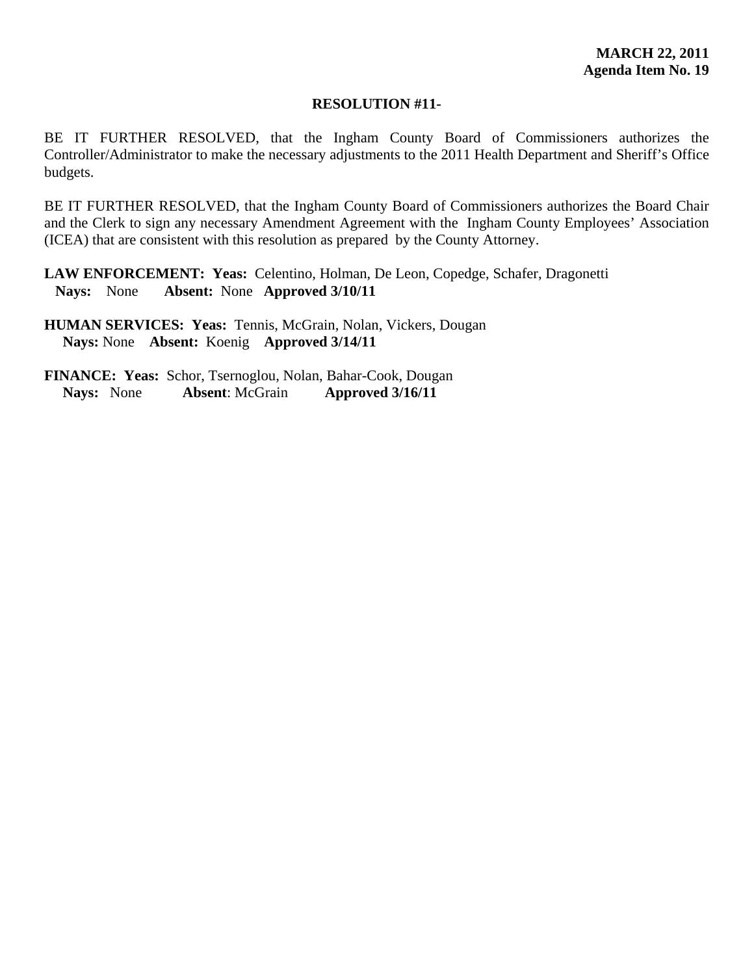#### **RESOLUTION #11-**

BE IT FURTHER RESOLVED, that the Ingham County Board of Commissioners authorizes the Controller/Administrator to make the necessary adjustments to the 2011 Health Department and Sheriff's Office budgets.

BE IT FURTHER RESOLVED, that the Ingham County Board of Commissioners authorizes the Board Chair and the Clerk to sign any necessary Amendment Agreement with the Ingham County Employees' Association (ICEA) that are consistent with this resolution as prepared by the County Attorney.

**LAW ENFORCEMENT: Yeas:** Celentino, Holman, De Leon, Copedge, Schafer, Dragonetti **Nays:** None **Absent:** None **Approved 3/10/11** 

**HUMAN SERVICES: Yeas:** Tennis, McGrain, Nolan, Vickers, Dougan **Nays:** None **Absent:** Koenig **Approved 3/14/11**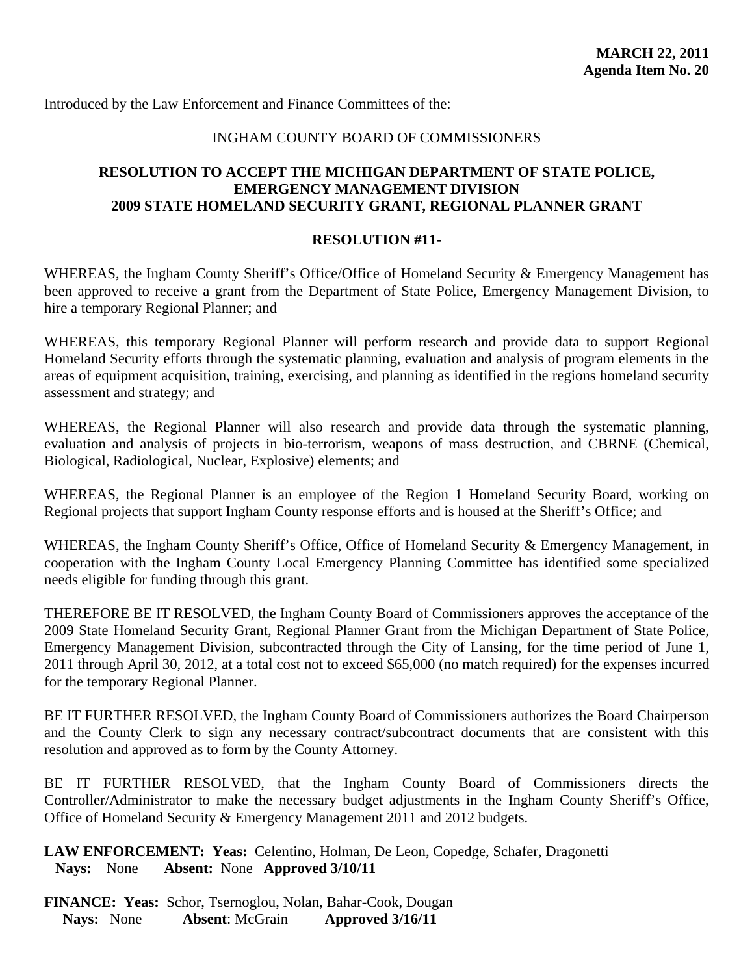<span id="page-61-0"></span>Introduced by the Law Enforcement and Finance Committees of the:

## INGHAM COUNTY BOARD OF COMMISSIONERS

## **RESOLUTION TO ACCEPT THE MICHIGAN DEPARTMENT OF STATE POLICE, EMERGENCY MANAGEMENT DIVISION 2009 STATE HOMELAND SECURITY GRANT, REGIONAL PLANNER GRANT**

#### **RESOLUTION #11-**

WHEREAS, the Ingham County Sheriff's Office/Office of Homeland Security & Emergency Management has been approved to receive a grant from the Department of State Police, Emergency Management Division, to hire a temporary Regional Planner; and

WHEREAS, this temporary Regional Planner will perform research and provide data to support Regional Homeland Security efforts through the systematic planning, evaluation and analysis of program elements in the areas of equipment acquisition, training, exercising, and planning as identified in the regions homeland security assessment and strategy; and

WHEREAS, the Regional Planner will also research and provide data through the systematic planning, evaluation and analysis of projects in bio-terrorism, weapons of mass destruction, and CBRNE (Chemical, Biological, Radiological, Nuclear, Explosive) elements; and

WHEREAS, the Regional Planner is an employee of the Region 1 Homeland Security Board, working on Regional projects that support Ingham County response efforts and is housed at the Sheriff's Office; and

WHEREAS, the Ingham County Sheriff's Office, Office of Homeland Security & Emergency Management, in cooperation with the Ingham County Local Emergency Planning Committee has identified some specialized needs eligible for funding through this grant.

THEREFORE BE IT RESOLVED, the Ingham County Board of Commissioners approves the acceptance of the 2009 State Homeland Security Grant, Regional Planner Grant from the Michigan Department of State Police, Emergency Management Division, subcontracted through the City of Lansing, for the time period of June 1, 2011 through April 30, 2012, at a total cost not to exceed \$65,000 (no match required) for the expenses incurred for the temporary Regional Planner.

BE IT FURTHER RESOLVED, the Ingham County Board of Commissioners authorizes the Board Chairperson and the County Clerk to sign any necessary contract/subcontract documents that are consistent with this resolution and approved as to form by the County Attorney.

BE IT FURTHER RESOLVED, that the Ingham County Board of Commissioners directs the Controller/Administrator to make the necessary budget adjustments in the Ingham County Sheriff's Office, Office of Homeland Security & Emergency Management 2011 and 2012 budgets.

**LAW ENFORCEMENT: Yeas:** Celentino, Holman, De Leon, Copedge, Schafer, Dragonetti **Nays:** None **Absent:** None **Approved 3/10/11**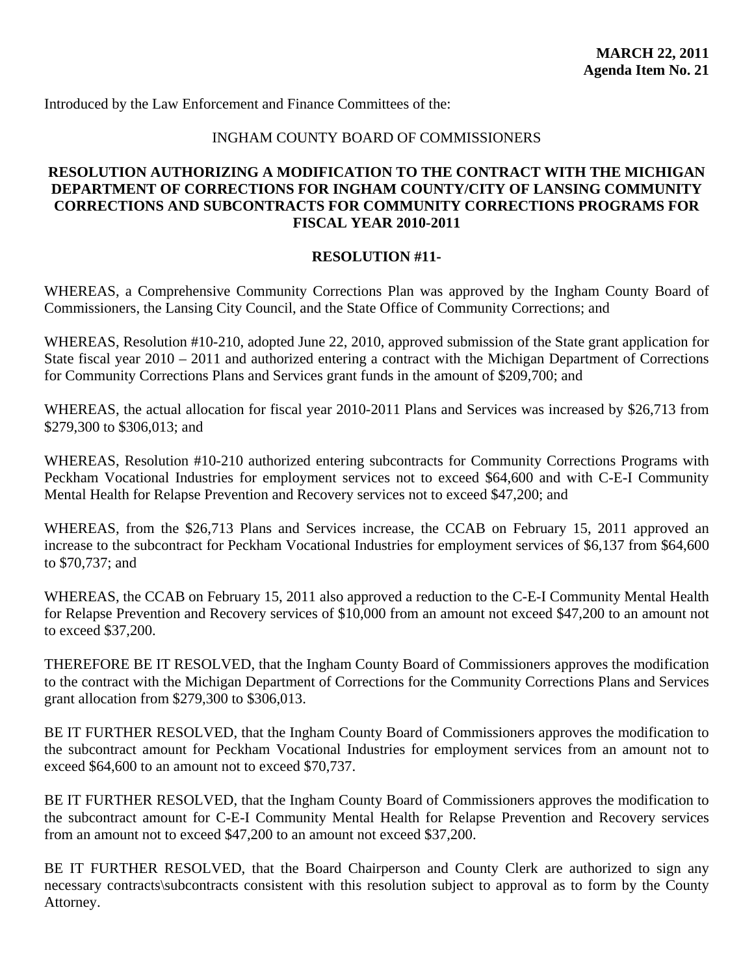<span id="page-62-0"></span>Introduced by the Law Enforcement and Finance Committees of the:

## INGHAM COUNTY BOARD OF COMMISSIONERS

## **RESOLUTION AUTHORIZING A MODIFICATION TO THE CONTRACT WITH THE MICHIGAN DEPARTMENT OF CORRECTIONS FOR INGHAM COUNTY/CITY OF LANSING COMMUNITY CORRECTIONS AND SUBCONTRACTS FOR COMMUNITY CORRECTIONS PROGRAMS FOR FISCAL YEAR 2010-2011**

#### **RESOLUTION #11-**

WHEREAS, a Comprehensive Community Corrections Plan was approved by the Ingham County Board of Commissioners, the Lansing City Council, and the State Office of Community Corrections; and

WHEREAS, Resolution #10-210, adopted June 22, 2010, approved submission of the State grant application for State fiscal year 2010 – 2011 and authorized entering a contract with the Michigan Department of Corrections for Community Corrections Plans and Services grant funds in the amount of \$209,700; and

WHEREAS, the actual allocation for fiscal year 2010-2011 Plans and Services was increased by \$26,713 from \$279,300 to \$306,013; and

WHEREAS, Resolution #10-210 authorized entering subcontracts for Community Corrections Programs with Peckham Vocational Industries for employment services not to exceed \$64,600 and with C-E-I Community Mental Health for Relapse Prevention and Recovery services not to exceed \$47,200; and

WHEREAS, from the \$26,713 Plans and Services increase, the CCAB on February 15, 2011 approved an increase to the subcontract for Peckham Vocational Industries for employment services of \$6,137 from \$64,600 to \$70,737; and

WHEREAS, the CCAB on February 15, 2011 also approved a reduction to the C-E-I Community Mental Health for Relapse Prevention and Recovery services of \$10,000 from an amount not exceed \$47,200 to an amount not to exceed \$37,200.

THEREFORE BE IT RESOLVED, that the Ingham County Board of Commissioners approves the modification to the contract with the Michigan Department of Corrections for the Community Corrections Plans and Services grant allocation from \$279,300 to \$306,013.

BE IT FURTHER RESOLVED, that the Ingham County Board of Commissioners approves the modification to the subcontract amount for Peckham Vocational Industries for employment services from an amount not to exceed \$64,600 to an amount not to exceed \$70,737.

BE IT FURTHER RESOLVED, that the Ingham County Board of Commissioners approves the modification to the subcontract amount for C-E-I Community Mental Health for Relapse Prevention and Recovery services from an amount not to exceed \$47,200 to an amount not exceed \$37,200.

BE IT FURTHER RESOLVED, that the Board Chairperson and County Clerk are authorized to sign any necessary contracts\subcontracts consistent with this resolution subject to approval as to form by the County Attorney.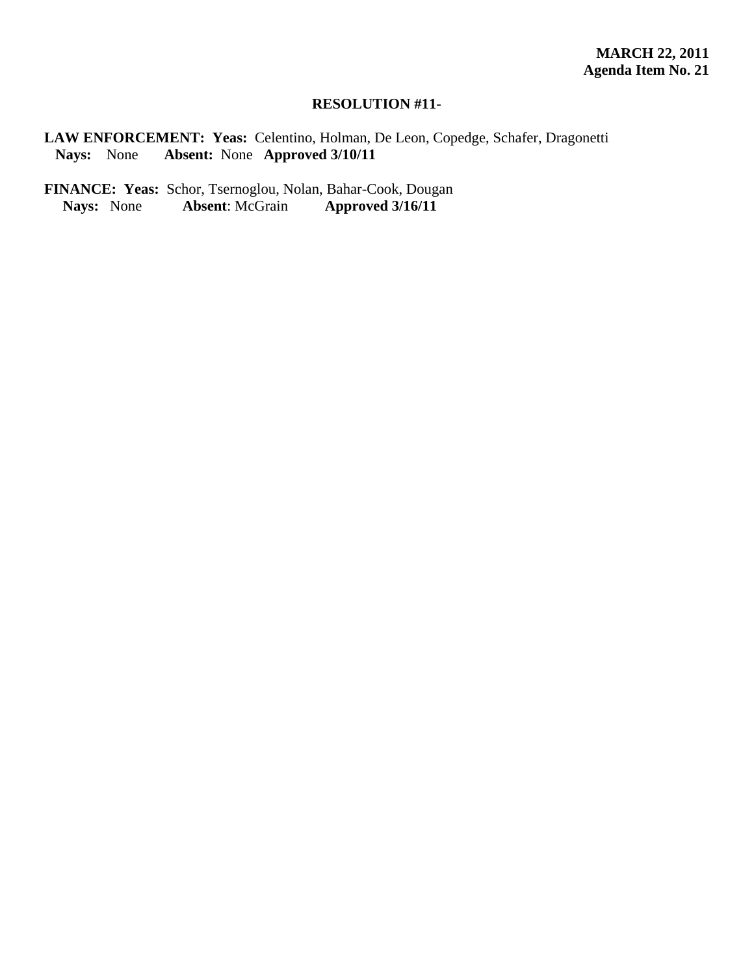## **RESOLUTION #11-**

**LAW ENFORCEMENT: Yeas:** Celentino, Holman, De Leon, Copedge, Schafer, Dragonetti **Nays:** None **Absent:** None **Approved 3/10/11** 

FINANCE: Yeas: Schor, Tsernoglou, Nolan, Bahar-Cook, Dougan<br>Nays: None Absent: McGrain Approved 3/16/11 **Nays:** None **Absent**: McGrain **Approved 3/16/11**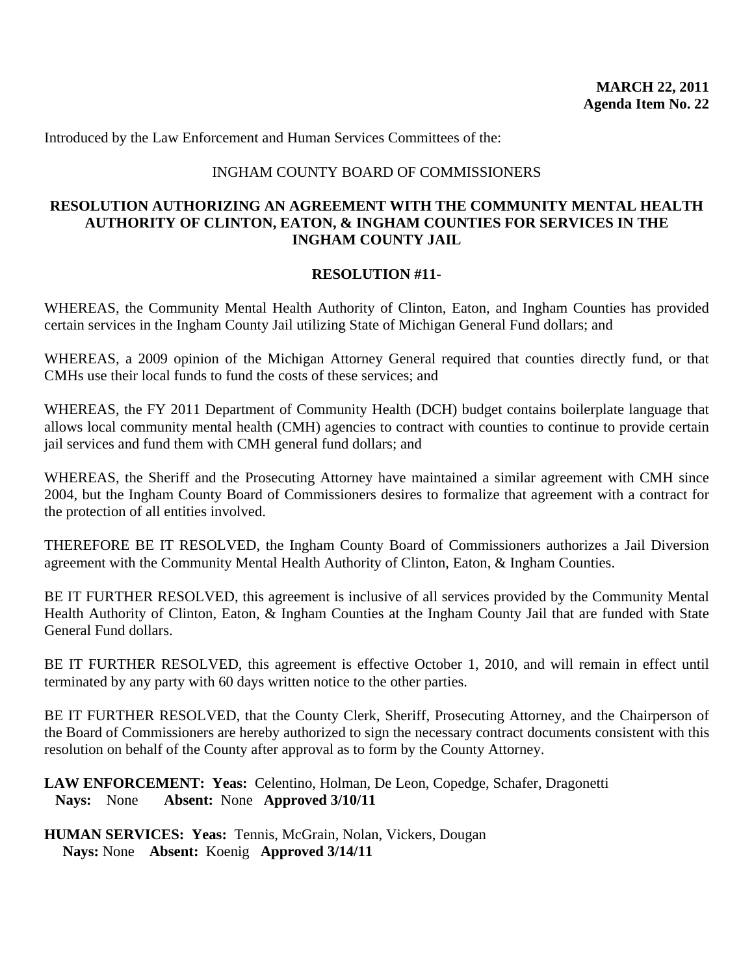<span id="page-64-0"></span>Introduced by the Law Enforcement and Human Services Committees of the:

## INGHAM COUNTY BOARD OF COMMISSIONERS

## **RESOLUTION AUTHORIZING AN AGREEMENT WITH THE COMMUNITY MENTAL HEALTH AUTHORITY OF CLINTON, EATON, & INGHAM COUNTIES FOR SERVICES IN THE INGHAM COUNTY JAIL**

#### **RESOLUTION #11-**

WHEREAS, the Community Mental Health Authority of Clinton, Eaton, and Ingham Counties has provided certain services in the Ingham County Jail utilizing State of Michigan General Fund dollars; and

WHEREAS, a 2009 opinion of the Michigan Attorney General required that counties directly fund, or that CMHs use their local funds to fund the costs of these services; and

WHEREAS, the FY 2011 Department of Community Health (DCH) budget contains boilerplate language that allows local community mental health (CMH) agencies to contract with counties to continue to provide certain jail services and fund them with CMH general fund dollars; and

WHEREAS, the Sheriff and the Prosecuting Attorney have maintained a similar agreement with CMH since 2004, but the Ingham County Board of Commissioners desires to formalize that agreement with a contract for the protection of all entities involved.

THEREFORE BE IT RESOLVED, the Ingham County Board of Commissioners authorizes a Jail Diversion agreement with the Community Mental Health Authority of Clinton, Eaton, & Ingham Counties.

BE IT FURTHER RESOLVED, this agreement is inclusive of all services provided by the Community Mental Health Authority of Clinton, Eaton, & Ingham Counties at the Ingham County Jail that are funded with State General Fund dollars.

BE IT FURTHER RESOLVED, this agreement is effective October 1, 2010, and will remain in effect until terminated by any party with 60 days written notice to the other parties.

BE IT FURTHER RESOLVED, that the County Clerk, Sheriff, Prosecuting Attorney, and the Chairperson of the Board of Commissioners are hereby authorized to sign the necessary contract documents consistent with this resolution on behalf of the County after approval as to form by the County Attorney.

**LAW ENFORCEMENT: Yeas:** Celentino, Holman, De Leon, Copedge, Schafer, Dragonetti **Nays:** None **Absent:** None **Approved 3/10/11** 

**HUMAN SERVICES: Yeas:** Tennis, McGrain, Nolan, Vickers, Dougan **Nays:** None **Absent:** Koenig **Approved 3/14/11**